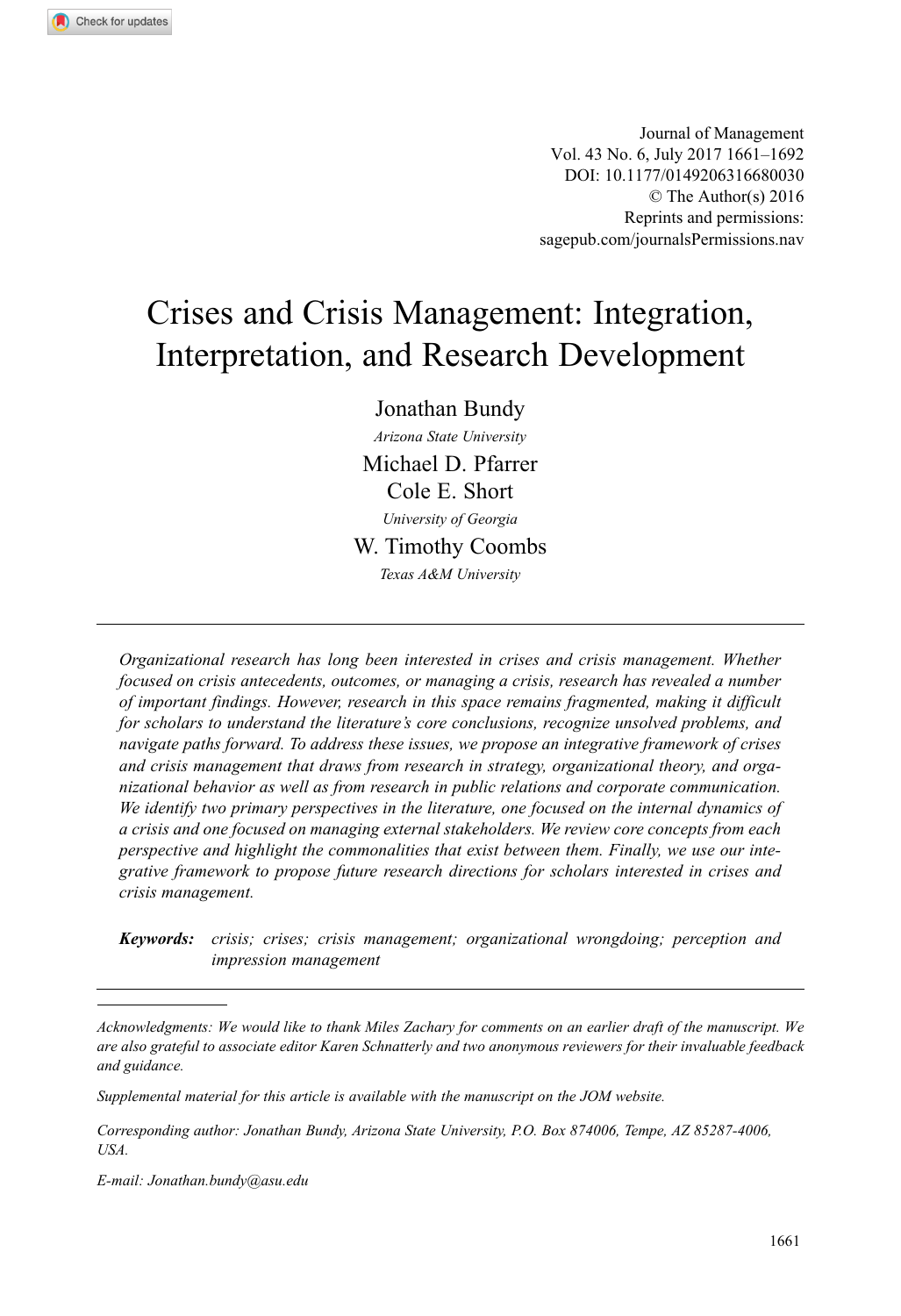Journal of Management Vol. 43 No. 6, July 2017 1661–1692 DOI: [10.1177/0149206316680030](http://doi.org/10.1177/0149206316680030) © The Author(s) 2016 Reprints and permissions: [sagepub.com/journalsPermissions.nav](http://sagepub.com/journalsPermissions.nav)

# Crises and Crisis Management: Integration, Interpretation, and Research Development

Jonathan Bundy

*Arizona State University* Michael D. Pfarrer Cole E. Short *University of Georgia* W. Timothy Coombs *Texas A&M University*

*Organizational research has long been interested in crises and crisis management. Whether focused on crisis antecedents, outcomes, or managing a crisis, research has revealed a number of important findings. However, research in this space remains fragmented, making it difficult for scholars to understand the literature's core conclusions, recognize unsolved problems, and navigate paths forward. To address these issues, we propose an integrative framework of crises and crisis management that draws from research in strategy, organizational theory, and organizational behavior as well as from research in public relations and corporate communication. We identify two primary perspectives in the literature, one focused on the internal dynamics of a crisis and one focused on managing external stakeholders. We review core concepts from each perspective and highlight the commonalities that exist between them. Finally, we use our integrative framework to propose future research directions for scholars interested in crises and crisis management.*

*Keywords: crisis; crises; crisis management; organizational wrongdoing; perception and impression management*

*Supplemental material for this article is available with the manuscript on the JOM website.*

*E-mail: [Jonathan.bundy@asu.edu](mailto:Jonathan.bundy@asu.edu)*

*Acknowledgments: We would like to thank Miles Zachary for comments on an earlier draft of the manuscript. We are also grateful to associate editor Karen Schnatterly and two anonymous reviewers for their invaluable feedback and guidance.*

*Corresponding author: Jonathan Bundy, Arizona State University, P.O. Box 874006, Tempe, AZ 85287-4006, USA.*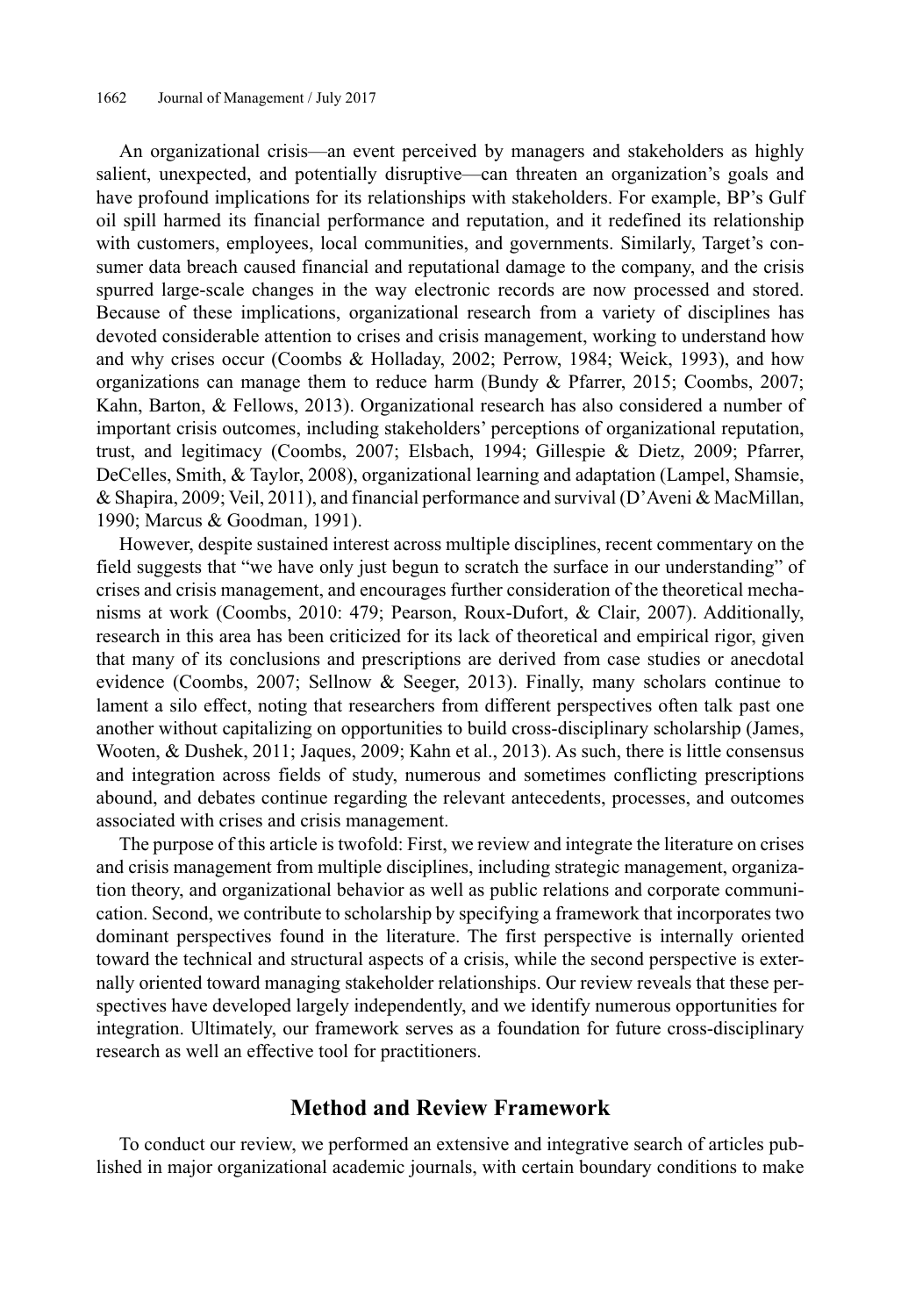An organizational crisis—an event perceived by managers and stakeholders as highly salient, unexpected, and potentially disruptive—can threaten an organization's goals and have profound implications for its relationships with stakeholders. For example, BP's Gulf oil spill harmed its financial performance and reputation, and it redefined its relationship with customers, employees, local communities, and governments. Similarly, Target's consumer data breach caused financial and reputational damage to the company, and the crisis spurred large-scale changes in the way electronic records are now processed and stored. Because of these implications, organizational research from a variety of disciplines has devoted considerable attention to crises and crisis management, working to understand how and why crises occur (Coombs & Holladay, 2002; Perrow, 1984; Weick, 1993), and how organizations can manage them to reduce harm (Bundy & Pfarrer, 2015; Coombs, 2007; Kahn, Barton, & Fellows, 2013). Organizational research has also considered a number of important crisis outcomes, including stakeholders' perceptions of organizational reputation, trust, and legitimacy (Coombs, 2007; Elsbach, 1994; Gillespie & Dietz, 2009; Pfarrer, DeCelles, Smith, & Taylor, 2008), organizational learning and adaptation (Lampel, Shamsie, & Shapira, 2009; Veil, 2011), and financial performance and survival (D'Aveni & MacMillan, 1990; Marcus & Goodman, 1991).

However, despite sustained interest across multiple disciplines, recent commentary on the field suggests that "we have only just begun to scratch the surface in our understanding" of crises and crisis management, and encourages further consideration of the theoretical mechanisms at work (Coombs, 2010: 479; Pearson, Roux-Dufort, & Clair, 2007). Additionally, research in this area has been criticized for its lack of theoretical and empirical rigor, given that many of its conclusions and prescriptions are derived from case studies or anecdotal evidence (Coombs, 2007; Sellnow & Seeger, 2013). Finally, many scholars continue to lament a silo effect, noting that researchers from different perspectives often talk past one another without capitalizing on opportunities to build cross-disciplinary scholarship (James, Wooten, & Dushek, 2011; Jaques, 2009; Kahn et al., 2013). As such, there is little consensus and integration across fields of study, numerous and sometimes conflicting prescriptions abound, and debates continue regarding the relevant antecedents, processes, and outcomes associated with crises and crisis management.

The purpose of this article is twofold: First, we review and integrate the literature on crises and crisis management from multiple disciplines, including strategic management, organization theory, and organizational behavior as well as public relations and corporate communication. Second, we contribute to scholarship by specifying a framework that incorporates two dominant perspectives found in the literature. The first perspective is internally oriented toward the technical and structural aspects of a crisis, while the second perspective is externally oriented toward managing stakeholder relationships. Our review reveals that these perspectives have developed largely independently, and we identify numerous opportunities for integration. Ultimately, our framework serves as a foundation for future cross-disciplinary research as well an effective tool for practitioners.

## **Method and Review Framework**

To conduct our review, we performed an extensive and integrative search of articles published in major organizational academic journals, with certain boundary conditions to make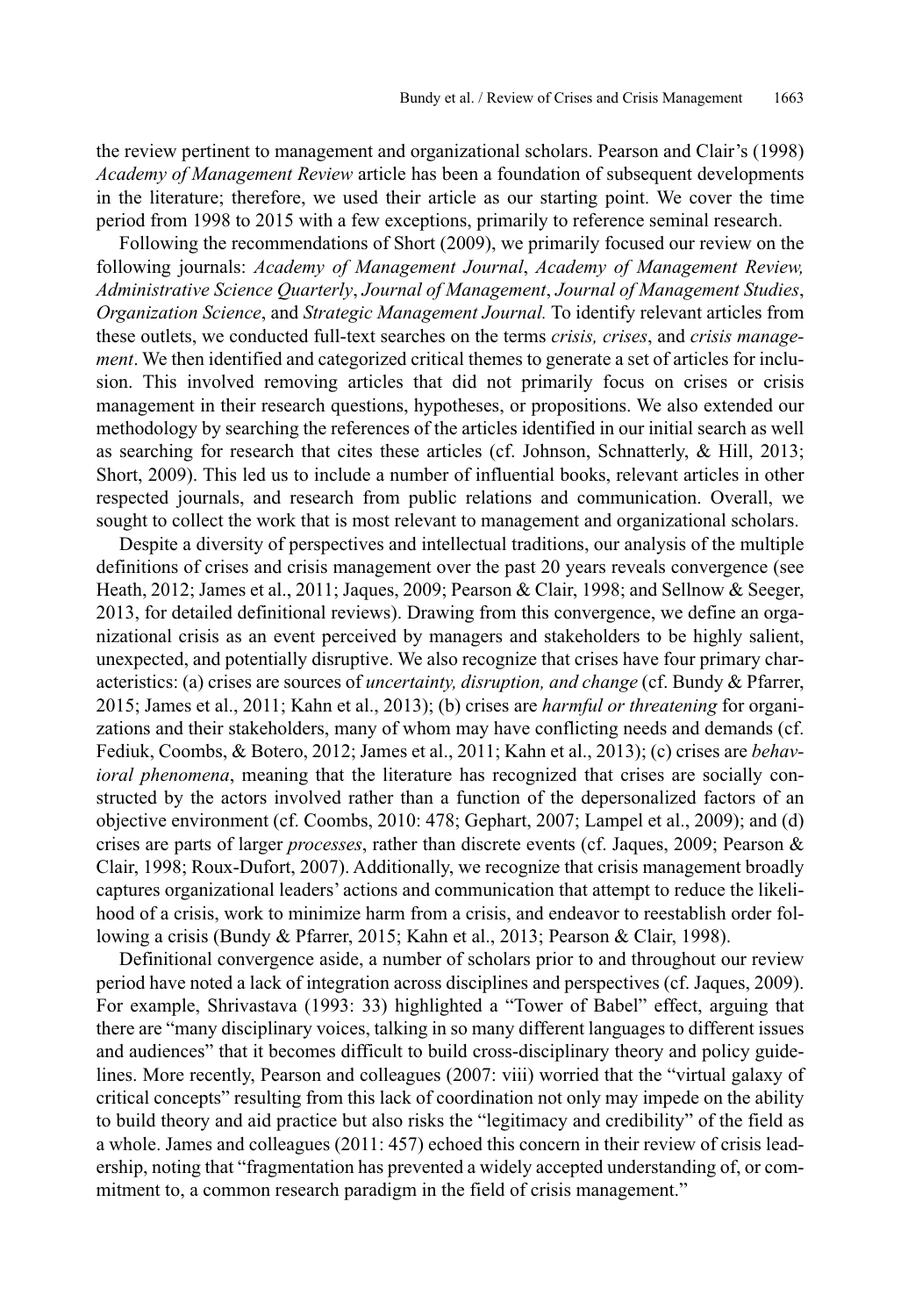the review pertinent to management and organizational scholars. Pearson and Clair's (1998) *Academy of Management Review* article has been a foundation of subsequent developments in the literature; therefore, we used their article as our starting point. We cover the time period from 1998 to 2015 with a few exceptions, primarily to reference seminal research.

Following the recommendations of Short (2009), we primarily focused our review on the following journals: *Academy of Management Journal*, *Academy of Management Review, Administrative Science Quarterly*, *Journal of Management*, *Journal of Management Studies*, *Organization Science*, and *Strategic Management Journal.* To identify relevant articles from these outlets, we conducted full-text searches on the terms *crisis, crises*, and *crisis management*. We then identified and categorized critical themes to generate a set of articles for inclusion. This involved removing articles that did not primarily focus on crises or crisis management in their research questions, hypotheses, or propositions. We also extended our methodology by searching the references of the articles identified in our initial search as well as searching for research that cites these articles (cf. Johnson, Schnatterly, & Hill, 2013; Short, 2009). This led us to include a number of influential books, relevant articles in other respected journals, and research from public relations and communication. Overall, we sought to collect the work that is most relevant to management and organizational scholars.

Despite a diversity of perspectives and intellectual traditions, our analysis of the multiple definitions of crises and crisis management over the past 20 years reveals convergence (see Heath, 2012; James et al., 2011; Jaques, 2009; Pearson & Clair, 1998; and Sellnow & Seeger, 2013, for detailed definitional reviews). Drawing from this convergence, we define an organizational crisis as an event perceived by managers and stakeholders to be highly salient, unexpected, and potentially disruptive. We also recognize that crises have four primary characteristics: (a) crises are sources of *uncertainty, disruption, and change* (cf. Bundy & Pfarrer, 2015; James et al., 2011; Kahn et al., 2013); (b) crises are *harmful or threatening* for organizations and their stakeholders, many of whom may have conflicting needs and demands (cf. Fediuk, Coombs, & Botero, 2012; James et al., 2011; Kahn et al., 2013); (c) crises are *behavioral phenomena*, meaning that the literature has recognized that crises are socially constructed by the actors involved rather than a function of the depersonalized factors of an objective environment (cf. Coombs, 2010: 478; Gephart, 2007; Lampel et al., 2009); and (d) crises are parts of larger *processes*, rather than discrete events (cf. Jaques, 2009; Pearson & Clair, 1998; Roux-Dufort, 2007). Additionally, we recognize that crisis management broadly captures organizational leaders' actions and communication that attempt to reduce the likelihood of a crisis, work to minimize harm from a crisis, and endeavor to reestablish order following a crisis (Bundy & Pfarrer, 2015; Kahn et al., 2013; Pearson & Clair, 1998).

Definitional convergence aside, a number of scholars prior to and throughout our review period have noted a lack of integration across disciplines and perspectives (cf. Jaques, 2009). For example, Shrivastava (1993: 33) highlighted a "Tower of Babel" effect, arguing that there are "many disciplinary voices, talking in so many different languages to different issues and audiences" that it becomes difficult to build cross-disciplinary theory and policy guidelines. More recently, Pearson and colleagues (2007: viii) worried that the "virtual galaxy of critical concepts" resulting from this lack of coordination not only may impede on the ability to build theory and aid practice but also risks the "legitimacy and credibility" of the field as a whole. James and colleagues (2011: 457) echoed this concern in their review of crisis leadership, noting that "fragmentation has prevented a widely accepted understanding of, or commitment to, a common research paradigm in the field of crisis management."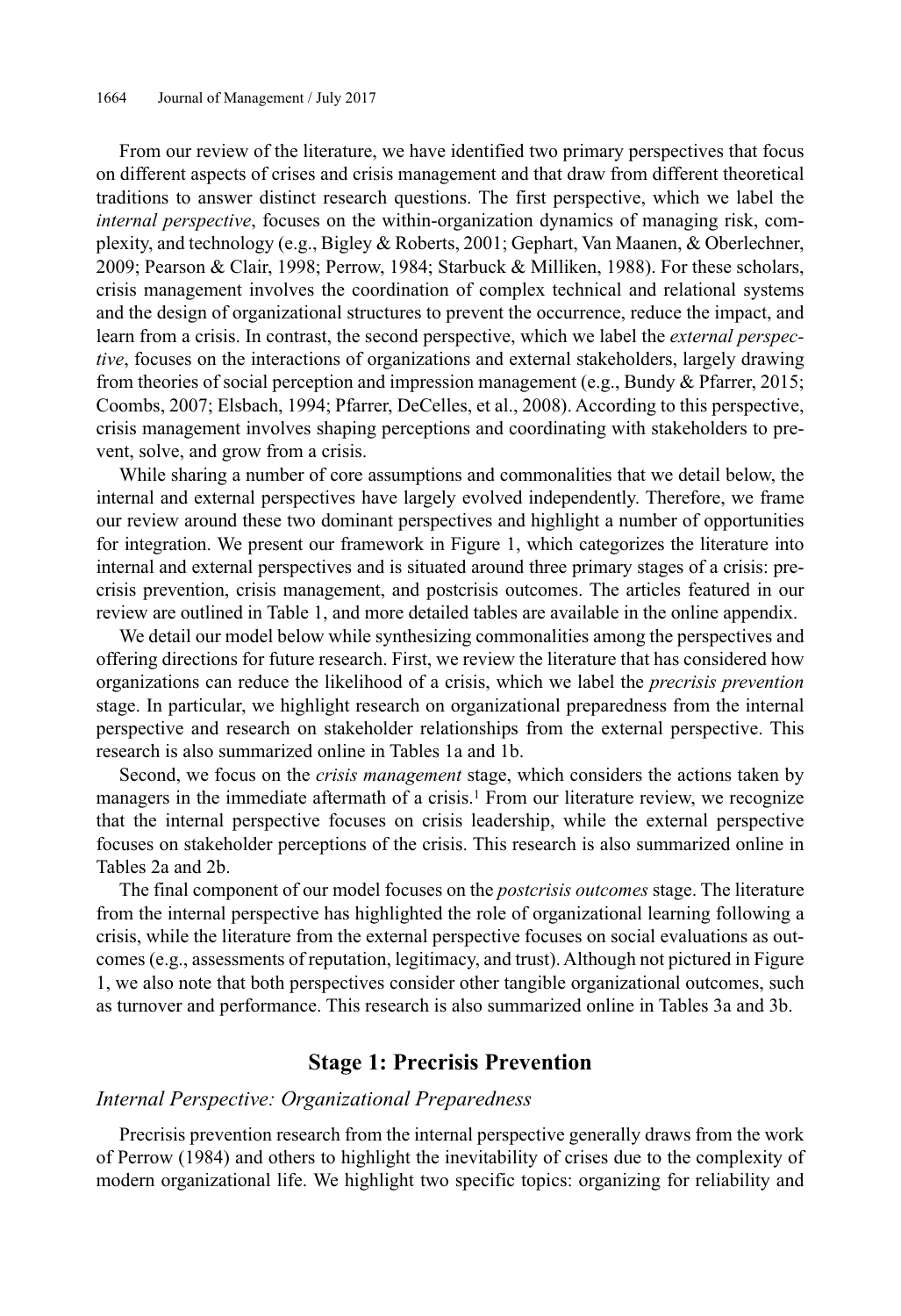From our review of the literature, we have identified two primary perspectives that focus on different aspects of crises and crisis management and that draw from different theoretical traditions to answer distinct research questions. The first perspective, which we label the *internal perspective*, focuses on the within-organization dynamics of managing risk, complexity, and technology (e.g., Bigley & Roberts, 2001; Gephart, Van Maanen, & Oberlechner, 2009; Pearson & Clair, 1998; Perrow, 1984; Starbuck & Milliken, 1988). For these scholars, crisis management involves the coordination of complex technical and relational systems and the design of organizational structures to prevent the occurrence, reduce the impact, and learn from a crisis. In contrast, the second perspective, which we label the *external perspective*, focuses on the interactions of organizations and external stakeholders, largely drawing from theories of social perception and impression management (e.g., Bundy & Pfarrer, 2015; Coombs, 2007; Elsbach, 1994; Pfarrer, DeCelles, et al., 2008). According to this perspective, crisis management involves shaping perceptions and coordinating with stakeholders to prevent, solve, and grow from a crisis.

While sharing a number of core assumptions and commonalities that we detail below, the internal and external perspectives have largely evolved independently. Therefore, we frame our review around these two dominant perspectives and highlight a number of opportunities for integration. We present our framework in Figure 1, which categorizes the literature into internal and external perspectives and is situated around three primary stages of a crisis: precrisis prevention, crisis management, and postcrisis outcomes. The articles featured in our review are outlined in Table 1, and more detailed tables are available in the online appendix.

We detail our model below while synthesizing commonalities among the perspectives and offering directions for future research. First, we review the literature that has considered how organizations can reduce the likelihood of a crisis, which we label the *precrisis prevention* stage. In particular, we highlight research on organizational preparedness from the internal perspective and research on stakeholder relationships from the external perspective. This research is also summarized online in Tables 1a and 1b.

Second, we focus on the *crisis management* stage, which considers the actions taken by managers in the immediate aftermath of a crisis.<sup>1</sup> From our literature review, we recognize that the internal perspective focuses on crisis leadership, while the external perspective focuses on stakeholder perceptions of the crisis. This research is also summarized online in Tables 2a and 2b.

The final component of our model focuses on the *postcrisis outcomes* stage. The literature from the internal perspective has highlighted the role of organizational learning following a crisis, while the literature from the external perspective focuses on social evaluations as outcomes (e.g., assessments of reputation, legitimacy, and trust). Although not pictured in Figure 1, we also note that both perspectives consider other tangible organizational outcomes, such as turnover and performance. This research is also summarized online in Tables 3a and 3b.

## **Stage 1: Precrisis Prevention**

#### *Internal Perspective: Organizational Preparedness*

Precrisis prevention research from the internal perspective generally draws from the work of Perrow (1984) and others to highlight the inevitability of crises due to the complexity of modern organizational life. We highlight two specific topics: organizing for reliability and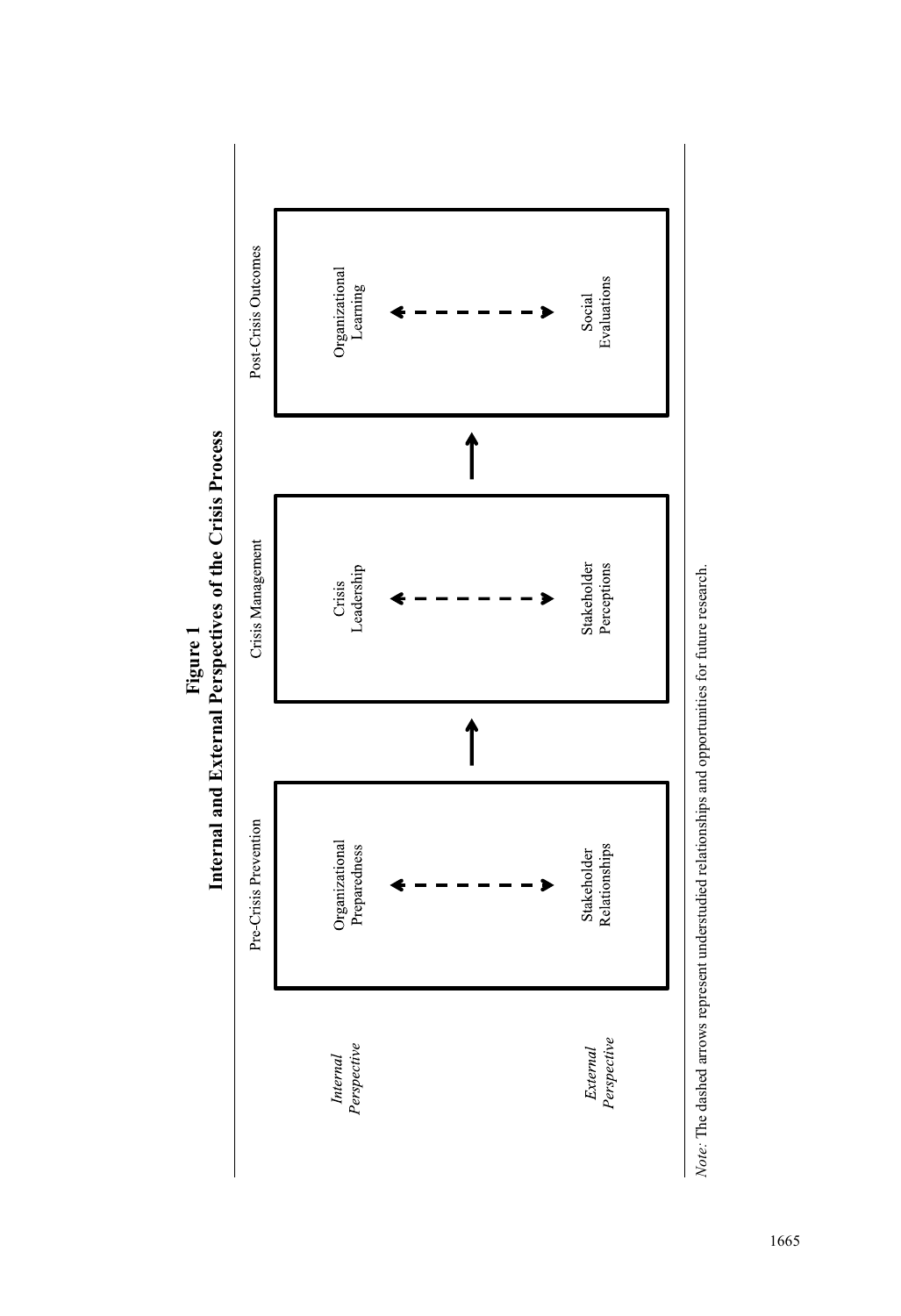

Internal and External Perspectives of the Crisis Process **Internal and External Perspectives of the Crisis Process Figure 1**

1665

*Note:* The dashed arrows represent understudied relationships and opportunities for future research.

Note: The dashed arrows represent understudied relationships and opportunities for future research.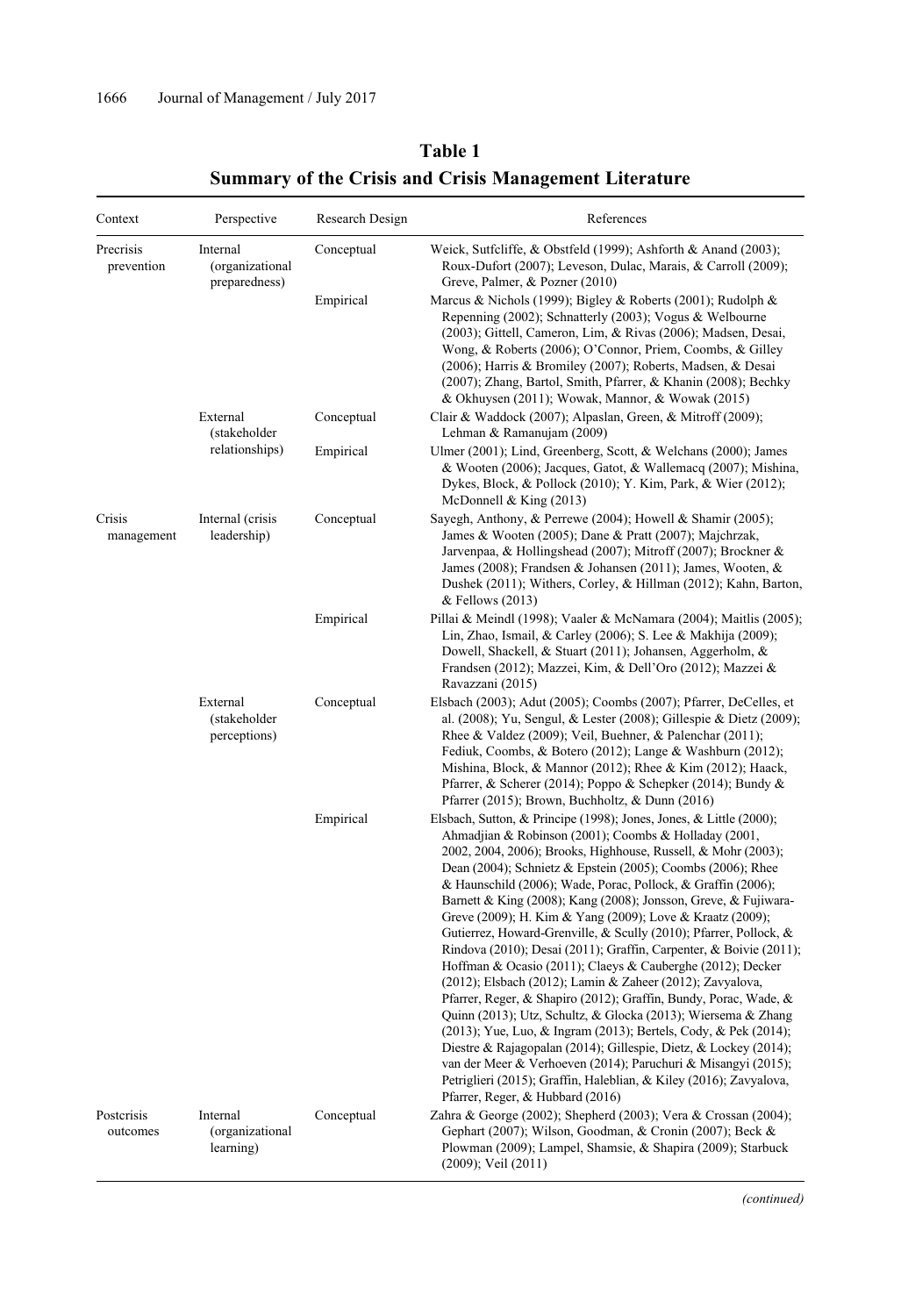| Context                 | Perspective                                  | Research Design | References                                                                                                                                                                                                                                                                                                                                                                                                                                                                                                                                                                                                                                                                                                                                                                                                                                                                                                                                                                                                                                                                                                                                                                               |
|-------------------------|----------------------------------------------|-----------------|------------------------------------------------------------------------------------------------------------------------------------------------------------------------------------------------------------------------------------------------------------------------------------------------------------------------------------------------------------------------------------------------------------------------------------------------------------------------------------------------------------------------------------------------------------------------------------------------------------------------------------------------------------------------------------------------------------------------------------------------------------------------------------------------------------------------------------------------------------------------------------------------------------------------------------------------------------------------------------------------------------------------------------------------------------------------------------------------------------------------------------------------------------------------------------------|
| Precrisis<br>prevention | Internal<br>(organizational<br>preparedness) | Conceptual      | Weick, Sutfcliffe, & Obstfeld (1999); Ashforth & Anand (2003);<br>Roux-Dufort (2007); Leveson, Dulac, Marais, & Carroll (2009);<br>Greve, Palmer, & Pozner (2010)                                                                                                                                                                                                                                                                                                                                                                                                                                                                                                                                                                                                                                                                                                                                                                                                                                                                                                                                                                                                                        |
|                         |                                              | Empirical       | Marcus & Nichols (1999); Bigley & Roberts (2001); Rudolph &<br>Repenning (2002); Schnatterly (2003); Vogus & Welbourne<br>(2003); Gittell, Cameron, Lim, & Rivas (2006); Madsen, Desai,<br>Wong, & Roberts (2006); O'Connor, Priem, Coombs, & Gilley<br>(2006); Harris & Bromiley (2007); Roberts, Madsen, & Desai<br>(2007); Zhang, Bartol, Smith, Pfarrer, & Khanin (2008); Bechky<br>& Okhuysen (2011); Wowak, Mannor, & Wowak (2015)                                                                                                                                                                                                                                                                                                                                                                                                                                                                                                                                                                                                                                                                                                                                                 |
|                         | External<br>(stakeholder                     | Conceptual      | Clair & Waddock (2007); Alpaslan, Green, & Mitroff (2009);<br>Lehman & Ramanujam (2009)                                                                                                                                                                                                                                                                                                                                                                                                                                                                                                                                                                                                                                                                                                                                                                                                                                                                                                                                                                                                                                                                                                  |
|                         | relationships)                               | Empirical       | Ulmer (2001); Lind, Greenberg, Scott, & Welchans (2000); James<br>& Wooten (2006); Jacques, Gatot, & Wallemacq (2007); Mishina,<br>Dykes, Block, & Pollock (2010); Y. Kim, Park, & Wier (2012);<br>McDonnell & King (2013)                                                                                                                                                                                                                                                                                                                                                                                                                                                                                                                                                                                                                                                                                                                                                                                                                                                                                                                                                               |
| Crisis<br>management    | Internal (crisis<br>leadership)              | Conceptual      | Sayegh, Anthony, & Perrewe (2004); Howell & Shamir (2005);<br>James & Wooten (2005); Dane & Pratt (2007); Majchrzak,<br>Jarvenpaa, & Hollingshead (2007); Mitroff (2007); Brockner &<br>James (2008); Frandsen & Johansen (2011); James, Wooten, &<br>Dushek (2011); Withers, Corley, & Hillman (2012); Kahn, Barton,<br>& Fellows (2013)                                                                                                                                                                                                                                                                                                                                                                                                                                                                                                                                                                                                                                                                                                                                                                                                                                                |
|                         |                                              | Empirical       | Pillai & Meindl (1998); Vaaler & McNamara (2004); Maitlis (2005);<br>Lin, Zhao, Ismail, & Carley (2006); S. Lee & Makhija (2009);<br>Dowell, Shackell, & Stuart (2011); Johansen, Aggerholm, &<br>Frandsen (2012); Mazzei, Kim, & Dell'Oro (2012); Mazzei &<br>Ravazzani (2015)                                                                                                                                                                                                                                                                                                                                                                                                                                                                                                                                                                                                                                                                                                                                                                                                                                                                                                          |
|                         | External<br>(stakeholder<br>perceptions)     | Conceptual      | Elsbach (2003); Adut (2005); Coombs (2007); Pfarrer, DeCelles, et<br>al. (2008); Yu, Sengul, & Lester (2008); Gillespie & Dietz (2009);<br>Rhee & Valdez (2009); Veil, Buehner, & Palenchar (2011);<br>Fediuk, Coombs, & Botero (2012); Lange & Washburn (2012);<br>Mishina, Block, & Mannor (2012); Rhee & Kim (2012); Haack,<br>Pfarrer, & Scherer (2014); Poppo & Schepker (2014); Bundy &<br>Pfarrer (2015); Brown, Buchholtz, & Dunn (2016)                                                                                                                                                                                                                                                                                                                                                                                                                                                                                                                                                                                                                                                                                                                                         |
|                         |                                              | Empirical       | Elsbach, Sutton, & Principe (1998); Jones, Jones, & Little (2000);<br>Ahmadjian & Robinson (2001); Coombs & Holladay (2001,<br>2002, 2004, 2006); Brooks, Highhouse, Russell, & Mohr (2003);<br>Dean (2004); Schnietz & Epstein (2005); Coombs (2006); Rhee<br>& Haunschild (2006); Wade, Porac, Pollock, & Graffin (2006);<br>Barnett & King (2008); Kang (2008); Jonsson, Greve, & Fujiwara-<br>Greve (2009); H. Kim & Yang (2009); Love & Kraatz (2009);<br>Gutierrez, Howard-Grenville, & Scully (2010); Pfarrer, Pollock, &<br>Rindova (2010); Desai (2011); Graffin, Carpenter, & Boivie (2011);<br>Hoffman & Ocasio (2011); Claeys & Cauberghe (2012); Decker<br>(2012); Elsbach (2012); Lamin & Zaheer (2012); Zavyalova,<br>Pfarrer, Reger, & Shapiro (2012); Graffin, Bundy, Porac, Wade, &<br>Quinn (2013); Utz, Schultz, & Glocka (2013); Wiersema & Zhang<br>(2013); Yue, Luo, & Ingram (2013); Bertels, Cody, & Pek (2014);<br>Diestre & Rajagopalan (2014); Gillespie, Dietz, & Lockey (2014);<br>van der Meer & Verhoeven (2014); Paruchuri & Misangyi (2015);<br>Petriglieri (2015); Graffin, Haleblian, & Kiley (2016); Zavyalova,<br>Pfarrer, Reger, & Hubbard (2016) |
| Postcrisis<br>outcomes  | Internal<br>(organizational<br>learning)     | Conceptual      | Zahra & George (2002); Shepherd (2003); Vera & Crossan (2004);<br>Gephart (2007); Wilson, Goodman, & Cronin (2007); Beck &<br>Plowman (2009); Lampel, Shamsie, & Shapira (2009); Starbuck<br>(2009); Veil (2011)                                                                                                                                                                                                                                                                                                                                                                                                                                                                                                                                                                                                                                                                                                                                                                                                                                                                                                                                                                         |

## **Table 1 Summary of the Crisis and Crisis Management Literature**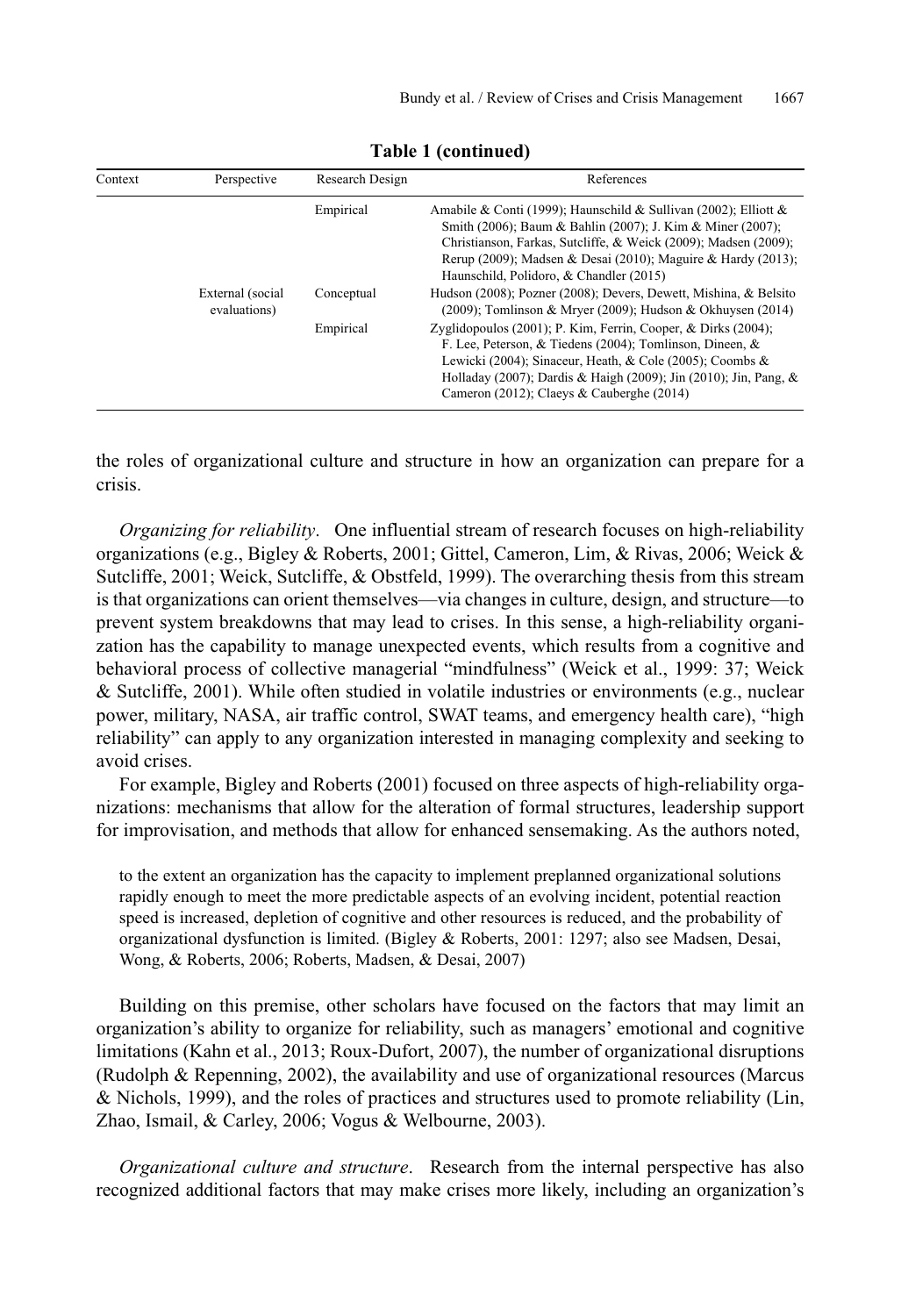| Context | Perspective                      | Research Design | References                                                                                                                                                                                                                                                                                                  |
|---------|----------------------------------|-----------------|-------------------------------------------------------------------------------------------------------------------------------------------------------------------------------------------------------------------------------------------------------------------------------------------------------------|
|         |                                  | Empirical       | Amabile & Conti (1999); Haunschild & Sullivan (2002); Elliott &<br>Smith (2006); Baum & Bahlin (2007); J. Kim & Miner (2007);<br>Christianson, Farkas, Sutcliffe, & Weick (2009); Madsen (2009);<br>Rerup (2009); Madsen & Desai (2010); Maguire & Hardy (2013);<br>Haunschild, Polidoro, & Chandler (2015) |
|         | External (social<br>evaluations) | Conceptual      | Hudson (2008); Pozner (2008); Devers, Dewett, Mishina, & Belsito<br>$(2009)$ ; Tomlinson & Mryer (2009); Hudson & Okhuysen (2014)                                                                                                                                                                           |
|         |                                  | Empirical       | Zyglidopoulos (2001); P. Kim, Ferrin, Cooper, & Dirks (2004);<br>F. Lee, Peterson, & Tiedens (2004); Tomlinson, Dineen, &<br>Lewicki (2004); Sinaceur, Heath, & Cole (2005); Coombs &<br>Holladay (2007); Dardis & Haigh (2009); Jin (2010); Jin, Pang, &<br>Cameron (2012); Claeys & Cauberghe (2014)      |

**Table 1 (continued)**

the roles of organizational culture and structure in how an organization can prepare for a crisis.

*Organizing for reliability*. One influential stream of research focuses on high-reliability organizations (e.g., Bigley & Roberts, 2001; Gittel, Cameron, Lim, & Rivas, 2006; Weick & Sutcliffe, 2001; Weick, Sutcliffe, & Obstfeld, 1999). The overarching thesis from this stream is that organizations can orient themselves—via changes in culture, design, and structure—to prevent system breakdowns that may lead to crises. In this sense, a high-reliability organization has the capability to manage unexpected events, which results from a cognitive and behavioral process of collective managerial "mindfulness" (Weick et al., 1999: 37; Weick & Sutcliffe, 2001). While often studied in volatile industries or environments (e.g., nuclear power, military, NASA, air traffic control, SWAT teams, and emergency health care), "high reliability" can apply to any organization interested in managing complexity and seeking to avoid crises.

For example, Bigley and Roberts (2001) focused on three aspects of high-reliability organizations: mechanisms that allow for the alteration of formal structures, leadership support for improvisation, and methods that allow for enhanced sensemaking. As the authors noted,

to the extent an organization has the capacity to implement preplanned organizational solutions rapidly enough to meet the more predictable aspects of an evolving incident, potential reaction speed is increased, depletion of cognitive and other resources is reduced, and the probability of organizational dysfunction is limited. (Bigley & Roberts, 2001: 1297; also see Madsen, Desai, Wong, & Roberts, 2006; Roberts, Madsen, & Desai, 2007)

Building on this premise, other scholars have focused on the factors that may limit an organization's ability to organize for reliability, such as managers' emotional and cognitive limitations (Kahn et al., 2013; Roux-Dufort, 2007), the number of organizational disruptions (Rudolph & Repenning, 2002), the availability and use of organizational resources (Marcus & Nichols, 1999), and the roles of practices and structures used to promote reliability (Lin, Zhao, Ismail, & Carley, 2006; Vogus & Welbourne, 2003).

*Organizational culture and structure*. Research from the internal perspective has also recognized additional factors that may make crises more likely, including an organization's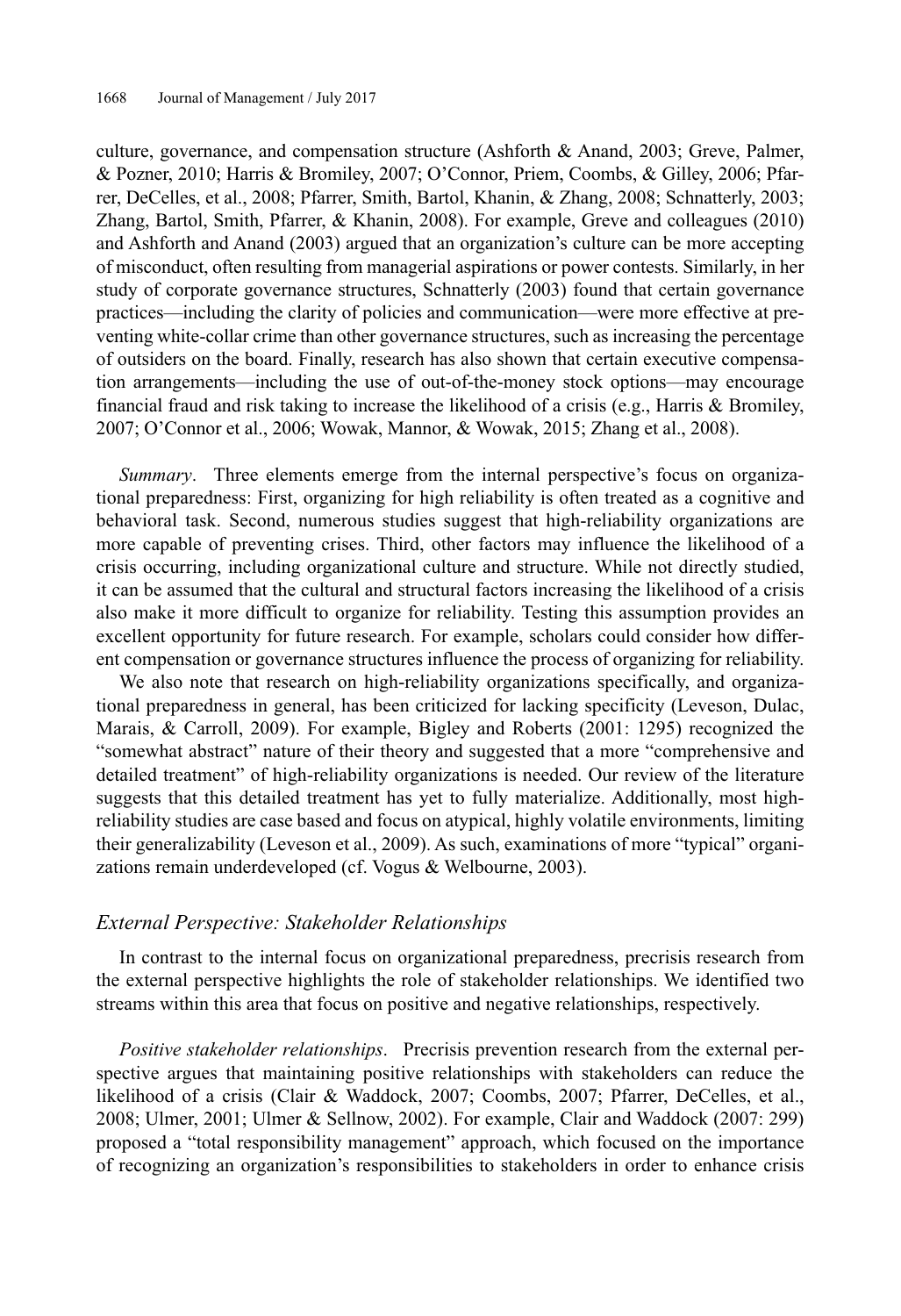culture, governance, and compensation structure (Ashforth & Anand, 2003; Greve, Palmer, & Pozner, 2010; Harris & Bromiley, 2007; O'Connor, Priem, Coombs, & Gilley, 2006; Pfarrer, DeCelles, et al., 2008; Pfarrer, Smith, Bartol, Khanin, & Zhang, 2008; Schnatterly, 2003; Zhang, Bartol, Smith, Pfarrer, & Khanin, 2008). For example, Greve and colleagues (2010) and Ashforth and Anand (2003) argued that an organization's culture can be more accepting of misconduct, often resulting from managerial aspirations or power contests. Similarly, in her study of corporate governance structures, Schnatterly (2003) found that certain governance practices—including the clarity of policies and communication—were more effective at preventing white-collar crime than other governance structures, such as increasing the percentage of outsiders on the board. Finally, research has also shown that certain executive compensation arrangements—including the use of out-of-the-money stock options—may encourage financial fraud and risk taking to increase the likelihood of a crisis (e.g., Harris & Bromiley, 2007; O'Connor et al., 2006; Wowak, Mannor, & Wowak, 2015; Zhang et al., 2008).

*Summary*. Three elements emerge from the internal perspective's focus on organizational preparedness: First, organizing for high reliability is often treated as a cognitive and behavioral task. Second, numerous studies suggest that high-reliability organizations are more capable of preventing crises. Third, other factors may influence the likelihood of a crisis occurring, including organizational culture and structure. While not directly studied, it can be assumed that the cultural and structural factors increasing the likelihood of a crisis also make it more difficult to organize for reliability. Testing this assumption provides an excellent opportunity for future research. For example, scholars could consider how different compensation or governance structures influence the process of organizing for reliability.

We also note that research on high-reliability organizations specifically, and organizational preparedness in general, has been criticized for lacking specificity (Leveson, Dulac, Marais, & Carroll, 2009). For example, Bigley and Roberts (2001: 1295) recognized the "somewhat abstract" nature of their theory and suggested that a more "comprehensive and detailed treatment" of high-reliability organizations is needed. Our review of the literature suggests that this detailed treatment has yet to fully materialize. Additionally, most highreliability studies are case based and focus on atypical, highly volatile environments, limiting their generalizability (Leveson et al., 2009). As such, examinations of more "typical" organizations remain underdeveloped (cf. Vogus & Welbourne, 2003).

#### *External Perspective: Stakeholder Relationships*

In contrast to the internal focus on organizational preparedness, precrisis research from the external perspective highlights the role of stakeholder relationships. We identified two streams within this area that focus on positive and negative relationships, respectively.

*Positive stakeholder relationships*. Precrisis prevention research from the external perspective argues that maintaining positive relationships with stakeholders can reduce the likelihood of a crisis (Clair & Waddock, 2007; Coombs, 2007; Pfarrer, DeCelles, et al., 2008; Ulmer, 2001; Ulmer & Sellnow, 2002). For example, Clair and Waddock (2007: 299) proposed a "total responsibility management" approach, which focused on the importance of recognizing an organization's responsibilities to stakeholders in order to enhance crisis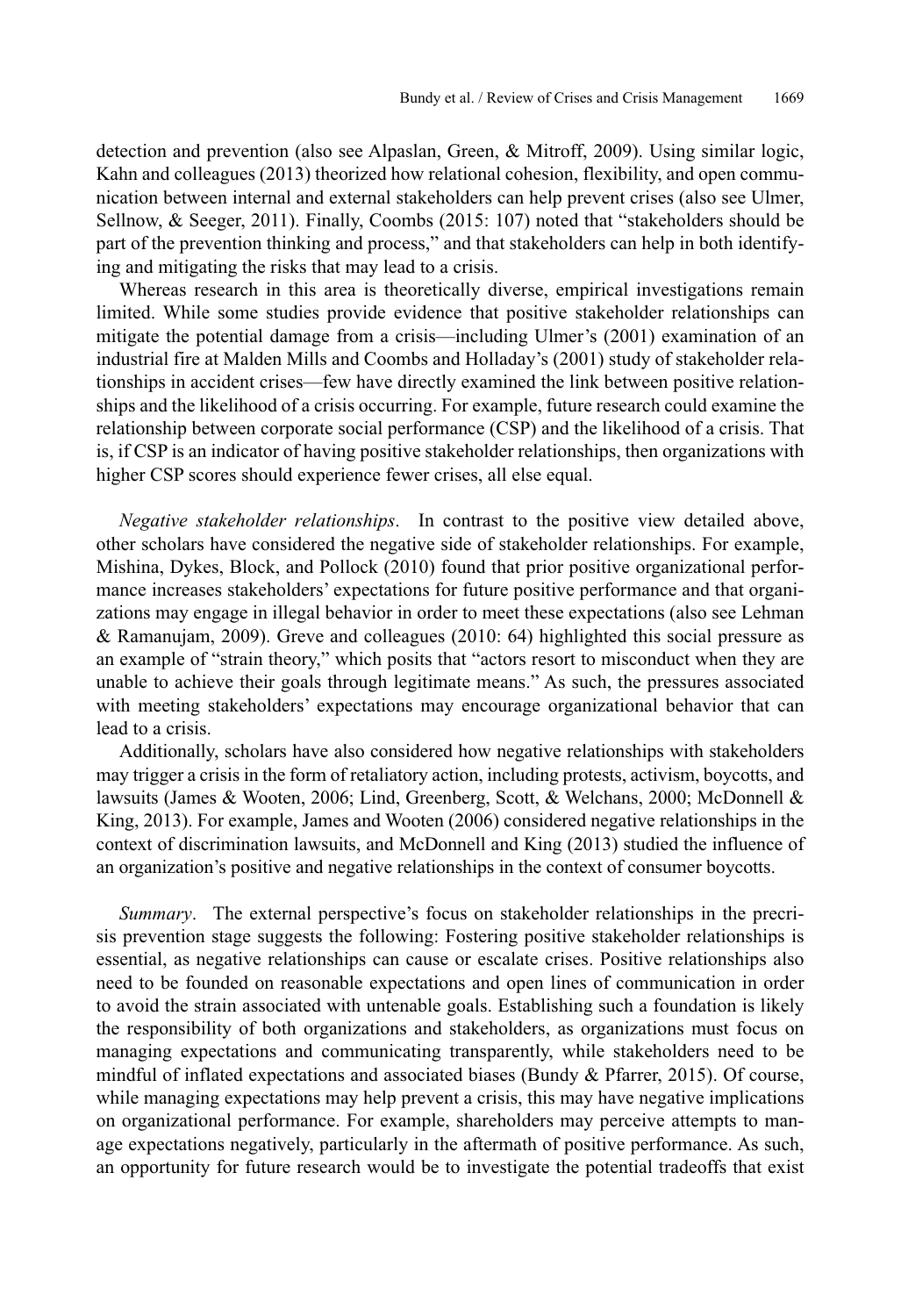detection and prevention (also see Alpaslan, Green, & Mitroff, 2009). Using similar logic, Kahn and colleagues (2013) theorized how relational cohesion, flexibility, and open communication between internal and external stakeholders can help prevent crises (also see Ulmer, Sellnow, & Seeger, 2011). Finally, Coombs (2015: 107) noted that "stakeholders should be part of the prevention thinking and process," and that stakeholders can help in both identifying and mitigating the risks that may lead to a crisis.

Whereas research in this area is theoretically diverse, empirical investigations remain limited. While some studies provide evidence that positive stakeholder relationships can mitigate the potential damage from a crisis—including Ulmer's (2001) examination of an industrial fire at Malden Mills and Coombs and Holladay's (2001) study of stakeholder relationships in accident crises—few have directly examined the link between positive relationships and the likelihood of a crisis occurring. For example, future research could examine the relationship between corporate social performance (CSP) and the likelihood of a crisis. That is, if CSP is an indicator of having positive stakeholder relationships, then organizations with higher CSP scores should experience fewer crises, all else equal.

*Negative stakeholder relationships*. In contrast to the positive view detailed above, other scholars have considered the negative side of stakeholder relationships. For example, Mishina, Dykes, Block, and Pollock (2010) found that prior positive organizational performance increases stakeholders' expectations for future positive performance and that organizations may engage in illegal behavior in order to meet these expectations (also see Lehman & Ramanujam, 2009). Greve and colleagues (2010: 64) highlighted this social pressure as an example of "strain theory," which posits that "actors resort to misconduct when they are unable to achieve their goals through legitimate means." As such, the pressures associated with meeting stakeholders' expectations may encourage organizational behavior that can lead to a crisis.

Additionally, scholars have also considered how negative relationships with stakeholders may trigger a crisis in the form of retaliatory action, including protests, activism, boycotts, and lawsuits (James & Wooten, 2006; Lind, Greenberg, Scott, & Welchans, 2000; McDonnell & King, 2013). For example, James and Wooten (2006) considered negative relationships in the context of discrimination lawsuits, and McDonnell and King (2013) studied the influence of an organization's positive and negative relationships in the context of consumer boycotts.

*Summary*. The external perspective's focus on stakeholder relationships in the precrisis prevention stage suggests the following: Fostering positive stakeholder relationships is essential, as negative relationships can cause or escalate crises. Positive relationships also need to be founded on reasonable expectations and open lines of communication in order to avoid the strain associated with untenable goals. Establishing such a foundation is likely the responsibility of both organizations and stakeholders, as organizations must focus on managing expectations and communicating transparently, while stakeholders need to be mindful of inflated expectations and associated biases (Bundy & Pfarrer, 2015). Of course, while managing expectations may help prevent a crisis, this may have negative implications on organizational performance. For example, shareholders may perceive attempts to manage expectations negatively, particularly in the aftermath of positive performance. As such, an opportunity for future research would be to investigate the potential tradeoffs that exist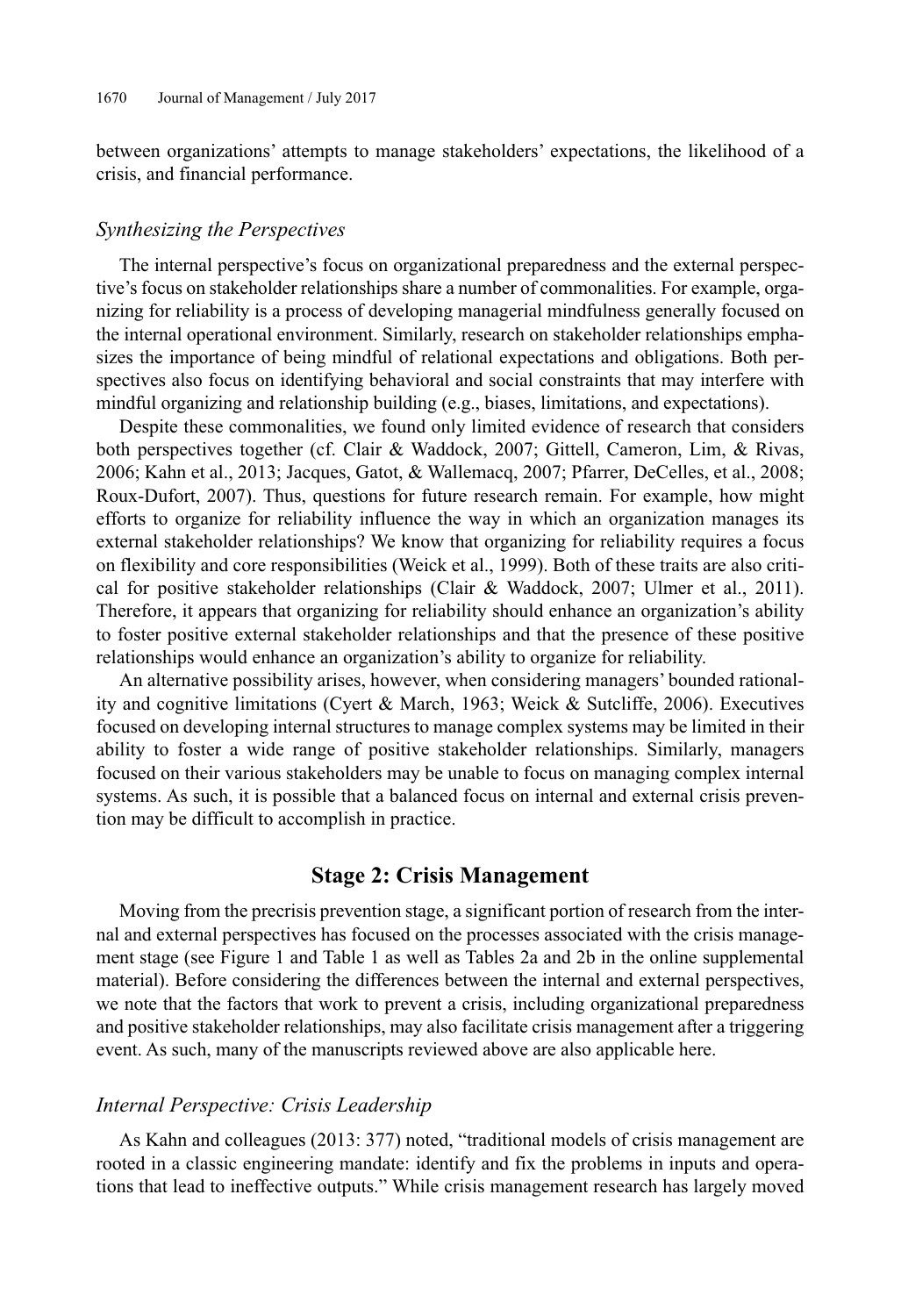between organizations' attempts to manage stakeholders' expectations, the likelihood of a crisis, and financial performance.

## *Synthesizing the Perspectives*

The internal perspective's focus on organizational preparedness and the external perspective's focus on stakeholder relationships share a number of commonalities. For example, organizing for reliability is a process of developing managerial mindfulness generally focused on the internal operational environment. Similarly, research on stakeholder relationships emphasizes the importance of being mindful of relational expectations and obligations. Both perspectives also focus on identifying behavioral and social constraints that may interfere with mindful organizing and relationship building (e.g., biases, limitations, and expectations).

Despite these commonalities, we found only limited evidence of research that considers both perspectives together (cf. Clair & Waddock, 2007; Gittell, Cameron, Lim, & Rivas, 2006; Kahn et al., 2013; Jacques, Gatot, & Wallemacq, 2007; Pfarrer, DeCelles, et al., 2008; Roux-Dufort, 2007). Thus, questions for future research remain. For example, how might efforts to organize for reliability influence the way in which an organization manages its external stakeholder relationships? We know that organizing for reliability requires a focus on flexibility and core responsibilities (Weick et al., 1999). Both of these traits are also critical for positive stakeholder relationships (Clair & Waddock, 2007; Ulmer et al., 2011). Therefore, it appears that organizing for reliability should enhance an organization's ability to foster positive external stakeholder relationships and that the presence of these positive relationships would enhance an organization's ability to organize for reliability.

An alternative possibility arises, however, when considering managers' bounded rationality and cognitive limitations (Cyert & March, 1963; Weick & Sutcliffe, 2006). Executives focused on developing internal structures to manage complex systems may be limited in their ability to foster a wide range of positive stakeholder relationships. Similarly, managers focused on their various stakeholders may be unable to focus on managing complex internal systems. As such, it is possible that a balanced focus on internal and external crisis prevention may be difficult to accomplish in practice.

### **Stage 2: Crisis Management**

Moving from the precrisis prevention stage, a significant portion of research from the internal and external perspectives has focused on the processes associated with the crisis management stage (see Figure 1 and Table 1 as well as Tables 2a and 2b in the online supplemental material). Before considering the differences between the internal and external perspectives, we note that the factors that work to prevent a crisis, including organizational preparedness and positive stakeholder relationships, may also facilitate crisis management after a triggering event. As such, many of the manuscripts reviewed above are also applicable here.

#### *Internal Perspective: Crisis Leadership*

As Kahn and colleagues (2013: 377) noted, "traditional models of crisis management are rooted in a classic engineering mandate: identify and fix the problems in inputs and operations that lead to ineffective outputs." While crisis management research has largely moved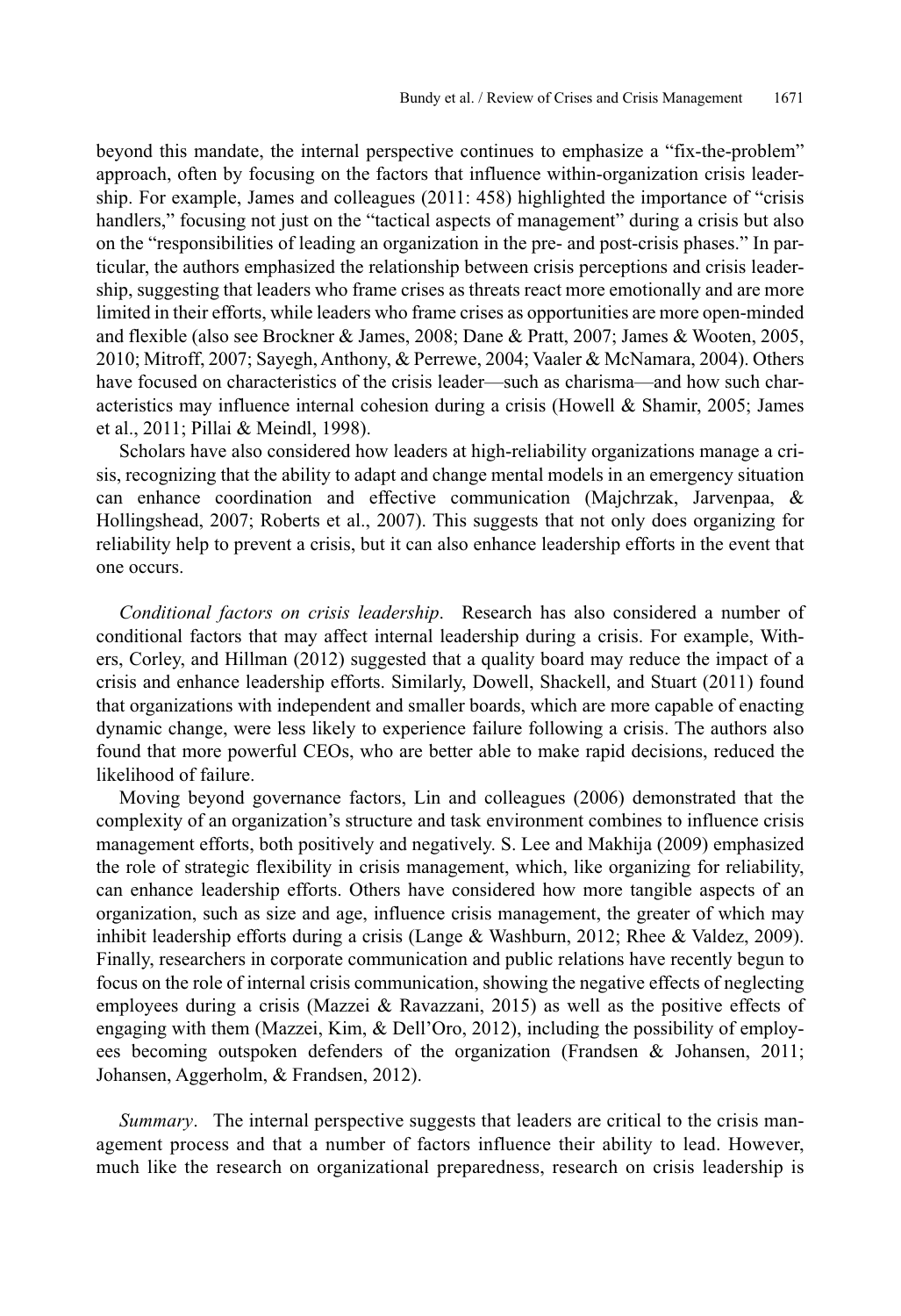beyond this mandate, the internal perspective continues to emphasize a "fix-the-problem" approach, often by focusing on the factors that influence within-organization crisis leadership. For example, James and colleagues (2011: 458) highlighted the importance of "crisis handlers," focusing not just on the "tactical aspects of management" during a crisis but also on the "responsibilities of leading an organization in the pre- and post-crisis phases." In particular, the authors emphasized the relationship between crisis perceptions and crisis leadership, suggesting that leaders who frame crises as threats react more emotionally and are more limited in their efforts, while leaders who frame crises as opportunities are more open-minded and flexible (also see Brockner & James, 2008; Dane & Pratt, 2007; James & Wooten, 2005, 2010; Mitroff, 2007; Sayegh, Anthony, & Perrewe, 2004; Vaaler & McNamara, 2004). Others have focused on characteristics of the crisis leader—such as charisma—and how such characteristics may influence internal cohesion during a crisis (Howell & Shamir, 2005; James et al., 2011; Pillai & Meindl, 1998).

Scholars have also considered how leaders at high-reliability organizations manage a crisis, recognizing that the ability to adapt and change mental models in an emergency situation can enhance coordination and effective communication (Majchrzak, Jarvenpaa, & Hollingshead, 2007; Roberts et al., 2007). This suggests that not only does organizing for reliability help to prevent a crisis, but it can also enhance leadership efforts in the event that one occurs.

*Conditional factors on crisis leadership*. Research has also considered a number of conditional factors that may affect internal leadership during a crisis. For example, Withers, Corley, and Hillman (2012) suggested that a quality board may reduce the impact of a crisis and enhance leadership efforts. Similarly, Dowell, Shackell, and Stuart (2011) found that organizations with independent and smaller boards, which are more capable of enacting dynamic change, were less likely to experience failure following a crisis. The authors also found that more powerful CEOs, who are better able to make rapid decisions, reduced the likelihood of failure.

Moving beyond governance factors, Lin and colleagues (2006) demonstrated that the complexity of an organization's structure and task environment combines to influence crisis management efforts, both positively and negatively. S. Lee and Makhija (2009) emphasized the role of strategic flexibility in crisis management, which, like organizing for reliability, can enhance leadership efforts. Others have considered how more tangible aspects of an organization, such as size and age, influence crisis management, the greater of which may inhibit leadership efforts during a crisis (Lange & Washburn, 2012; Rhee & Valdez, 2009). Finally, researchers in corporate communication and public relations have recently begun to focus on the role of internal crisis communication, showing the negative effects of neglecting employees during a crisis (Mazzei & Ravazzani, 2015) as well as the positive effects of engaging with them (Mazzei, Kim, & Dell'Oro, 2012), including the possibility of employees becoming outspoken defenders of the organization (Frandsen & Johansen, 2011; Johansen, Aggerholm, & Frandsen, 2012).

*Summary*. The internal perspective suggests that leaders are critical to the crisis management process and that a number of factors influence their ability to lead. However, much like the research on organizational preparedness, research on crisis leadership is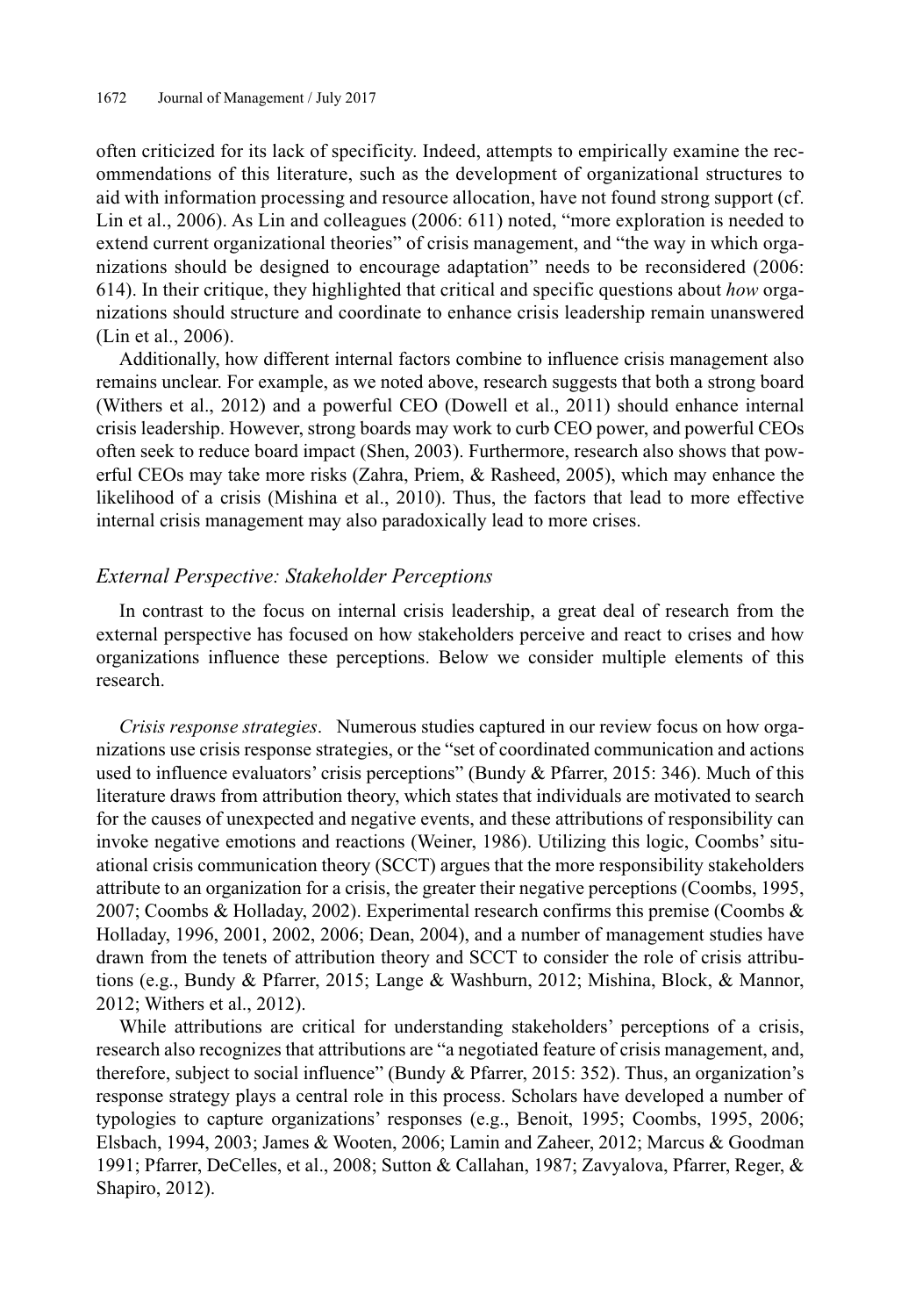often criticized for its lack of specificity. Indeed, attempts to empirically examine the recommendations of this literature, such as the development of organizational structures to aid with information processing and resource allocation, have not found strong support (cf. Lin et al., 2006). As Lin and colleagues (2006: 611) noted, "more exploration is needed to extend current organizational theories" of crisis management, and "the way in which organizations should be designed to encourage adaptation" needs to be reconsidered (2006: 614). In their critique, they highlighted that critical and specific questions about *how* organizations should structure and coordinate to enhance crisis leadership remain unanswered (Lin et al., 2006).

Additionally, how different internal factors combine to influence crisis management also remains unclear. For example, as we noted above, research suggests that both a strong board (Withers et al., 2012) and a powerful CEO (Dowell et al., 2011) should enhance internal crisis leadership. However, strong boards may work to curb CEO power, and powerful CEOs often seek to reduce board impact (Shen, 2003). Furthermore, research also shows that powerful CEOs may take more risks (Zahra, Priem, & Rasheed, 2005), which may enhance the likelihood of a crisis (Mishina et al., 2010). Thus, the factors that lead to more effective internal crisis management may also paradoxically lead to more crises.

#### *External Perspective: Stakeholder Perceptions*

In contrast to the focus on internal crisis leadership, a great deal of research from the external perspective has focused on how stakeholders perceive and react to crises and how organizations influence these perceptions. Below we consider multiple elements of this research.

*Crisis response strategies*. Numerous studies captured in our review focus on how organizations use crisis response strategies, or the "set of coordinated communication and actions used to influence evaluators' crisis perceptions" (Bundy & Pfarrer, 2015: 346). Much of this literature draws from attribution theory, which states that individuals are motivated to search for the causes of unexpected and negative events, and these attributions of responsibility can invoke negative emotions and reactions (Weiner, 1986). Utilizing this logic, Coombs' situational crisis communication theory (SCCT) argues that the more responsibility stakeholders attribute to an organization for a crisis, the greater their negative perceptions (Coombs, 1995, 2007; Coombs & Holladay, 2002). Experimental research confirms this premise (Coombs & Holladay, 1996, 2001, 2002, 2006; Dean, 2004), and a number of management studies have drawn from the tenets of attribution theory and SCCT to consider the role of crisis attributions (e.g., Bundy & Pfarrer, 2015; Lange & Washburn, 2012; Mishina, Block, & Mannor, 2012; Withers et al., 2012).

While attributions are critical for understanding stakeholders' perceptions of a crisis, research also recognizes that attributions are "a negotiated feature of crisis management, and, therefore, subject to social influence" (Bundy & Pfarrer, 2015: 352). Thus, an organization's response strategy plays a central role in this process. Scholars have developed a number of typologies to capture organizations' responses (e.g., Benoit, 1995; Coombs, 1995, 2006; Elsbach, 1994, 2003; James & Wooten, 2006; Lamin and Zaheer, 2012; Marcus & Goodman 1991; Pfarrer, DeCelles, et al., 2008; Sutton & Callahan, 1987; Zavyalova, Pfarrer, Reger, & Shapiro, 2012).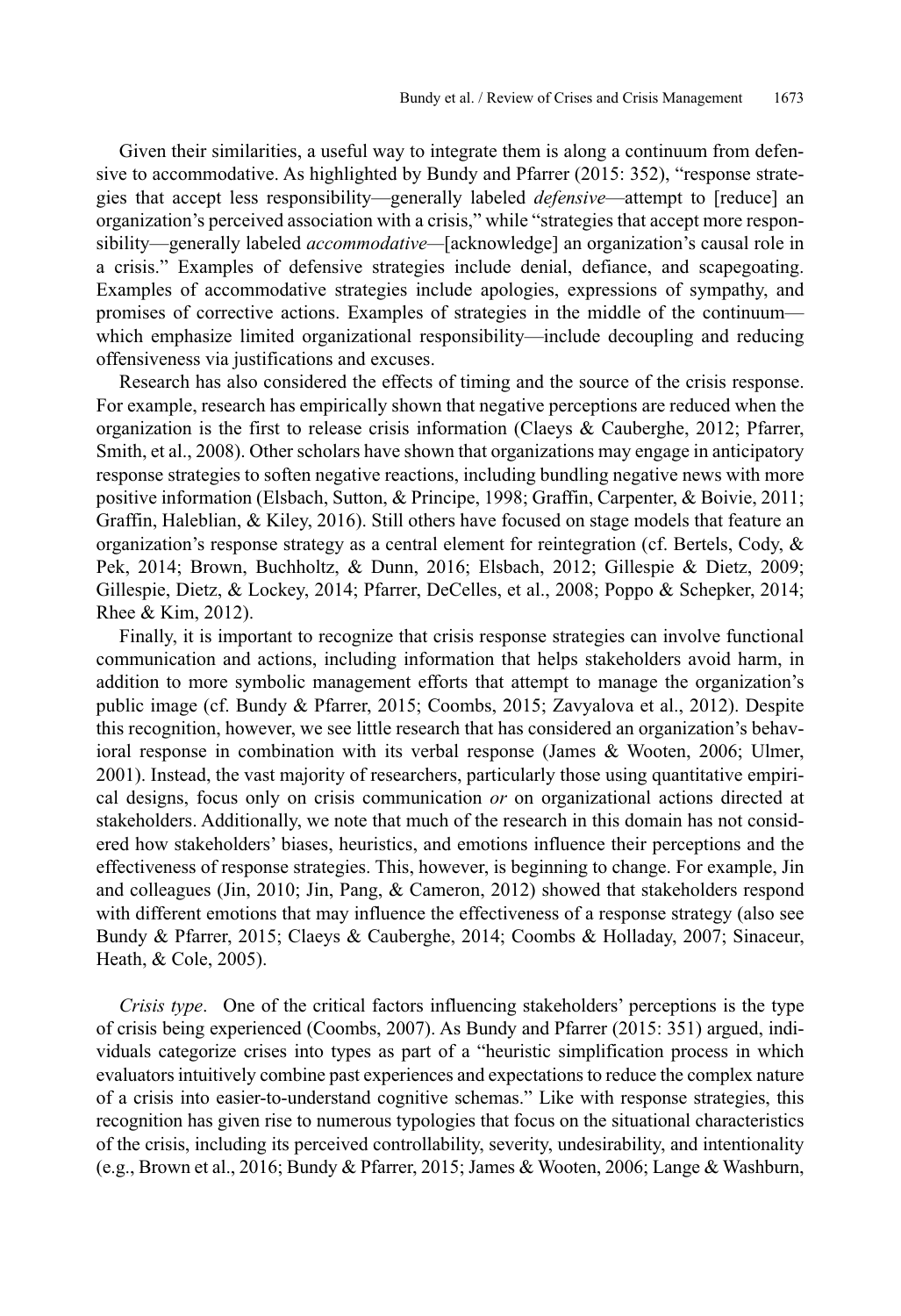Given their similarities, a useful way to integrate them is along a continuum from defensive to accommodative. As highlighted by Bundy and Pfarrer (2015: 352), "response strategies that accept less responsibility—generally labeled *defensive*—attempt to [reduce] an organization's perceived association with a crisis," while "strategies that accept more responsibility—generally labeled *accommodative—*[acknowledge] an organization's causal role in a crisis." Examples of defensive strategies include denial, defiance, and scapegoating. Examples of accommodative strategies include apologies, expressions of sympathy, and promises of corrective actions. Examples of strategies in the middle of the continuum which emphasize limited organizational responsibility—include decoupling and reducing offensiveness via justifications and excuses.

Research has also considered the effects of timing and the source of the crisis response. For example, research has empirically shown that negative perceptions are reduced when the organization is the first to release crisis information (Claeys & Cauberghe, 2012; Pfarrer, Smith, et al., 2008). Other scholars have shown that organizations may engage in anticipatory response strategies to soften negative reactions, including bundling negative news with more positive information (Elsbach, Sutton, & Principe, 1998; Graffin, Carpenter, & Boivie, 2011; Graffin, Haleblian, & Kiley, 2016). Still others have focused on stage models that feature an organization's response strategy as a central element for reintegration (cf. Bertels, Cody,  $\&$ Pek, 2014; Brown, Buchholtz, & Dunn, 2016; Elsbach, 2012; Gillespie & Dietz, 2009; Gillespie, Dietz, & Lockey, 2014; Pfarrer, DeCelles, et al., 2008; Poppo & Schepker, 2014; Rhee & Kim, 2012).

Finally, it is important to recognize that crisis response strategies can involve functional communication and actions, including information that helps stakeholders avoid harm, in addition to more symbolic management efforts that attempt to manage the organization's public image (cf. Bundy & Pfarrer, 2015; Coombs, 2015; Zavyalova et al., 2012). Despite this recognition, however, we see little research that has considered an organization's behavioral response in combination with its verbal response (James & Wooten, 2006; Ulmer, 2001). Instead, the vast majority of researchers, particularly those using quantitative empirical designs, focus only on crisis communication *or* on organizational actions directed at stakeholders. Additionally, we note that much of the research in this domain has not considered how stakeholders' biases, heuristics, and emotions influence their perceptions and the effectiveness of response strategies. This, however, is beginning to change. For example, Jin and colleagues (Jin, 2010; Jin, Pang, & Cameron, 2012) showed that stakeholders respond with different emotions that may influence the effectiveness of a response strategy (also see Bundy & Pfarrer, 2015; Claeys & Cauberghe, 2014; Coombs & Holladay, 2007; Sinaceur, Heath, & Cole, 2005).

*Crisis type*. One of the critical factors influencing stakeholders' perceptions is the type of crisis being experienced (Coombs, 2007). As Bundy and Pfarrer (2015: 351) argued, individuals categorize crises into types as part of a "heuristic simplification process in which evaluators intuitively combine past experiences and expectations to reduce the complex nature of a crisis into easier-to-understand cognitive schemas." Like with response strategies, this recognition has given rise to numerous typologies that focus on the situational characteristics of the crisis, including its perceived controllability, severity, undesirability, and intentionality (e.g., Brown et al., 2016; Bundy & Pfarrer, 2015; James & Wooten, 2006; Lange & Washburn,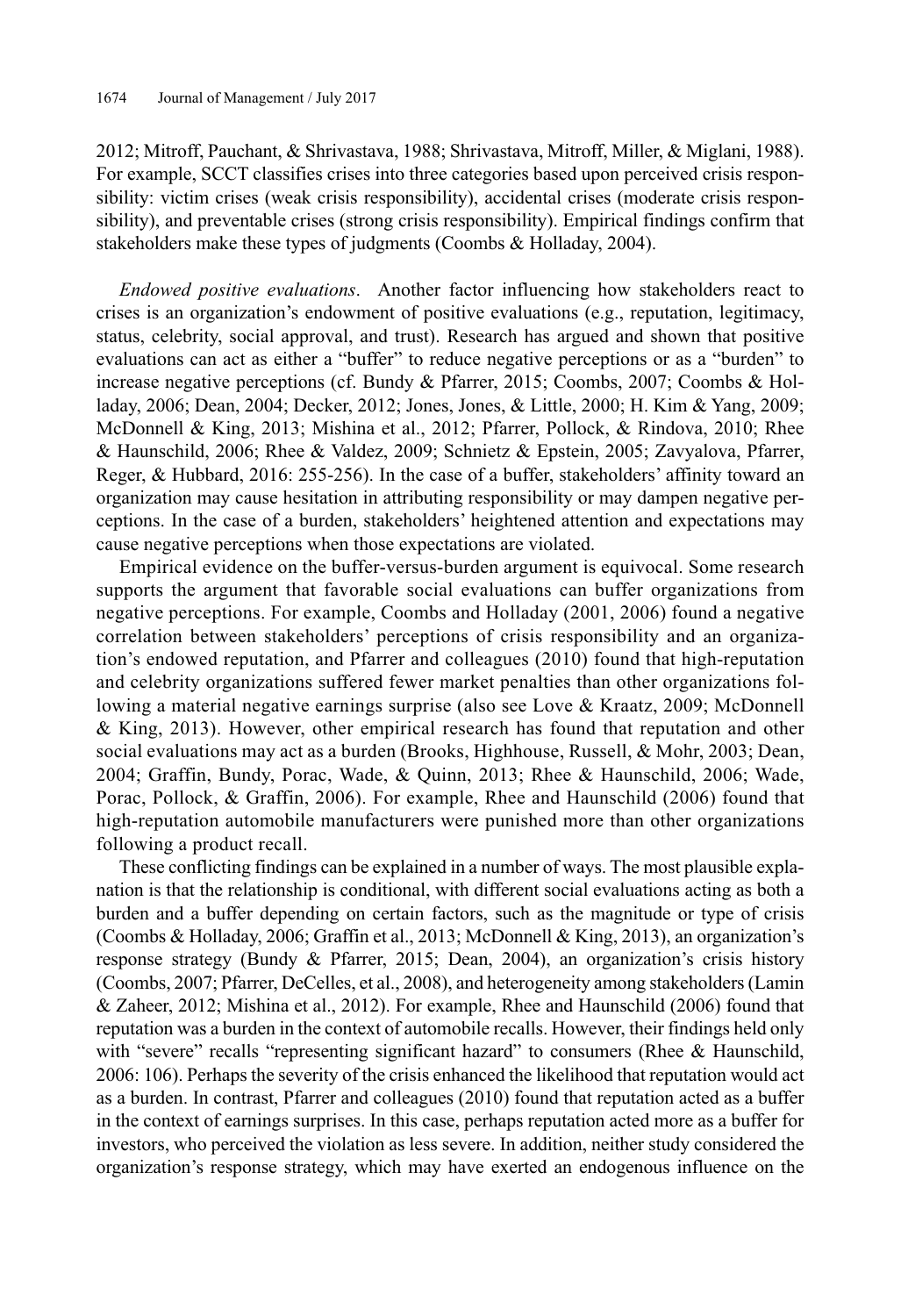2012; Mitroff, Pauchant, & Shrivastava, 1988; Shrivastava, Mitroff, Miller, & Miglani, 1988). For example, SCCT classifies crises into three categories based upon perceived crisis responsibility: victim crises (weak crisis responsibility), accidental crises (moderate crisis responsibility), and preventable crises (strong crisis responsibility). Empirical findings confirm that stakeholders make these types of judgments (Coombs & Holladay, 2004).

*Endowed positive evaluations*. Another factor influencing how stakeholders react to crises is an organization's endowment of positive evaluations (e.g., reputation, legitimacy, status, celebrity, social approval, and trust). Research has argued and shown that positive evaluations can act as either a "buffer" to reduce negative perceptions or as a "burden" to increase negative perceptions (cf. Bundy & Pfarrer, 2015; Coombs, 2007; Coombs & Holladay, 2006; Dean, 2004; Decker, 2012; Jones, Jones, & Little, 2000; H. Kim & Yang, 2009; McDonnell & King, 2013; Mishina et al., 2012; Pfarrer, Pollock, & Rindova, 2010; Rhee & Haunschild, 2006; Rhee & Valdez, 2009; Schnietz & Epstein, 2005; Zavyalova, Pfarrer, Reger, & Hubbard, 2016: 255-256). In the case of a buffer, stakeholders' affinity toward an organization may cause hesitation in attributing responsibility or may dampen negative perceptions. In the case of a burden, stakeholders' heightened attention and expectations may cause negative perceptions when those expectations are violated.

Empirical evidence on the buffer-versus-burden argument is equivocal. Some research supports the argument that favorable social evaluations can buffer organizations from negative perceptions. For example, Coombs and Holladay (2001, 2006) found a negative correlation between stakeholders' perceptions of crisis responsibility and an organization's endowed reputation, and Pfarrer and colleagues (2010) found that high-reputation and celebrity organizations suffered fewer market penalties than other organizations following a material negative earnings surprise (also see Love & Kraatz, 2009; McDonnell & King, 2013). However, other empirical research has found that reputation and other social evaluations may act as a burden (Brooks, Highhouse, Russell, & Mohr, 2003; Dean, 2004; Graffin, Bundy, Porac, Wade, & Quinn, 2013; Rhee & Haunschild, 2006; Wade, Porac, Pollock, & Graffin, 2006). For example, Rhee and Haunschild (2006) found that high-reputation automobile manufacturers were punished more than other organizations following a product recall.

These conflicting findings can be explained in a number of ways. The most plausible explanation is that the relationship is conditional, with different social evaluations acting as both a burden and a buffer depending on certain factors, such as the magnitude or type of crisis (Coombs & Holladay, 2006; Graffin et al., 2013; McDonnell & King, 2013), an organization's response strategy (Bundy & Pfarrer, 2015; Dean, 2004), an organization's crisis history (Coombs, 2007; Pfarrer, DeCelles, et al., 2008), and heterogeneity among stakeholders (Lamin & Zaheer, 2012; Mishina et al., 2012). For example, Rhee and Haunschild (2006) found that reputation was a burden in the context of automobile recalls. However, their findings held only with "severe" recalls "representing significant hazard" to consumers (Rhee & Haunschild, 2006: 106). Perhaps the severity of the crisis enhanced the likelihood that reputation would act as a burden. In contrast, Pfarrer and colleagues (2010) found that reputation acted as a buffer in the context of earnings surprises. In this case, perhaps reputation acted more as a buffer for investors, who perceived the violation as less severe. In addition, neither study considered the organization's response strategy, which may have exerted an endogenous influence on the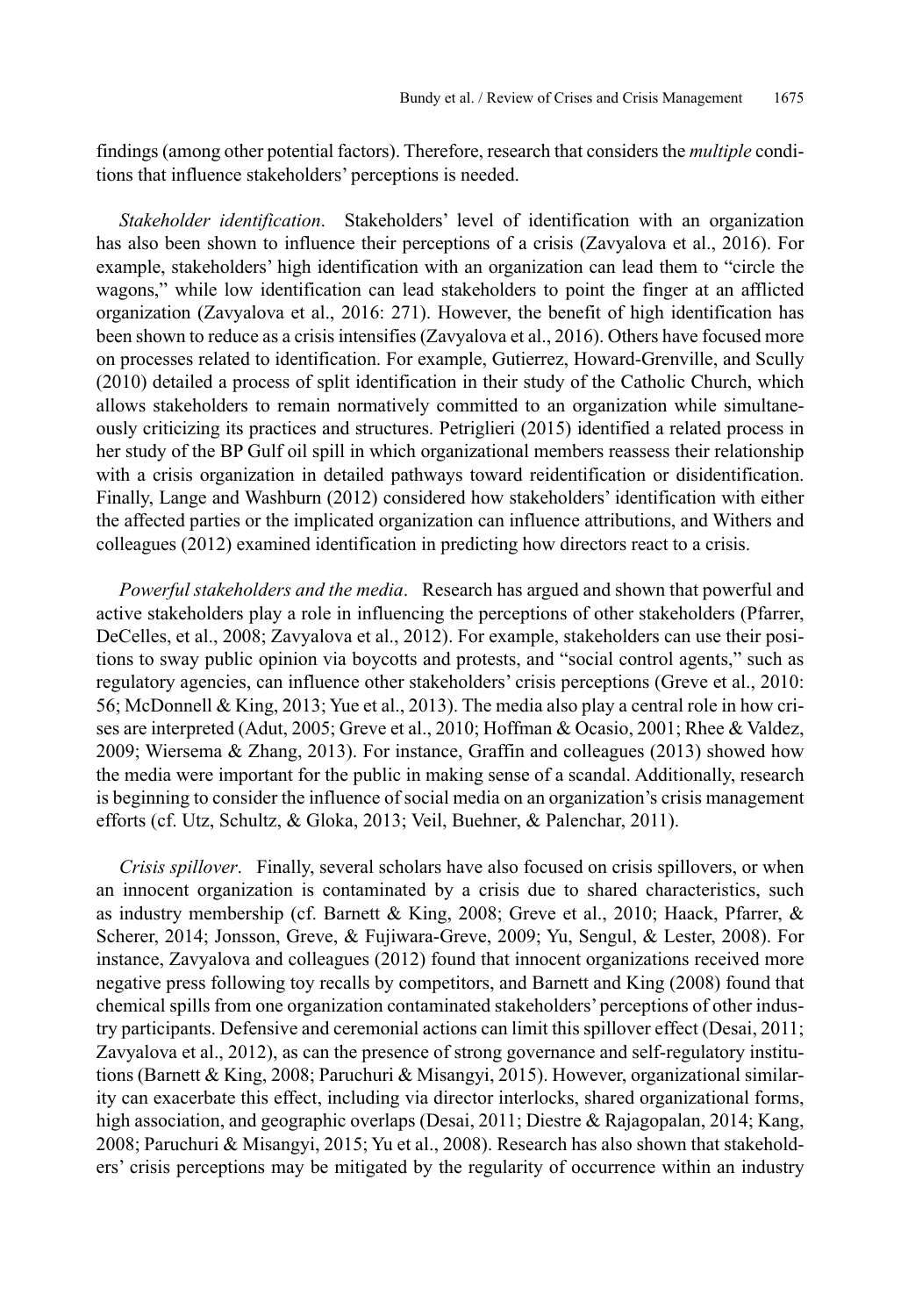findings (among other potential factors). Therefore, research that considers the *multiple* conditions that influence stakeholders' perceptions is needed.

*Stakeholder identification*. Stakeholders' level of identification with an organization has also been shown to influence their perceptions of a crisis (Zavyalova et al., 2016). For example, stakeholders' high identification with an organization can lead them to "circle the wagons," while low identification can lead stakeholders to point the finger at an afflicted organization (Zavyalova et al., 2016: 271). However, the benefit of high identification has been shown to reduce as a crisis intensifies (Zavyalova et al., 2016). Others have focused more on processes related to identification. For example, Gutierrez, Howard-Grenville, and Scully (2010) detailed a process of split identification in their study of the Catholic Church, which allows stakeholders to remain normatively committed to an organization while simultaneously criticizing its practices and structures. Petriglieri (2015) identified a related process in her study of the BP Gulf oil spill in which organizational members reassess their relationship with a crisis organization in detailed pathways toward reidentification or disidentification. Finally, Lange and Washburn (2012) considered how stakeholders' identification with either the affected parties or the implicated organization can influence attributions, and Withers and colleagues (2012) examined identification in predicting how directors react to a crisis.

*Powerful stakeholders and the media*. Research has argued and shown that powerful and active stakeholders play a role in influencing the perceptions of other stakeholders (Pfarrer, DeCelles, et al., 2008; Zavyalova et al., 2012). For example, stakeholders can use their positions to sway public opinion via boycotts and protests, and "social control agents," such as regulatory agencies, can influence other stakeholders' crisis perceptions (Greve et al., 2010: 56; McDonnell & King, 2013; Yue et al., 2013). The media also play a central role in how crises are interpreted (Adut, 2005; Greve et al., 2010; Hoffman & Ocasio, 2001; Rhee & Valdez, 2009; Wiersema & Zhang, 2013). For instance, Graffin and colleagues (2013) showed how the media were important for the public in making sense of a scandal. Additionally, research is beginning to consider the influence of social media on an organization's crisis management efforts (cf. Utz, Schultz, & Gloka, 2013; Veil, Buehner, & Palenchar, 2011).

*Crisis spillover*. Finally, several scholars have also focused on crisis spillovers, or when an innocent organization is contaminated by a crisis due to shared characteristics, such as industry membership (cf. Barnett & King, 2008; Greve et al., 2010; Haack, Pfarrer, & Scherer, 2014; Jonsson, Greve, & Fujiwara-Greve, 2009; Yu, Sengul, & Lester, 2008). For instance, Zavyalova and colleagues (2012) found that innocent organizations received more negative press following toy recalls by competitors, and Barnett and King (2008) found that chemical spills from one organization contaminated stakeholders' perceptions of other industry participants. Defensive and ceremonial actions can limit this spillover effect (Desai, 2011; Zavyalova et al., 2012), as can the presence of strong governance and self-regulatory institutions (Barnett & King, 2008; Paruchuri & Misangyi, 2015). However, organizational similarity can exacerbate this effect, including via director interlocks, shared organizational forms, high association, and geographic overlaps (Desai, 2011; Diestre & Rajagopalan, 2014; Kang, 2008; Paruchuri & Misangyi, 2015; Yu et al., 2008). Research has also shown that stakeholders' crisis perceptions may be mitigated by the regularity of occurrence within an industry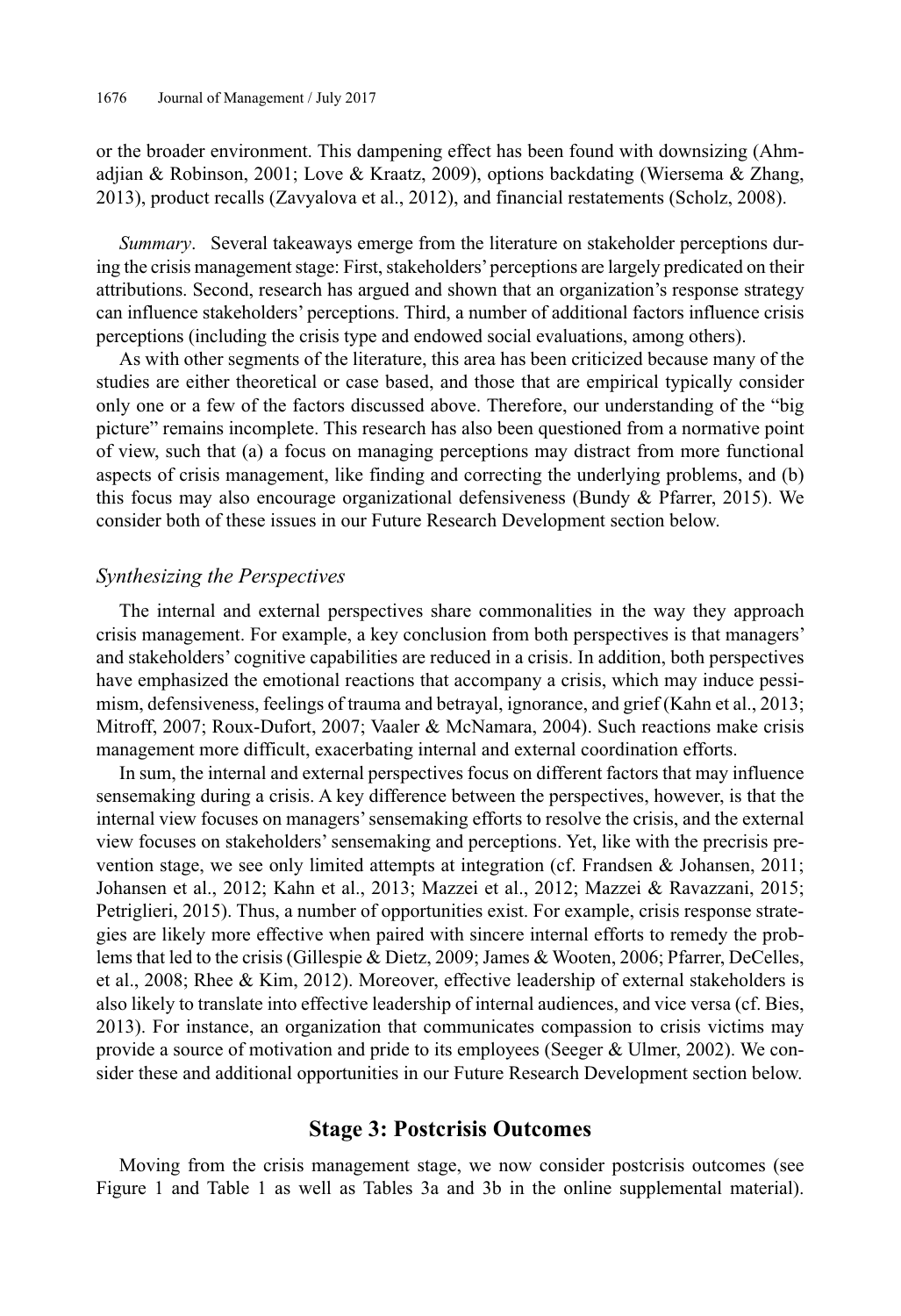or the broader environment. This dampening effect has been found with downsizing (Ahmadjian & Robinson, 2001; Love & Kraatz, 2009), options backdating (Wiersema & Zhang, 2013), product recalls (Zavyalova et al., 2012), and financial restatements (Scholz, 2008).

*Summary*. Several takeaways emerge from the literature on stakeholder perceptions during the crisis management stage: First, stakeholders' perceptions are largely predicated on their attributions. Second, research has argued and shown that an organization's response strategy can influence stakeholders' perceptions. Third, a number of additional factors influence crisis perceptions (including the crisis type and endowed social evaluations, among others).

As with other segments of the literature, this area has been criticized because many of the studies are either theoretical or case based, and those that are empirical typically consider only one or a few of the factors discussed above. Therefore, our understanding of the "big picture" remains incomplete. This research has also been questioned from a normative point of view, such that (a) a focus on managing perceptions may distract from more functional aspects of crisis management, like finding and correcting the underlying problems, and (b) this focus may also encourage organizational defensiveness (Bundy & Pfarrer, 2015). We consider both of these issues in our Future Research Development section below.

#### *Synthesizing the Perspectives*

The internal and external perspectives share commonalities in the way they approach crisis management. For example, a key conclusion from both perspectives is that managers' and stakeholders' cognitive capabilities are reduced in a crisis. In addition, both perspectives have emphasized the emotional reactions that accompany a crisis, which may induce pessimism, defensiveness, feelings of trauma and betrayal, ignorance, and grief (Kahn et al., 2013; Mitroff, 2007; Roux-Dufort, 2007; Vaaler & McNamara, 2004). Such reactions make crisis management more difficult, exacerbating internal and external coordination efforts.

In sum, the internal and external perspectives focus on different factors that may influence sensemaking during a crisis. A key difference between the perspectives, however, is that the internal view focuses on managers' sensemaking efforts to resolve the crisis, and the external view focuses on stakeholders' sensemaking and perceptions. Yet, like with the precrisis prevention stage, we see only limited attempts at integration (cf. Frandsen & Johansen, 2011; Johansen et al., 2012; Kahn et al., 2013; Mazzei et al., 2012; Mazzei & Ravazzani, 2015; Petriglieri, 2015). Thus, a number of opportunities exist. For example, crisis response strategies are likely more effective when paired with sincere internal efforts to remedy the problems that led to the crisis (Gillespie & Dietz, 2009; James & Wooten, 2006; Pfarrer, DeCelles, et al., 2008; Rhee & Kim, 2012). Moreover, effective leadership of external stakeholders is also likely to translate into effective leadership of internal audiences, and vice versa (cf. Bies, 2013). For instance, an organization that communicates compassion to crisis victims may provide a source of motivation and pride to its employees (Seeger & Ulmer, 2002). We consider these and additional opportunities in our Future Research Development section below.

## **Stage 3: Postcrisis Outcomes**

Moving from the crisis management stage, we now consider postcrisis outcomes (see Figure 1 and Table 1 as well as Tables 3a and 3b in the online supplemental material).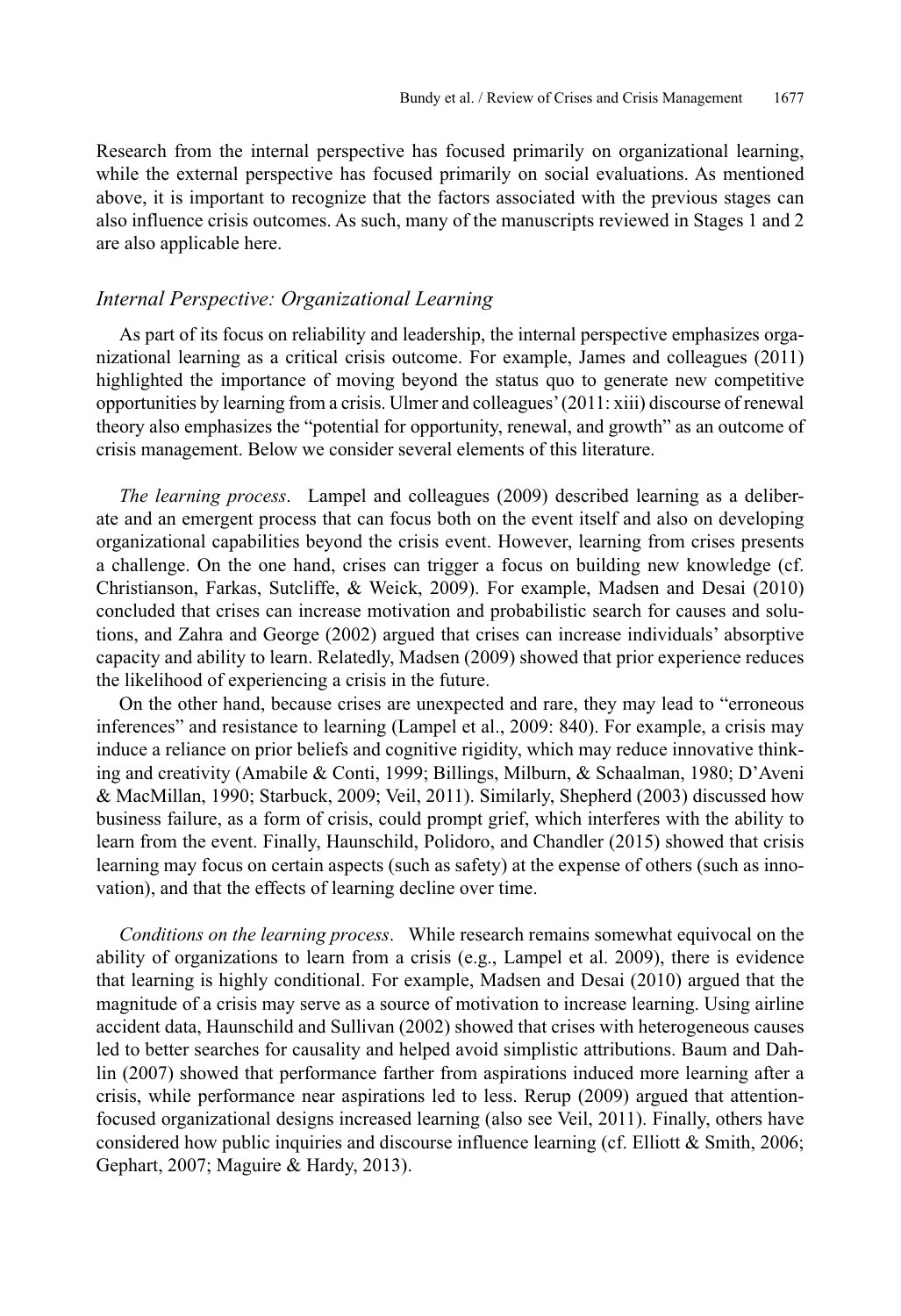Research from the internal perspective has focused primarily on organizational learning, while the external perspective has focused primarily on social evaluations. As mentioned above, it is important to recognize that the factors associated with the previous stages can also influence crisis outcomes. As such, many of the manuscripts reviewed in Stages 1 and 2 are also applicable here.

#### *Internal Perspective: Organizational Learning*

As part of its focus on reliability and leadership, the internal perspective emphasizes organizational learning as a critical crisis outcome. For example, James and colleagues (2011) highlighted the importance of moving beyond the status quo to generate new competitive opportunities by learning from a crisis. Ulmer and colleagues' (2011: xiii) discourse of renewal theory also emphasizes the "potential for opportunity, renewal, and growth" as an outcome of crisis management. Below we consider several elements of this literature.

*The learning process*. Lampel and colleagues (2009) described learning as a deliberate and an emergent process that can focus both on the event itself and also on developing organizational capabilities beyond the crisis event. However, learning from crises presents a challenge. On the one hand, crises can trigger a focus on building new knowledge (cf. Christianson, Farkas, Sutcliffe, & Weick, 2009). For example, Madsen and Desai (2010) concluded that crises can increase motivation and probabilistic search for causes and solutions, and Zahra and George (2002) argued that crises can increase individuals' absorptive capacity and ability to learn. Relatedly, Madsen (2009) showed that prior experience reduces the likelihood of experiencing a crisis in the future.

On the other hand, because crises are unexpected and rare, they may lead to "erroneous inferences" and resistance to learning (Lampel et al., 2009: 840). For example, a crisis may induce a reliance on prior beliefs and cognitive rigidity, which may reduce innovative thinking and creativity (Amabile & Conti, 1999; Billings, Milburn, & Schaalman, 1980; D'Aveni & MacMillan, 1990; Starbuck, 2009; Veil, 2011). Similarly, Shepherd (2003) discussed how business failure, as a form of crisis, could prompt grief, which interferes with the ability to learn from the event. Finally, Haunschild, Polidoro, and Chandler (2015) showed that crisis learning may focus on certain aspects (such as safety) at the expense of others (such as innovation), and that the effects of learning decline over time.

*Conditions on the learning process*. While research remains somewhat equivocal on the ability of organizations to learn from a crisis (e.g., Lampel et al. 2009), there is evidence that learning is highly conditional. For example, Madsen and Desai (2010) argued that the magnitude of a crisis may serve as a source of motivation to increase learning. Using airline accident data, Haunschild and Sullivan (2002) showed that crises with heterogeneous causes led to better searches for causality and helped avoid simplistic attributions. Baum and Dahlin (2007) showed that performance farther from aspirations induced more learning after a crisis, while performance near aspirations led to less. Rerup (2009) argued that attentionfocused organizational designs increased learning (also see Veil, 2011). Finally, others have considered how public inquiries and discourse influence learning (cf. Elliott & Smith, 2006; Gephart, 2007; Maguire & Hardy, 2013).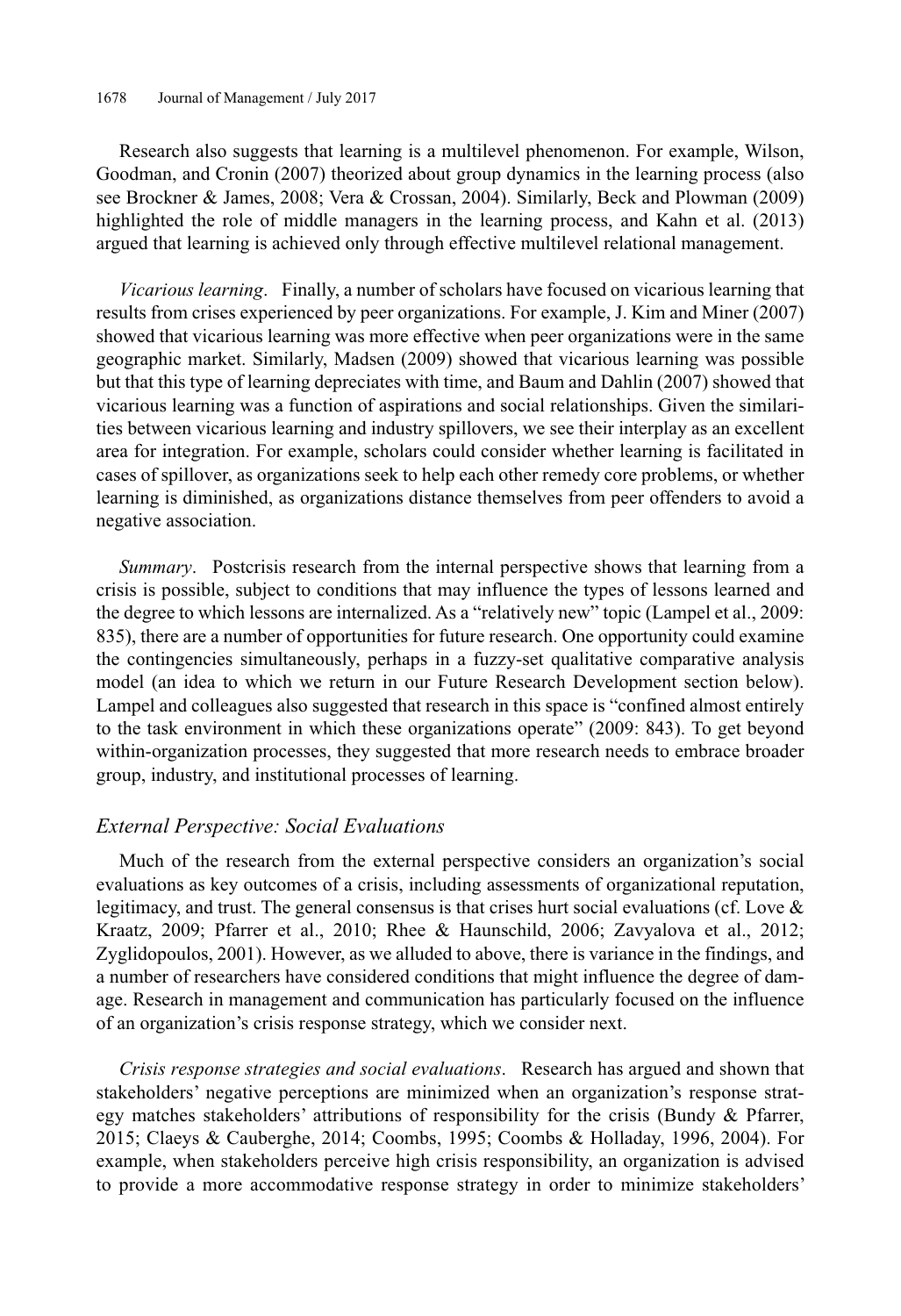Research also suggests that learning is a multilevel phenomenon. For example, Wilson, Goodman, and Cronin (2007) theorized about group dynamics in the learning process (also see Brockner & James, 2008; Vera & Crossan, 2004). Similarly, Beck and Plowman (2009) highlighted the role of middle managers in the learning process, and Kahn et al. (2013) argued that learning is achieved only through effective multilevel relational management.

*Vicarious learning*. Finally, a number of scholars have focused on vicarious learning that results from crises experienced by peer organizations. For example, J. Kim and Miner (2007) showed that vicarious learning was more effective when peer organizations were in the same geographic market. Similarly, Madsen (2009) showed that vicarious learning was possible but that this type of learning depreciates with time, and Baum and Dahlin (2007) showed that vicarious learning was a function of aspirations and social relationships. Given the similarities between vicarious learning and industry spillovers, we see their interplay as an excellent area for integration. For example, scholars could consider whether learning is facilitated in cases of spillover, as organizations seek to help each other remedy core problems, or whether learning is diminished, as organizations distance themselves from peer offenders to avoid a negative association.

*Summary*. Postcrisis research from the internal perspective shows that learning from a crisis is possible, subject to conditions that may influence the types of lessons learned and the degree to which lessons are internalized. As a "relatively new" topic (Lampel et al., 2009: 835), there are a number of opportunities for future research. One opportunity could examine the contingencies simultaneously, perhaps in a fuzzy-set qualitative comparative analysis model (an idea to which we return in our Future Research Development section below). Lampel and colleagues also suggested that research in this space is "confined almost entirely to the task environment in which these organizations operate" (2009: 843). To get beyond within-organization processes, they suggested that more research needs to embrace broader group, industry, and institutional processes of learning.

#### *External Perspective: Social Evaluations*

Much of the research from the external perspective considers an organization's social evaluations as key outcomes of a crisis, including assessments of organizational reputation, legitimacy, and trust. The general consensus is that crises hurt social evaluations (cf. Love  $\&$ Kraatz, 2009; Pfarrer et al., 2010; Rhee & Haunschild, 2006; Zavyalova et al., 2012; Zyglidopoulos, 2001). However, as we alluded to above, there is variance in the findings, and a number of researchers have considered conditions that might influence the degree of damage. Research in management and communication has particularly focused on the influence of an organization's crisis response strategy, which we consider next.

*Crisis response strategies and social evaluations*. Research has argued and shown that stakeholders' negative perceptions are minimized when an organization's response strategy matches stakeholders' attributions of responsibility for the crisis (Bundy & Pfarrer, 2015; Claeys & Cauberghe, 2014; Coombs, 1995; Coombs & Holladay, 1996, 2004). For example, when stakeholders perceive high crisis responsibility, an organization is advised to provide a more accommodative response strategy in order to minimize stakeholders'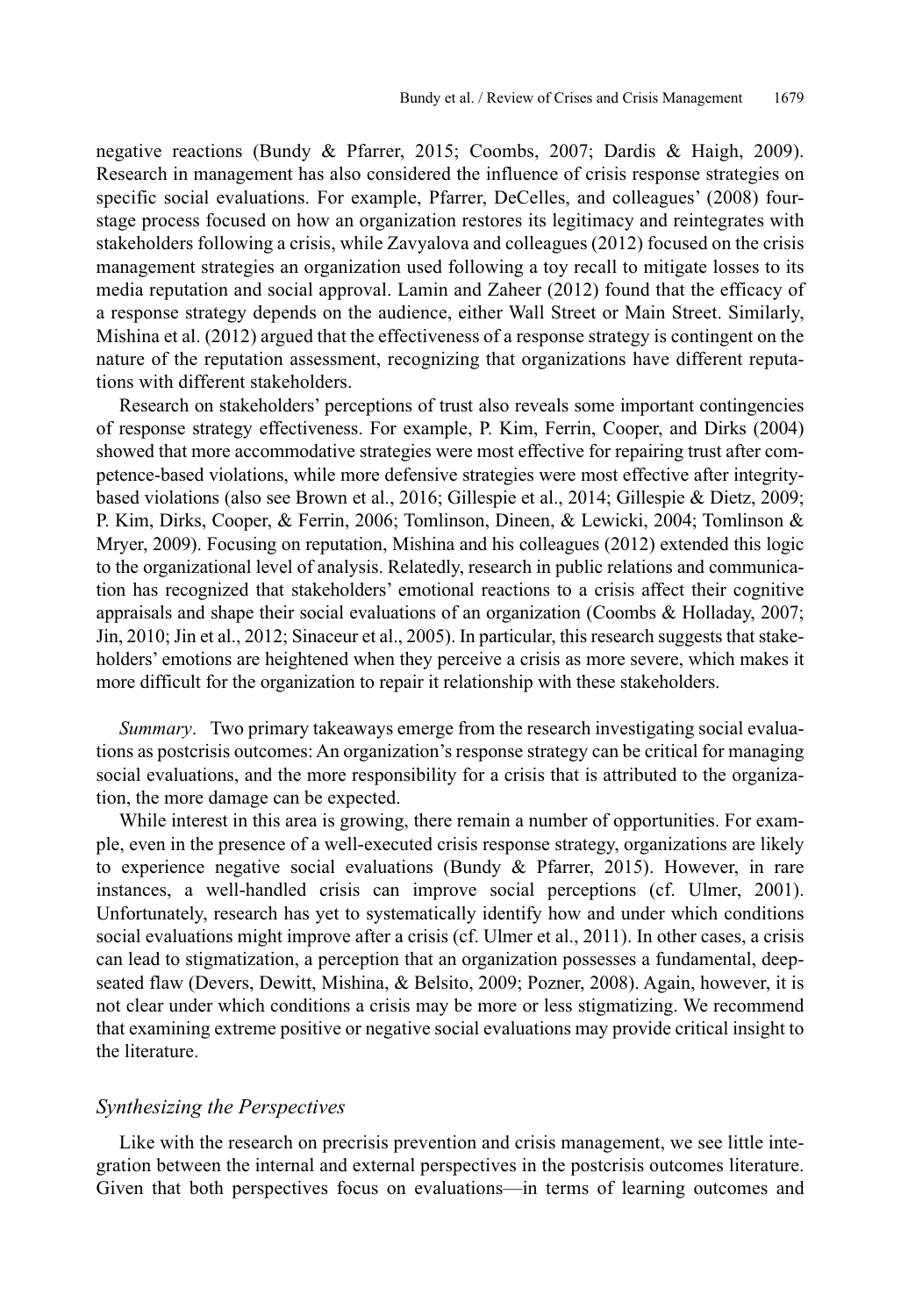negative reactions (Bundy & Pfarrer, 2015; Coombs, 2007; Dardis & Haigh, 2009). Research in management has also considered the influence of crisis response strategies on specific social evaluations. For example, Pfarrer, DeCelles, and colleagues' (2008) fourstage process focused on how an organization restores its legitimacy and reintegrates with stakeholders following a crisis, while Zavyalova and colleagues (2012) focused on the crisis management strategies an organization used following a toy recall to mitigate losses to its media reputation and social approval. Lamin and Zaheer (2012) found that the efficacy of a response strategy depends on the audience, either Wall Street or Main Street. Similarly, Mishina et al. (2012) argued that the effectiveness of a response strategy is contingent on the nature of the reputation assessment, recognizing that organizations have different reputations with different stakeholders.

Research on stakeholders' perceptions of trust also reveals some important contingencies of response strategy effectiveness. For example, P. Kim, Ferrin, Cooper, and Dirks (2004) showed that more accommodative strategies were most effective for repairing trust after competence-based violations, while more defensive strategies were most effective after integritybased violations (also see Brown et al., 2016; Gillespie et al., 2014; Gillespie & Dietz, 2009; P. Kim, Dirks, Cooper, & Ferrin, 2006; Tomlinson, Dineen, & Lewicki, 2004; Tomlinson & Mryer, 2009). Focusing on reputation, Mishina and his colleagues (2012) extended this logic to the organizational level of analysis. Relatedly, research in public relations and communication has recognized that stakeholders' emotional reactions to a crisis affect their cognitive appraisals and shape their social evaluations of an organization (Coombs & Holladay, 2007; Jin, 2010; Jin et al., 2012; Sinaceur et al., 2005). In particular, this research suggests that stakeholders' emotions are heightened when they perceive a crisis as more severe, which makes it more difficult for the organization to repair it relationship with these stakeholders.

*Summary*. Two primary takeaways emerge from the research investigating social evaluations as postcrisis outcomes: An organization's response strategy can be critical for managing social evaluations, and the more responsibility for a crisis that is attributed to the organization, the more damage can be expected.

While interest in this area is growing, there remain a number of opportunities. For example, even in the presence of a well-executed crisis response strategy, organizations are likely to experience negative social evaluations (Bundy  $\&$  Pfarrer, 2015). However, in rare instances, a well-handled crisis can improve social perceptions (cf. Ulmer, 2001). Unfortunately, research has yet to systematically identify how and under which conditions social evaluations might improve after a crisis (cf. Ulmer et al., 2011). In other cases, a crisis can lead to stigmatization, a perception that an organization possesses a fundamental, deepseated flaw (Devers, Dewitt, Mishina, & Belsito, 2009; Pozner, 2008). Again, however, it is not clear under which conditions a crisis may be more or less stigmatizing. We recommend that examining extreme positive or negative social evaluations may provide critical insight to the literature.

#### *Synthesizing the Perspectives*

Like with the research on precrisis prevention and crisis management, we see little integration between the internal and external perspectives in the postcrisis outcomes literature. Given that both perspectives focus on evaluations—in terms of learning outcomes and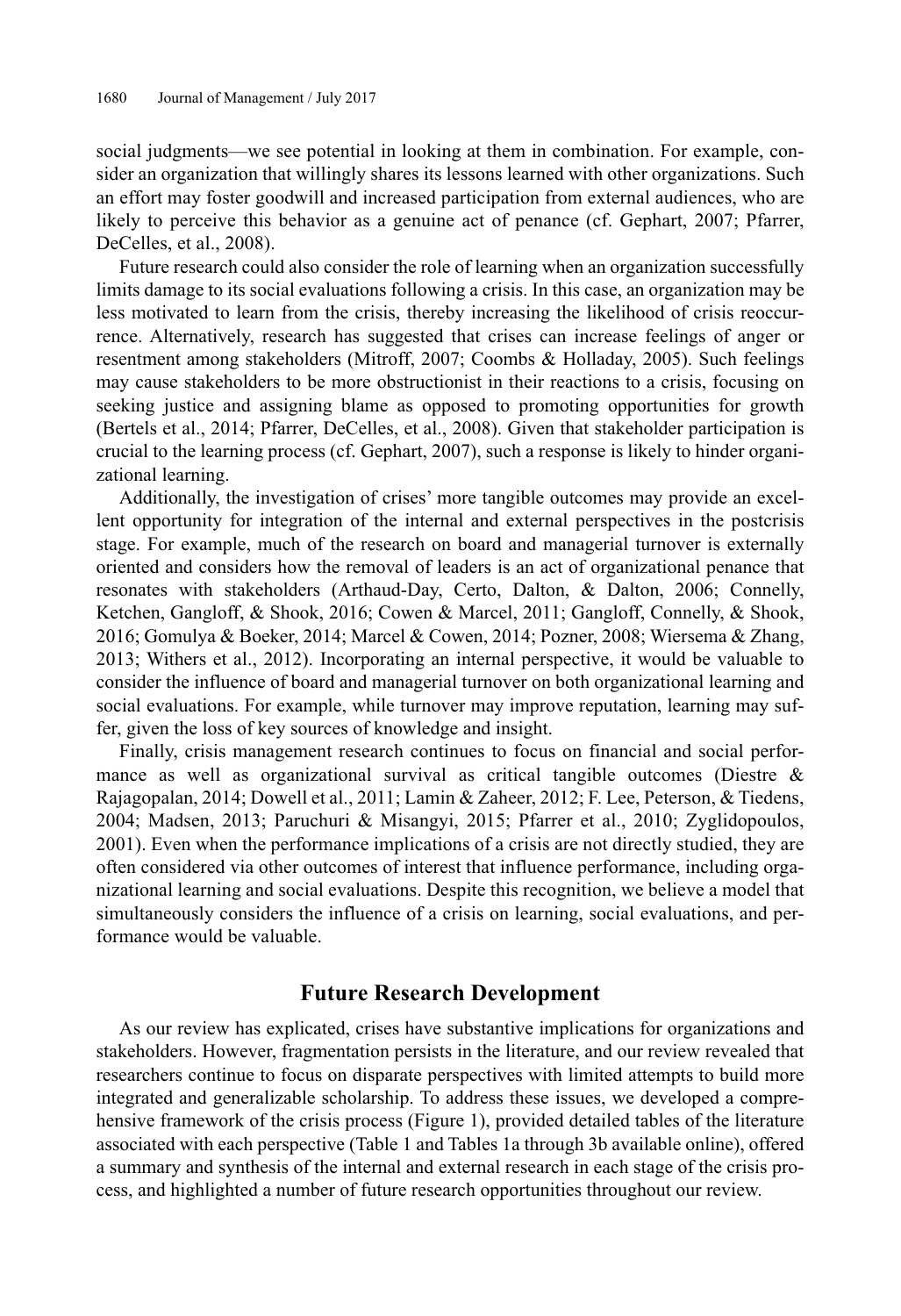social judgments—we see potential in looking at them in combination. For example, consider an organization that willingly shares its lessons learned with other organizations. Such an effort may foster goodwill and increased participation from external audiences, who are likely to perceive this behavior as a genuine act of penance (cf. Gephart, 2007; Pfarrer, DeCelles, et al., 2008).

Future research could also consider the role of learning when an organization successfully limits damage to its social evaluations following a crisis. In this case, an organization may be less motivated to learn from the crisis, thereby increasing the likelihood of crisis reoccurrence. Alternatively, research has suggested that crises can increase feelings of anger or resentment among stakeholders (Mitroff, 2007; Coombs & Holladay, 2005). Such feelings may cause stakeholders to be more obstructionist in their reactions to a crisis, focusing on seeking justice and assigning blame as opposed to promoting opportunities for growth (Bertels et al., 2014; Pfarrer, DeCelles, et al., 2008). Given that stakeholder participation is crucial to the learning process (cf. Gephart, 2007), such a response is likely to hinder organizational learning.

Additionally, the investigation of crises' more tangible outcomes may provide an excellent opportunity for integration of the internal and external perspectives in the postcrisis stage. For example, much of the research on board and managerial turnover is externally oriented and considers how the removal of leaders is an act of organizational penance that resonates with stakeholders (Arthaud-Day, Certo, Dalton, & Dalton, 2006; Connelly, Ketchen, Gangloff, & Shook, 2016; Cowen & Marcel, 2011; Gangloff, Connelly, & Shook, 2016; Gomulya & Boeker, 2014; Marcel & Cowen, 2014; Pozner, 2008; Wiersema & Zhang, 2013; Withers et al., 2012). Incorporating an internal perspective, it would be valuable to consider the influence of board and managerial turnover on both organizational learning and social evaluations. For example, while turnover may improve reputation, learning may suffer, given the loss of key sources of knowledge and insight.

Finally, crisis management research continues to focus on financial and social performance as well as organizational survival as critical tangible outcomes (Diestre  $\&$ Rajagopalan, 2014; Dowell et al., 2011; Lamin & Zaheer, 2012; F. Lee, Peterson, & Tiedens, 2004; Madsen, 2013; Paruchuri & Misangyi, 2015; Pfarrer et al., 2010; Zyglidopoulos, 2001). Even when the performance implications of a crisis are not directly studied, they are often considered via other outcomes of interest that influence performance, including organizational learning and social evaluations. Despite this recognition, we believe a model that simultaneously considers the influence of a crisis on learning, social evaluations, and performance would be valuable.

## **Future Research Development**

As our review has explicated, crises have substantive implications for organizations and stakeholders. However, fragmentation persists in the literature, and our review revealed that researchers continue to focus on disparate perspectives with limited attempts to build more integrated and generalizable scholarship. To address these issues, we developed a comprehensive framework of the crisis process (Figure 1), provided detailed tables of the literature associated with each perspective (Table 1 and Tables 1a through 3b available online), offered a summary and synthesis of the internal and external research in each stage of the crisis process, and highlighted a number of future research opportunities throughout our review.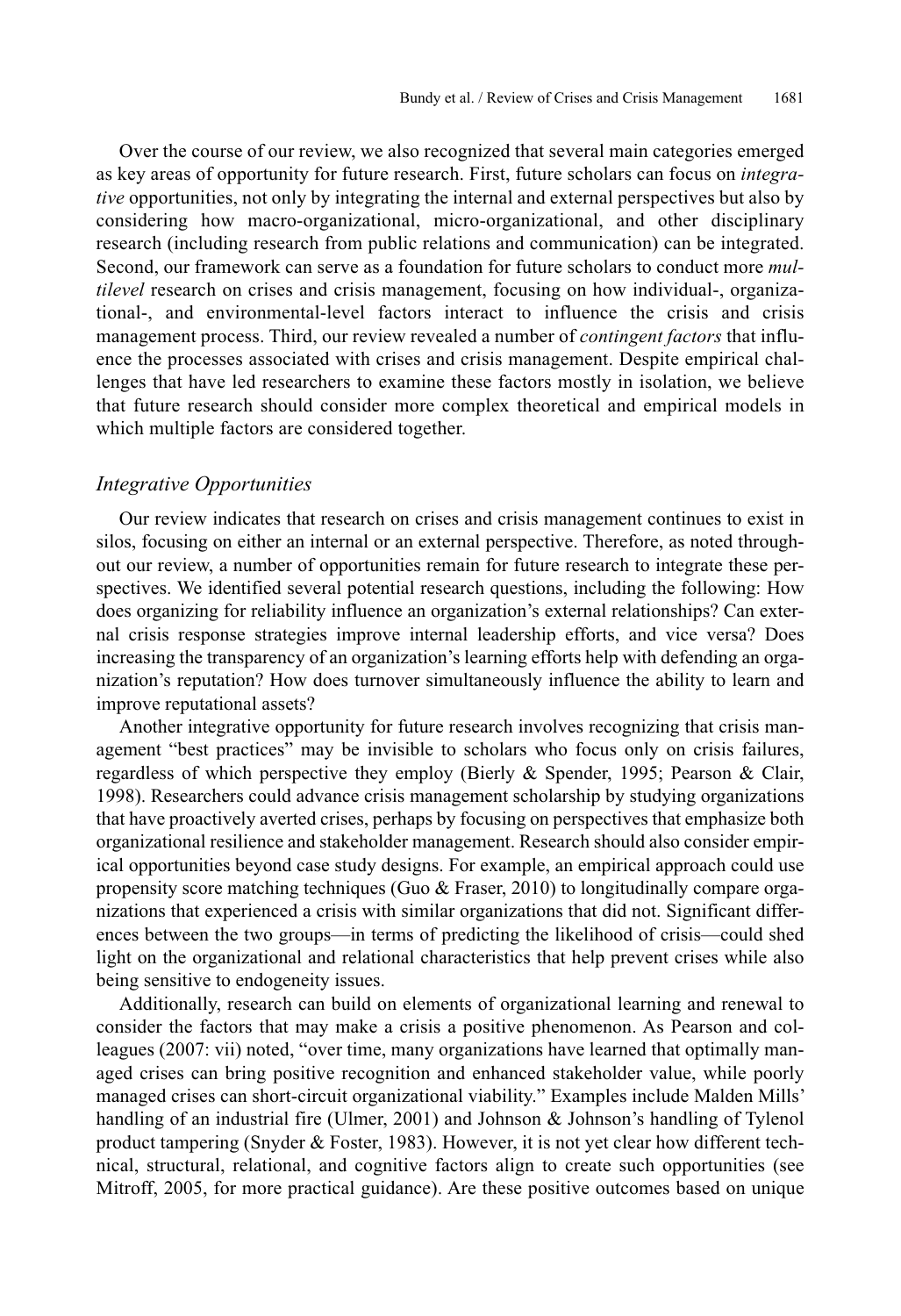Over the course of our review, we also recognized that several main categories emerged as key areas of opportunity for future research. First, future scholars can focus on *integrative* opportunities, not only by integrating the internal and external perspectives but also by considering how macro-organizational, micro-organizational, and other disciplinary research (including research from public relations and communication) can be integrated. Second, our framework can serve as a foundation for future scholars to conduct more *multilevel* research on crises and crisis management, focusing on how individual-, organizational-, and environmental-level factors interact to influence the crisis and crisis management process. Third, our review revealed a number of *contingent factors* that influence the processes associated with crises and crisis management. Despite empirical challenges that have led researchers to examine these factors mostly in isolation, we believe that future research should consider more complex theoretical and empirical models in which multiple factors are considered together.

#### *Integrative Opportunities*

Our review indicates that research on crises and crisis management continues to exist in silos, focusing on either an internal or an external perspective. Therefore, as noted throughout our review, a number of opportunities remain for future research to integrate these perspectives. We identified several potential research questions, including the following: How does organizing for reliability influence an organization's external relationships? Can external crisis response strategies improve internal leadership efforts, and vice versa? Does increasing the transparency of an organization's learning efforts help with defending an organization's reputation? How does turnover simultaneously influence the ability to learn and improve reputational assets?

Another integrative opportunity for future research involves recognizing that crisis management "best practices" may be invisible to scholars who focus only on crisis failures, regardless of which perspective they employ (Bierly & Spender, 1995; Pearson & Clair, 1998). Researchers could advance crisis management scholarship by studying organizations that have proactively averted crises, perhaps by focusing on perspectives that emphasize both organizational resilience and stakeholder management. Research should also consider empirical opportunities beyond case study designs. For example, an empirical approach could use propensity score matching techniques (Guo & Fraser, 2010) to longitudinally compare organizations that experienced a crisis with similar organizations that did not. Significant differences between the two groups—in terms of predicting the likelihood of crisis—could shed light on the organizational and relational characteristics that help prevent crises while also being sensitive to endogeneity issues.

Additionally, research can build on elements of organizational learning and renewal to consider the factors that may make a crisis a positive phenomenon. As Pearson and colleagues (2007: vii) noted, "over time, many organizations have learned that optimally managed crises can bring positive recognition and enhanced stakeholder value, while poorly managed crises can short-circuit organizational viability." Examples include Malden Mills' handling of an industrial fire (Ulmer, 2001) and Johnson & Johnson's handling of Tylenol product tampering (Snyder & Foster, 1983). However, it is not yet clear how different technical, structural, relational, and cognitive factors align to create such opportunities (see Mitroff, 2005, for more practical guidance). Are these positive outcomes based on unique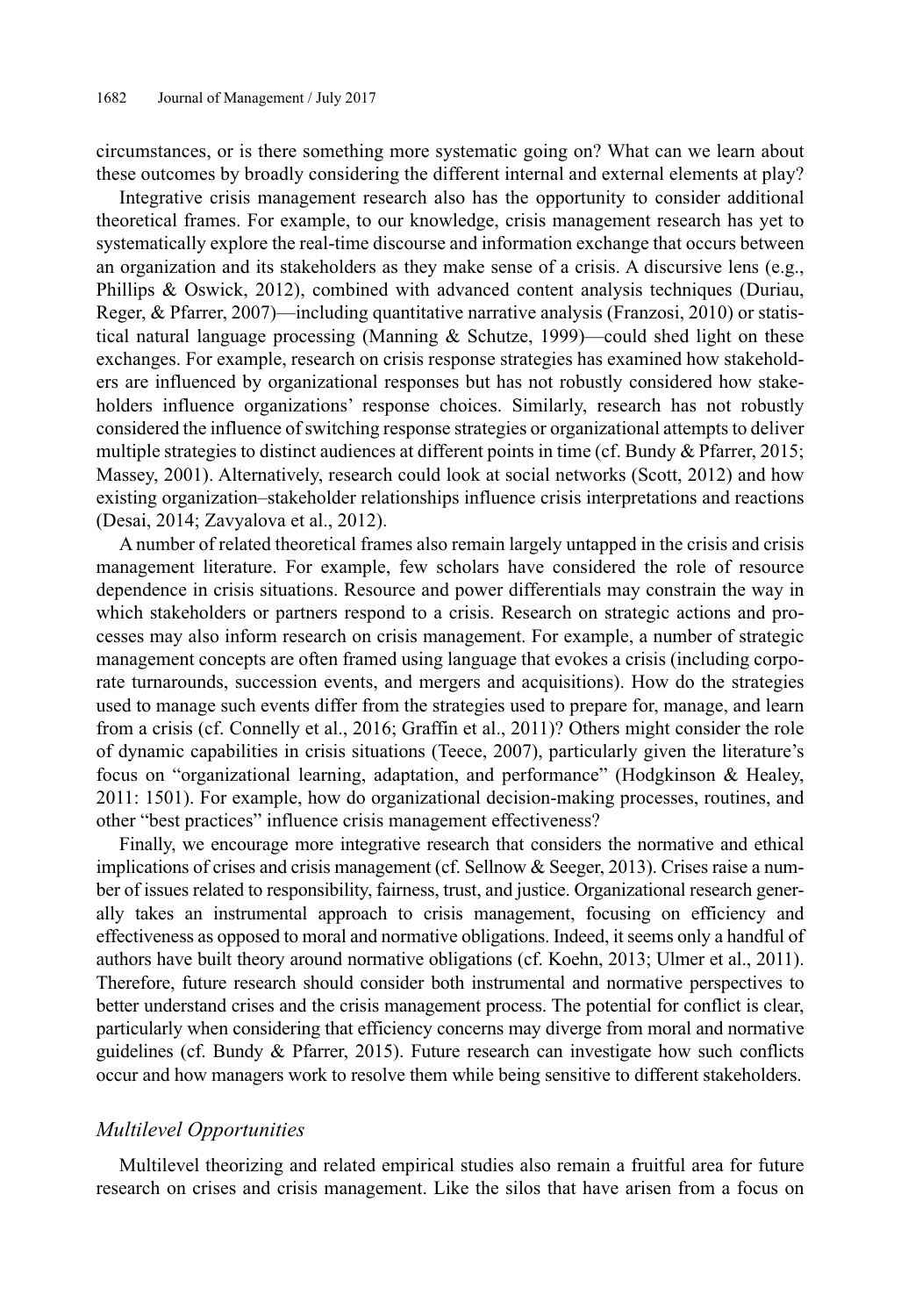circumstances, or is there something more systematic going on? What can we learn about these outcomes by broadly considering the different internal and external elements at play?

Integrative crisis management research also has the opportunity to consider additional theoretical frames. For example, to our knowledge, crisis management research has yet to systematically explore the real-time discourse and information exchange that occurs between an organization and its stakeholders as they make sense of a crisis. A discursive lens (e.g., Phillips & Oswick, 2012), combined with advanced content analysis techniques (Duriau, Reger, & Pfarrer, 2007)—including quantitative narrative analysis (Franzosi, 2010) or statistical natural language processing (Manning & Schutze, 1999)—could shed light on these exchanges. For example, research on crisis response strategies has examined how stakeholders are influenced by organizational responses but has not robustly considered how stakeholders influence organizations' response choices. Similarly, research has not robustly considered the influence of switching response strategies or organizational attempts to deliver multiple strategies to distinct audiences at different points in time (cf. Bundy & Pfarrer, 2015; Massey, 2001). Alternatively, research could look at social networks (Scott, 2012) and how existing organization–stakeholder relationships influence crisis interpretations and reactions (Desai, 2014; Zavyalova et al., 2012).

A number of related theoretical frames also remain largely untapped in the crisis and crisis management literature. For example, few scholars have considered the role of resource dependence in crisis situations. Resource and power differentials may constrain the way in which stakeholders or partners respond to a crisis. Research on strategic actions and processes may also inform research on crisis management. For example, a number of strategic management concepts are often framed using language that evokes a crisis (including corporate turnarounds, succession events, and mergers and acquisitions). How do the strategies used to manage such events differ from the strategies used to prepare for, manage, and learn from a crisis (cf. Connelly et al., 2016; Graffin et al., 2011)? Others might consider the role of dynamic capabilities in crisis situations (Teece, 2007), particularly given the literature's focus on "organizational learning, adaptation, and performance" (Hodgkinson & Healey, 2011: 1501). For example, how do organizational decision-making processes, routines, and other "best practices" influence crisis management effectiveness?

Finally, we encourage more integrative research that considers the normative and ethical implications of crises and crisis management (cf. Sellnow & Seeger, 2013). Crises raise a number of issues related to responsibility, fairness, trust, and justice. Organizational research generally takes an instrumental approach to crisis management, focusing on efficiency and effectiveness as opposed to moral and normative obligations. Indeed, it seems only a handful of authors have built theory around normative obligations (cf. Koehn, 2013; Ulmer et al., 2011). Therefore, future research should consider both instrumental and normative perspectives to better understand crises and the crisis management process. The potential for conflict is clear, particularly when considering that efficiency concerns may diverge from moral and normative guidelines (cf. Bundy & Pfarrer, 2015). Future research can investigate how such conflicts occur and how managers work to resolve them while being sensitive to different stakeholders.

#### *Multilevel Opportunities*

Multilevel theorizing and related empirical studies also remain a fruitful area for future research on crises and crisis management. Like the silos that have arisen from a focus on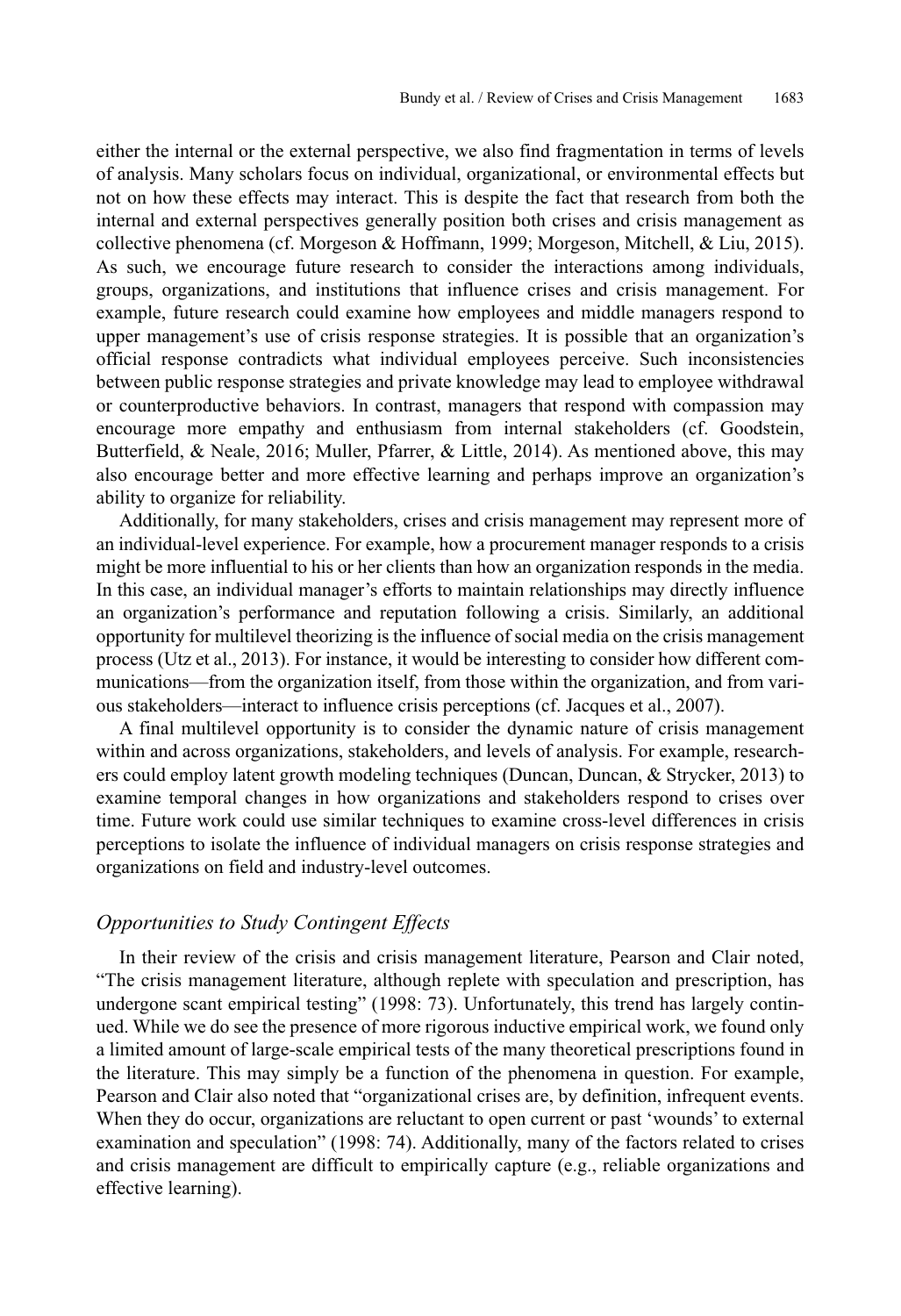either the internal or the external perspective, we also find fragmentation in terms of levels of analysis. Many scholars focus on individual, organizational, or environmental effects but not on how these effects may interact. This is despite the fact that research from both the internal and external perspectives generally position both crises and crisis management as collective phenomena (cf. Morgeson & Hoffmann, 1999; Morgeson, Mitchell, & Liu, 2015). As such, we encourage future research to consider the interactions among individuals, groups, organizations, and institutions that influence crises and crisis management. For example, future research could examine how employees and middle managers respond to upper management's use of crisis response strategies. It is possible that an organization's official response contradicts what individual employees perceive. Such inconsistencies between public response strategies and private knowledge may lead to employee withdrawal or counterproductive behaviors. In contrast, managers that respond with compassion may encourage more empathy and enthusiasm from internal stakeholders (cf. Goodstein, Butterfield, & Neale, 2016; Muller, Pfarrer, & Little, 2014). As mentioned above, this may also encourage better and more effective learning and perhaps improve an organization's ability to organize for reliability.

Additionally, for many stakeholders, crises and crisis management may represent more of an individual-level experience. For example, how a procurement manager responds to a crisis might be more influential to his or her clients than how an organization responds in the media. In this case, an individual manager's efforts to maintain relationships may directly influence an organization's performance and reputation following a crisis. Similarly, an additional opportunity for multilevel theorizing is the influence of social media on the crisis management process (Utz et al., 2013). For instance, it would be interesting to consider how different communications—from the organization itself, from those within the organization, and from various stakeholders—interact to influence crisis perceptions (cf. Jacques et al., 2007).

A final multilevel opportunity is to consider the dynamic nature of crisis management within and across organizations, stakeholders, and levels of analysis. For example, researchers could employ latent growth modeling techniques (Duncan, Duncan, & Strycker, 2013) to examine temporal changes in how organizations and stakeholders respond to crises over time. Future work could use similar techniques to examine cross-level differences in crisis perceptions to isolate the influence of individual managers on crisis response strategies and organizations on field and industry-level outcomes.

#### *Opportunities to Study Contingent Effects*

In their review of the crisis and crisis management literature, Pearson and Clair noted, "The crisis management literature, although replete with speculation and prescription, has undergone scant empirical testing" (1998: 73). Unfortunately, this trend has largely continued. While we do see the presence of more rigorous inductive empirical work, we found only a limited amount of large-scale empirical tests of the many theoretical prescriptions found in the literature. This may simply be a function of the phenomena in question. For example, Pearson and Clair also noted that "organizational crises are, by definition, infrequent events. When they do occur, organizations are reluctant to open current or past 'wounds' to external examination and speculation" (1998: 74). Additionally, many of the factors related to crises and crisis management are difficult to empirically capture (e.g., reliable organizations and effective learning).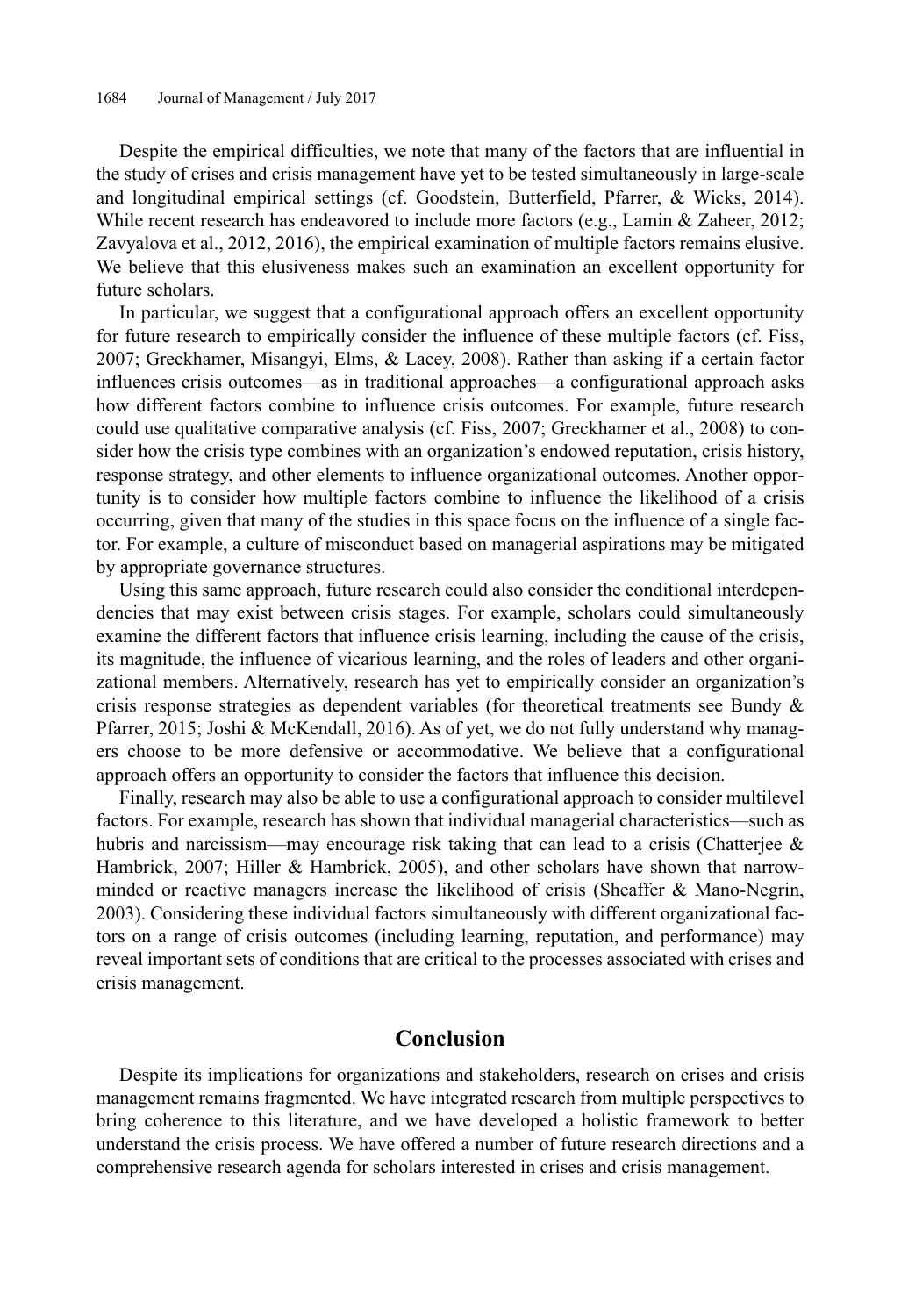Despite the empirical difficulties, we note that many of the factors that are influential in the study of crises and crisis management have yet to be tested simultaneously in large-scale and longitudinal empirical settings (cf. Goodstein, Butterfield, Pfarrer, & Wicks, 2014). While recent research has endeavored to include more factors (e.g., Lamin & Zaheer, 2012; Zavyalova et al., 2012, 2016), the empirical examination of multiple factors remains elusive. We believe that this elusiveness makes such an examination an excellent opportunity for future scholars.

In particular, we suggest that a configurational approach offers an excellent opportunity for future research to empirically consider the influence of these multiple factors (cf. Fiss, 2007; Greckhamer, Misangyi, Elms, & Lacey, 2008). Rather than asking if a certain factor influences crisis outcomes—as in traditional approaches—a configurational approach asks how different factors combine to influence crisis outcomes. For example, future research could use qualitative comparative analysis (cf. Fiss, 2007; Greckhamer et al., 2008) to consider how the crisis type combines with an organization's endowed reputation, crisis history, response strategy, and other elements to influence organizational outcomes. Another opportunity is to consider how multiple factors combine to influence the likelihood of a crisis occurring, given that many of the studies in this space focus on the influence of a single factor. For example, a culture of misconduct based on managerial aspirations may be mitigated by appropriate governance structures.

Using this same approach, future research could also consider the conditional interdependencies that may exist between crisis stages. For example, scholars could simultaneously examine the different factors that influence crisis learning, including the cause of the crisis, its magnitude, the influence of vicarious learning, and the roles of leaders and other organizational members. Alternatively, research has yet to empirically consider an organization's crisis response strategies as dependent variables (for theoretical treatments see Bundy  $\&$ Pfarrer, 2015; Joshi & McKendall, 2016). As of yet, we do not fully understand why managers choose to be more defensive or accommodative. We believe that a configurational approach offers an opportunity to consider the factors that influence this decision.

Finally, research may also be able to use a configurational approach to consider multilevel factors. For example, research has shown that individual managerial characteristics—such as hubris and narcissism—may encourage risk taking that can lead to a crisis (Chatterjee  $\&$ Hambrick, 2007; Hiller & Hambrick, 2005), and other scholars have shown that narrowminded or reactive managers increase the likelihood of crisis (Sheaffer & Mano-Negrin, 2003). Considering these individual factors simultaneously with different organizational factors on a range of crisis outcomes (including learning, reputation, and performance) may reveal important sets of conditions that are critical to the processes associated with crises and crisis management.

## **Conclusion**

Despite its implications for organizations and stakeholders, research on crises and crisis management remains fragmented. We have integrated research from multiple perspectives to bring coherence to this literature, and we have developed a holistic framework to better understand the crisis process. We have offered a number of future research directions and a comprehensive research agenda for scholars interested in crises and crisis management.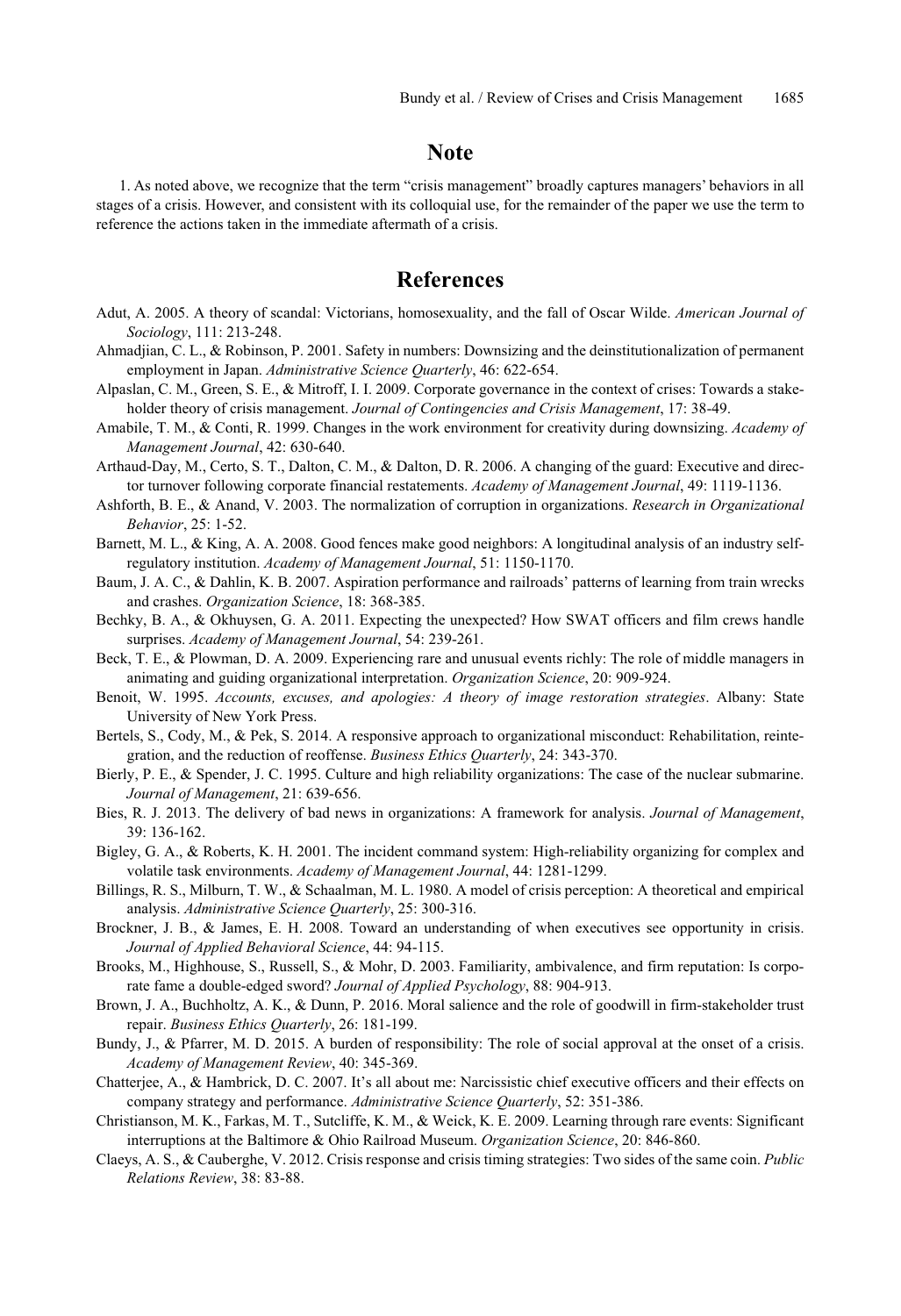## **Note**

1. As noted above, we recognize that the term "crisis management" broadly captures managers' behaviors in all stages of a crisis. However, and consistent with its colloquial use, for the remainder of the paper we use the term to reference the actions taken in the immediate aftermath of a crisis.

## **References**

- Adut, A. 2005. A theory of scandal: Victorians, homosexuality, and the fall of Oscar Wilde. *American Journal of Sociology*, 111: 213-248.
- Ahmadjian, C. L., & Robinson, P. 2001. Safety in numbers: Downsizing and the deinstitutionalization of permanent employment in Japan. *Administrative Science Quarterly*, 46: 622-654.
- Alpaslan, C. M., Green, S. E., & Mitroff, I. I. 2009. Corporate governance in the context of crises: Towards a stakeholder theory of crisis management. *Journal of Contingencies and Crisis Management*, 17: 38-49.
- Amabile, T. M., & Conti, R. 1999. Changes in the work environment for creativity during downsizing. *Academy of Management Journal*, 42: 630-640.
- Arthaud-Day, M., Certo, S. T., Dalton, C. M., & Dalton, D. R. 2006. A changing of the guard: Executive and director turnover following corporate financial restatements. *Academy of Management Journal*, 49: 1119-1136.
- Ashforth, B. E., & Anand, V. 2003. The normalization of corruption in organizations. *Research in Organizational Behavior*, 25: 1-52.
- Barnett, M. L., & King, A. A. 2008. Good fences make good neighbors: A longitudinal analysis of an industry selfregulatory institution. *Academy of Management Journal*, 51: 1150-1170.
- Baum, J. A. C., & Dahlin, K. B. 2007. Aspiration performance and railroads' patterns of learning from train wrecks and crashes. *Organization Science*, 18: 368-385.
- Bechky, B. A., & Okhuysen, G. A. 2011. Expecting the unexpected? How SWAT officers and film crews handle surprises. *Academy of Management Journal*, 54: 239-261.
- Beck, T. E., & Plowman, D. A. 2009. Experiencing rare and unusual events richly: The role of middle managers in animating and guiding organizational interpretation. *Organization Science*, 20: 909-924.
- Benoit, W. 1995. *Accounts, excuses, and apologies: A theory of image restoration strategies*. Albany: State University of New York Press.
- Bertels, S., Cody, M., & Pek, S. 2014. A responsive approach to organizational misconduct: Rehabilitation, reintegration, and the reduction of reoffense. *Business Ethics Quarterly*, 24: 343-370.
- Bierly, P. E., & Spender, J. C. 1995. Culture and high reliability organizations: The case of the nuclear submarine. *Journal of Management*, 21: 639-656.
- Bies, R. J. 2013. The delivery of bad news in organizations: A framework for analysis. *Journal of Management*, 39: 136-162.
- Bigley, G. A., & Roberts, K. H. 2001. The incident command system: High-reliability organizing for complex and volatile task environments. *Academy of Management Journal*, 44: 1281-1299.
- Billings, R. S., Milburn, T. W., & Schaalman, M. L. 1980. A model of crisis perception: A theoretical and empirical analysis. *Administrative Science Quarterly*, 25: 300-316.
- Brockner, J. B., & James, E. H. 2008. Toward an understanding of when executives see opportunity in crisis. *Journal of Applied Behavioral Science*, 44: 94-115.
- Brooks, M., Highhouse, S., Russell, S., & Mohr, D. 2003. Familiarity, ambivalence, and firm reputation: Is corporate fame a double-edged sword? *Journal of Applied Psychology*, 88: 904-913.
- Brown, J. A., Buchholtz, A. K., & Dunn, P. 2016. Moral salience and the role of goodwill in firm-stakeholder trust repair. *Business Ethics Quarterly*, 26: 181-199.
- Bundy, J., & Pfarrer, M. D. 2015. A burden of responsibility: The role of social approval at the onset of a crisis. *Academy of Management Review*, 40: 345-369.
- Chatterjee, A., & Hambrick, D. C. 2007. It's all about me: Narcissistic chief executive officers and their effects on company strategy and performance. *Administrative Science Quarterly*, 52: 351-386.
- Christianson, M. K., Farkas, M. T., Sutcliffe, K. M., & Weick, K. E. 2009. Learning through rare events: Significant interruptions at the Baltimore & Ohio Railroad Museum. *Organization Science*, 20: 846-860.
- Claeys, A. S., & Cauberghe, V. 2012. Crisis response and crisis timing strategies: Two sides of the same coin. *Public Relations Review*, 38: 83-88.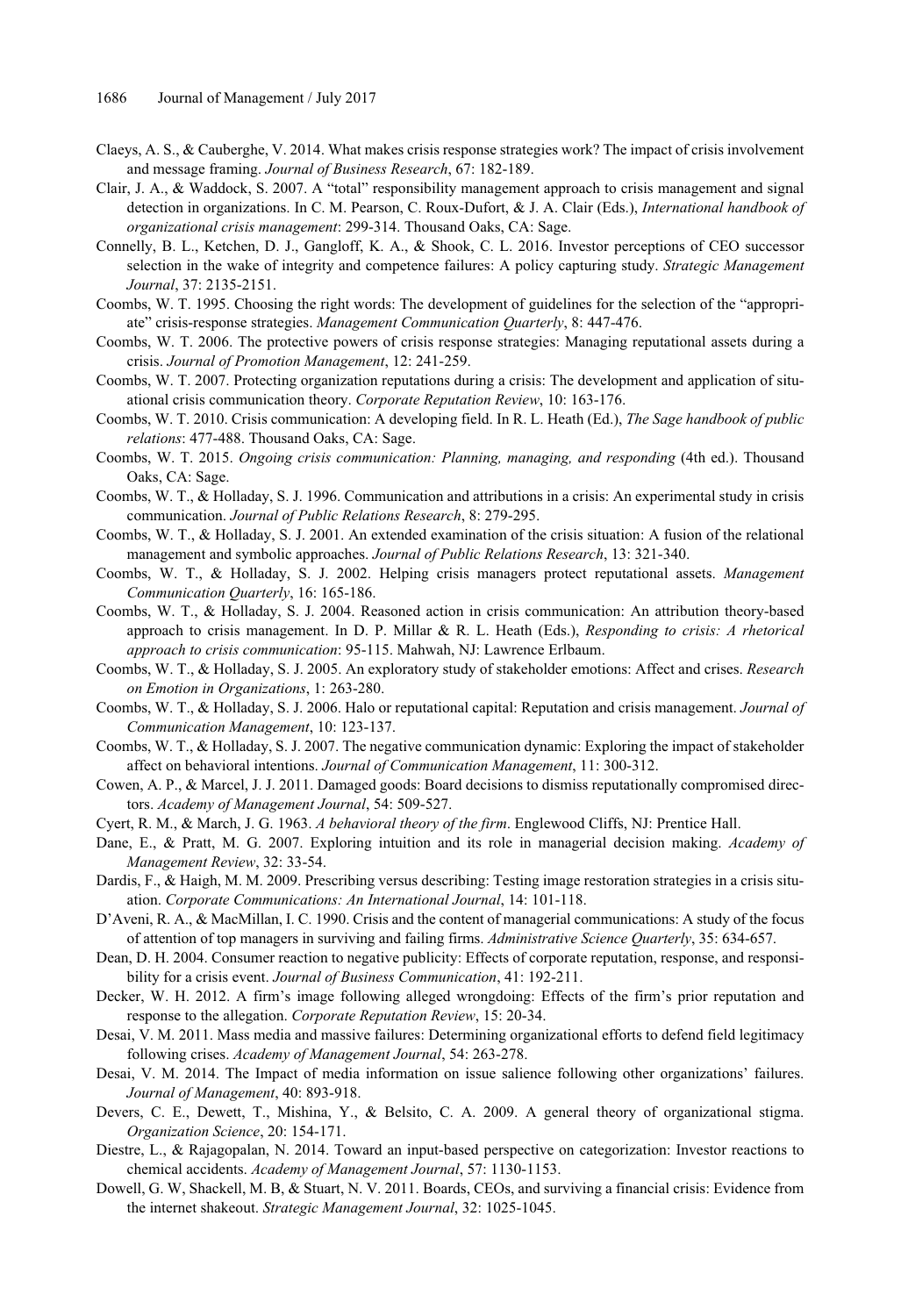- Claeys, A. S., & Cauberghe, V. 2014. What makes crisis response strategies work? The impact of crisis involvement and message framing. *Journal of Business Research*, 67: 182-189.
- Clair, J. A., & Waddock, S. 2007. A "total" responsibility management approach to crisis management and signal detection in organizations. In C. M. Pearson, C. Roux-Dufort, & J. A. Clair (Eds.), *International handbook of organizational crisis management*: 299-314. Thousand Oaks, CA: Sage.
- Connelly, B. L., Ketchen, D. J., Gangloff, K. A., & Shook, C. L. 2016. Investor perceptions of CEO successor selection in the wake of integrity and competence failures: A policy capturing study. *Strategic Management Journal*, 37: 2135-2151.
- Coombs, W. T. 1995. Choosing the right words: The development of guidelines for the selection of the "appropriate" crisis-response strategies. *Management Communication Quarterly*, 8: 447-476.
- Coombs, W. T. 2006. The protective powers of crisis response strategies: Managing reputational assets during a crisis. *Journal of Promotion Management*, 12: 241-259.
- Coombs, W. T. 2007. Protecting organization reputations during a crisis: The development and application of situational crisis communication theory. *Corporate Reputation Review*, 10: 163-176.
- Coombs, W. T. 2010. Crisis communication: A developing field. In R. L. Heath (Ed.), *The Sage handbook of public relations*: 477-488. Thousand Oaks, CA: Sage.
- Coombs, W. T. 2015. *Ongoing crisis communication: Planning, managing, and responding* (4th ed.). Thousand Oaks, CA: Sage.
- Coombs, W. T., & Holladay, S. J. 1996. Communication and attributions in a crisis: An experimental study in crisis communication. *Journal of Public Relations Research*, 8: 279-295.
- Coombs, W. T., & Holladay, S. J. 2001. An extended examination of the crisis situation: A fusion of the relational management and symbolic approaches. *Journal of Public Relations Research*, 13: 321-340.
- Coombs, W. T., & Holladay, S. J. 2002. Helping crisis managers protect reputational assets. *Management Communication Quarterly*, 16: 165-186.
- Coombs, W. T., & Holladay, S. J. 2004. Reasoned action in crisis communication: An attribution theory-based approach to crisis management. In D. P. Millar & R. L. Heath (Eds.), *Responding to crisis: A rhetorical approach to crisis communication*: 95-115. Mahwah, NJ: Lawrence Erlbaum.
- Coombs, W. T., & Holladay, S. J. 2005. An exploratory study of stakeholder emotions: Affect and crises. *Research on Emotion in Organizations*, 1: 263-280.
- Coombs, W. T., & Holladay, S. J. 2006. Halo or reputational capital: Reputation and crisis management. *Journal of Communication Management*, 10: 123-137.
- Coombs, W. T., & Holladay, S. J. 2007. The negative communication dynamic: Exploring the impact of stakeholder affect on behavioral intentions. *Journal of Communication Management*, 11: 300-312.
- Cowen, A. P., & Marcel, J. J. 2011. Damaged goods: Board decisions to dismiss reputationally compromised directors. *Academy of Management Journal*, 54: 509-527.
- Cyert, R. M., & March, J. G. 1963. *A behavioral theory of the firm*. Englewood Cliffs, NJ: Prentice Hall.
- Dane, E., & Pratt, M. G. 2007. Exploring intuition and its role in managerial decision making. *Academy of Management Review*, 32: 33-54.
- Dardis, F., & Haigh, M. M. 2009. Prescribing versus describing: Testing image restoration strategies in a crisis situation. *Corporate Communications: An International Journal*, 14: 101-118.
- D'Aveni, R. A., & MacMillan, I. C. 1990. Crisis and the content of managerial communications: A study of the focus of attention of top managers in surviving and failing firms. *Administrative Science Quarterly*, 35: 634-657.
- Dean, D. H. 2004. Consumer reaction to negative publicity: Effects of corporate reputation, response, and responsibility for a crisis event. *Journal of Business Communication*, 41: 192-211.
- Decker, W. H. 2012. A firm's image following alleged wrongdoing: Effects of the firm's prior reputation and response to the allegation. *Corporate Reputation Review*, 15: 20-34.
- Desai, V. M. 2011. Mass media and massive failures: Determining organizational efforts to defend field legitimacy following crises. *Academy of Management Journal*, 54: 263-278.
- Desai, V. M. 2014. The Impact of media information on issue salience following other organizations' failures. *Journal of Management*, 40: 893-918.
- Devers, C. E., Dewett, T., Mishina, Y., & Belsito, C. A. 2009. A general theory of organizational stigma. *Organization Science*, 20: 154-171.
- Diestre, L., & Rajagopalan, N. 2014. Toward an input-based perspective on categorization: Investor reactions to chemical accidents. *Academy of Management Journal*, 57: 1130-1153.
- Dowell, G. W, Shackell, M. B, & Stuart, N. V. 2011. Boards, CEOs, and surviving a financial crisis: Evidence from the internet shakeout. *Strategic Management Journal*, 32: 1025-1045.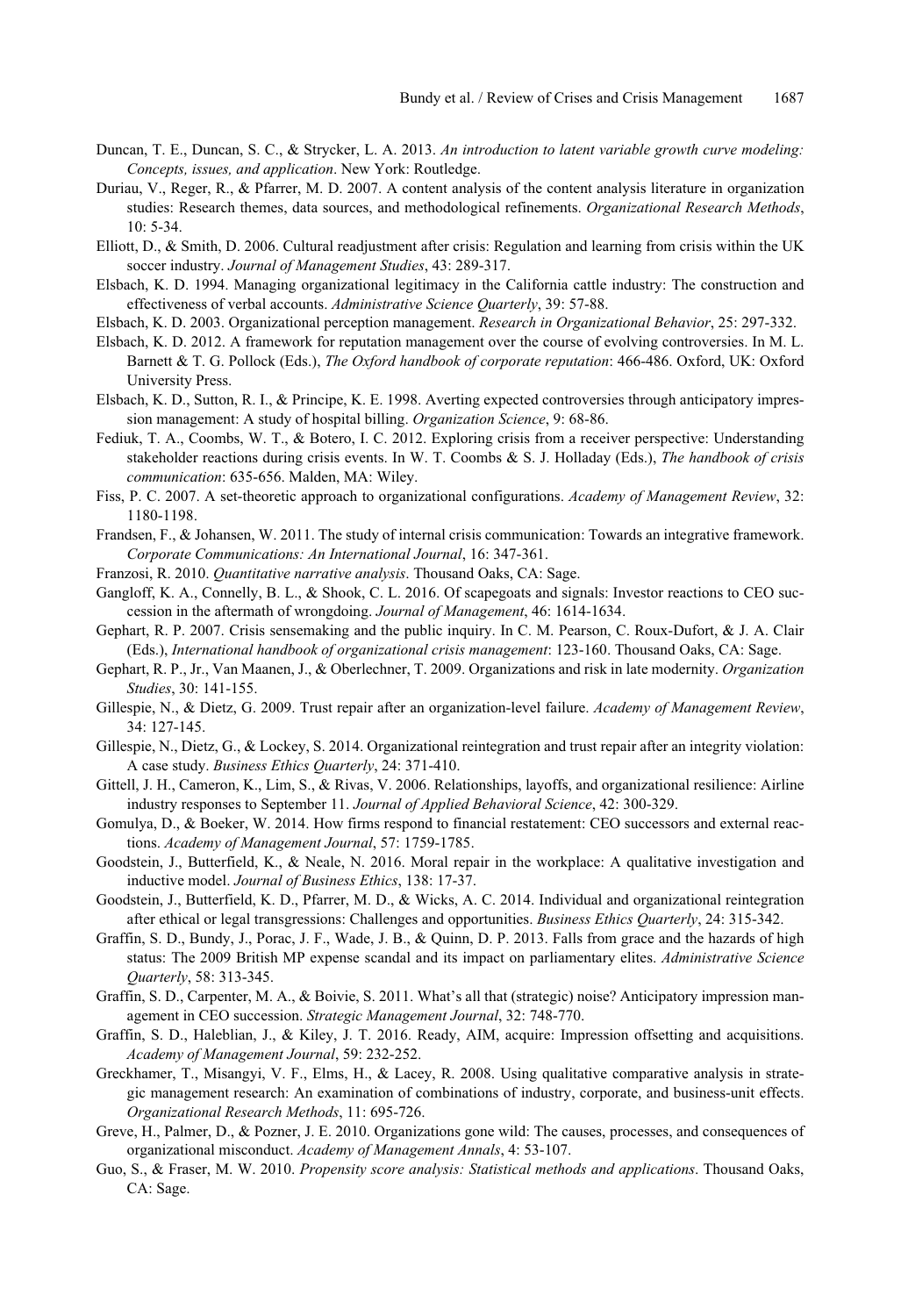- Duncan, T. E., Duncan, S. C., & Strycker, L. A. 2013. *An introduction to latent variable growth curve modeling: Concepts, issues, and application*. New York: Routledge.
- Duriau, V., Reger, R., & Pfarrer, M. D. 2007. A content analysis of the content analysis literature in organization studies: Research themes, data sources, and methodological refinements. *Organizational Research Methods*, 10: 5-34.
- Elliott, D., & Smith, D. 2006. Cultural readjustment after crisis: Regulation and learning from crisis within the UK soccer industry. *Journal of Management Studies*, 43: 289-317.
- Elsbach, K. D. 1994. Managing organizational legitimacy in the California cattle industry: The construction and effectiveness of verbal accounts. *Administrative Science Quarterly*, 39: 57-88.
- Elsbach, K. D. 2003. Organizational perception management. *Research in Organizational Behavior*, 25: 297-332.
- Elsbach, K. D. 2012. A framework for reputation management over the course of evolving controversies. In M. L. Barnett & T. G. Pollock (Eds.), *The Oxford handbook of corporate reputation*: 466-486. Oxford, UK: Oxford University Press.
- Elsbach, K. D., Sutton, R. I., & Principe, K. E. 1998. Averting expected controversies through anticipatory impression management: A study of hospital billing. *Organization Science*, 9: 68-86.
- Fediuk, T. A., Coombs, W. T., & Botero, I. C. 2012. Exploring crisis from a receiver perspective: Understanding stakeholder reactions during crisis events. In W. T. Coombs & S. J. Holladay (Eds.), *The handbook of crisis communication*: 635-656. Malden, MA: Wiley.
- Fiss, P. C. 2007. A set-theoretic approach to organizational configurations. *Academy of Management Review*, 32: 1180-1198.
- Frandsen, F., & Johansen, W. 2011. The study of internal crisis communication: Towards an integrative framework. *Corporate Communications: An International Journal*, 16: 347-361.
- Franzosi, R. 2010. *Quantitative narrative analysis*. Thousand Oaks, CA: Sage.
- Gangloff, K. A., Connelly, B. L., & Shook, C. L. 2016. Of scapegoats and signals: Investor reactions to CEO succession in the aftermath of wrongdoing. *Journal of Management*, 46: 1614-1634.
- Gephart, R. P. 2007. Crisis sensemaking and the public inquiry. In C. M. Pearson, C. Roux-Dufort, & J. A. Clair (Eds.), *International handbook of organizational crisis management*: 123-160. Thousand Oaks, CA: Sage.
- Gephart, R. P., Jr., Van Maanen, J., & Oberlechner, T. 2009. Organizations and risk in late modernity. *Organization Studies*, 30: 141-155.
- Gillespie, N., & Dietz, G. 2009. Trust repair after an organization-level failure. *Academy of Management Review*, 34: 127-145.
- Gillespie, N., Dietz, G., & Lockey, S. 2014. Organizational reintegration and trust repair after an integrity violation: A case study. *Business Ethics Quarterly*, 24: 371-410.
- Gittell, J. H., Cameron, K., Lim, S., & Rivas, V. 2006. Relationships, layoffs, and organizational resilience: Airline industry responses to September 11. *Journal of Applied Behavioral Science*, 42: 300-329.
- Gomulya, D., & Boeker, W. 2014. How firms respond to financial restatement: CEO successors and external reactions. *Academy of Management Journal*, 57: 1759-1785.
- Goodstein, J., Butterfield, K., & Neale, N. 2016. Moral repair in the workplace: A qualitative investigation and inductive model. *Journal of Business Ethics*, 138: 17-37.
- Goodstein, J., Butterfield, K. D., Pfarrer, M. D., & Wicks, A. C. 2014. Individual and organizational reintegration after ethical or legal transgressions: Challenges and opportunities. *Business Ethics Quarterly*, 24: 315-342.
- Graffin, S. D., Bundy, J., Porac, J. F., Wade, J. B., & Quinn, D. P. 2013. Falls from grace and the hazards of high status: The 2009 British MP expense scandal and its impact on parliamentary elites. *Administrative Science Quarterly*, 58: 313-345.
- Graffin, S. D., Carpenter, M. A., & Boivie, S. 2011. What's all that (strategic) noise? Anticipatory impression management in CEO succession. *Strategic Management Journal*, 32: 748-770.
- Graffin, S. D., Haleblian, J., & Kiley, J. T. 2016. Ready, AIM, acquire: Impression offsetting and acquisitions. *Academy of Management Journal*, 59: 232-252.
- Greckhamer, T., Misangyi, V. F., Elms, H., & Lacey, R. 2008. Using qualitative comparative analysis in strategic management research: An examination of combinations of industry, corporate, and business-unit effects. *Organizational Research Methods*, 11: 695-726.
- Greve, H., Palmer, D., & Pozner, J. E. 2010. Organizations gone wild: The causes, processes, and consequences of organizational misconduct. *Academy of Management Annals*, 4: 53-107.
- Guo, S., & Fraser, M. W. 2010. *Propensity score analysis: Statistical methods and applications*. Thousand Oaks, CA: Sage.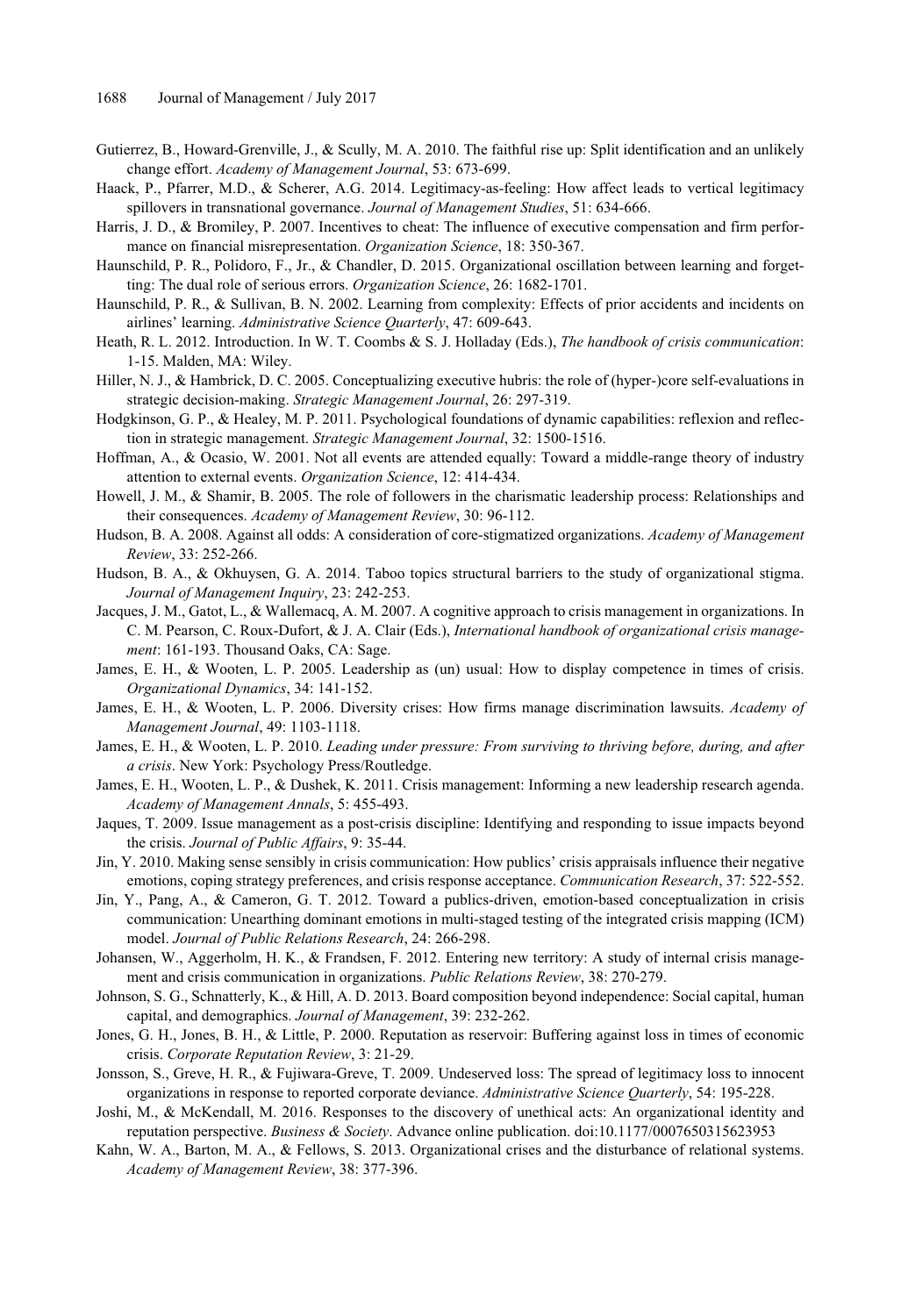- Gutierrez, B., Howard-Grenville, J., & Scully, M. A. 2010. The faithful rise up: Split identification and an unlikely change effort. *Academy of Management Journal*, 53: 673-699.
- Haack, P., Pfarrer, M.D., & Scherer, A.G. 2014. Legitimacy-as-feeling: How affect leads to vertical legitimacy spillovers in transnational governance. *Journal of Management Studies*, 51: 634-666.
- Harris, J. D., & Bromiley, P. 2007. Incentives to cheat: The influence of executive compensation and firm performance on financial misrepresentation. *Organization Science*, 18: 350-367.
- Haunschild, P. R., Polidoro, F., Jr., & Chandler, D. 2015. Organizational oscillation between learning and forgetting: The dual role of serious errors. *Organization Science*, 26: 1682-1701.
- Haunschild, P. R., & Sullivan, B. N. 2002. Learning from complexity: Effects of prior accidents and incidents on airlines' learning. *Administrative Science Quarterly*, 47: 609-643.
- Heath, R. L. 2012. Introduction. In W. T. Coombs & S. J. Holladay (Eds.), *The handbook of crisis communication*: 1-15. Malden, MA: Wiley.
- Hiller, N. J., & Hambrick, D. C. 2005. Conceptualizing executive hubris: the role of (hyper-)core self-evaluations in strategic decision-making. *Strategic Management Journal*, 26: 297-319.
- Hodgkinson, G. P., & Healey, M. P. 2011. Psychological foundations of dynamic capabilities: reflexion and reflection in strategic management. *Strategic Management Journal*, 32: 1500-1516.
- Hoffman, A., & Ocasio, W. 2001. Not all events are attended equally: Toward a middle-range theory of industry attention to external events. *Organization Science*, 12: 414-434.
- Howell, J. M., & Shamir, B. 2005. The role of followers in the charismatic leadership process: Relationships and their consequences. *Academy of Management Review*, 30: 96-112.
- Hudson, B. A. 2008. Against all odds: A consideration of core-stigmatized organizations. *Academy of Management Review*, 33: 252-266.
- Hudson, B. A., & Okhuysen, G. A. 2014. Taboo topics structural barriers to the study of organizational stigma. *Journal of Management Inquiry*, 23: 242-253.
- Jacques, J. M., Gatot, L., & Wallemacq, A. M. 2007. A cognitive approach to crisis management in organizations. In C. M. Pearson, C. Roux-Dufort, & J. A. Clair (Eds.), *International handbook of organizational crisis management*: 161-193. Thousand Oaks, CA: Sage.
- James, E. H., & Wooten, L. P. 2005. Leadership as (un) usual: How to display competence in times of crisis. *Organizational Dynamics*, 34: 141-152.
- James, E. H., & Wooten, L. P. 2006. Diversity crises: How firms manage discrimination lawsuits. *Academy of Management Journal*, 49: 1103-1118.
- James, E. H., & Wooten, L. P. 2010. *Leading under pressure: From surviving to thriving before, during, and after a crisis*. New York: Psychology Press/Routledge.
- James, E. H., Wooten, L. P., & Dushek, K. 2011. Crisis management: Informing a new leadership research agenda. *Academy of Management Annals*, 5: 455-493.
- Jaques, T. 2009. Issue management as a post-crisis discipline: Identifying and responding to issue impacts beyond the crisis. *Journal of Public Affairs*, 9: 35-44.
- Jin, Y. 2010. Making sense sensibly in crisis communication: How publics' crisis appraisals influence their negative emotions, coping strategy preferences, and crisis response acceptance. *Communication Research*, 37: 522-552.
- Jin, Y., Pang, A., & Cameron, G. T. 2012. Toward a publics-driven, emotion-based conceptualization in crisis communication: Unearthing dominant emotions in multi-staged testing of the integrated crisis mapping (ICM) model. *Journal of Public Relations Research*, 24: 266-298.
- Johansen, W., Aggerholm, H. K., & Frandsen, F. 2012. Entering new territory: A study of internal crisis management and crisis communication in organizations. *Public Relations Review*, 38: 270-279.
- Johnson, S. G., Schnatterly, K., & Hill, A. D. 2013. Board composition beyond independence: Social capital, human capital, and demographics. *Journal of Management*, 39: 232-262.
- Jones, G. H., Jones, B. H., & Little, P. 2000. Reputation as reservoir: Buffering against loss in times of economic crisis. *Corporate Reputation Review*, 3: 21-29.
- Jonsson, S., Greve, H. R., & Fujiwara-Greve, T. 2009. Undeserved loss: The spread of legitimacy loss to innocent organizations in response to reported corporate deviance. *Administrative Science Quarterly*, 54: 195-228.
- Joshi, M., & McKendall, M. 2016. Responses to the discovery of unethical acts: An organizational identity and reputation perspective. *Business & Society*. Advance online publication. doi:10.1177/0007650315623953
- Kahn, W. A., Barton, M. A., & Fellows, S. 2013. Organizational crises and the disturbance of relational systems. *Academy of Management Review*, 38: 377-396.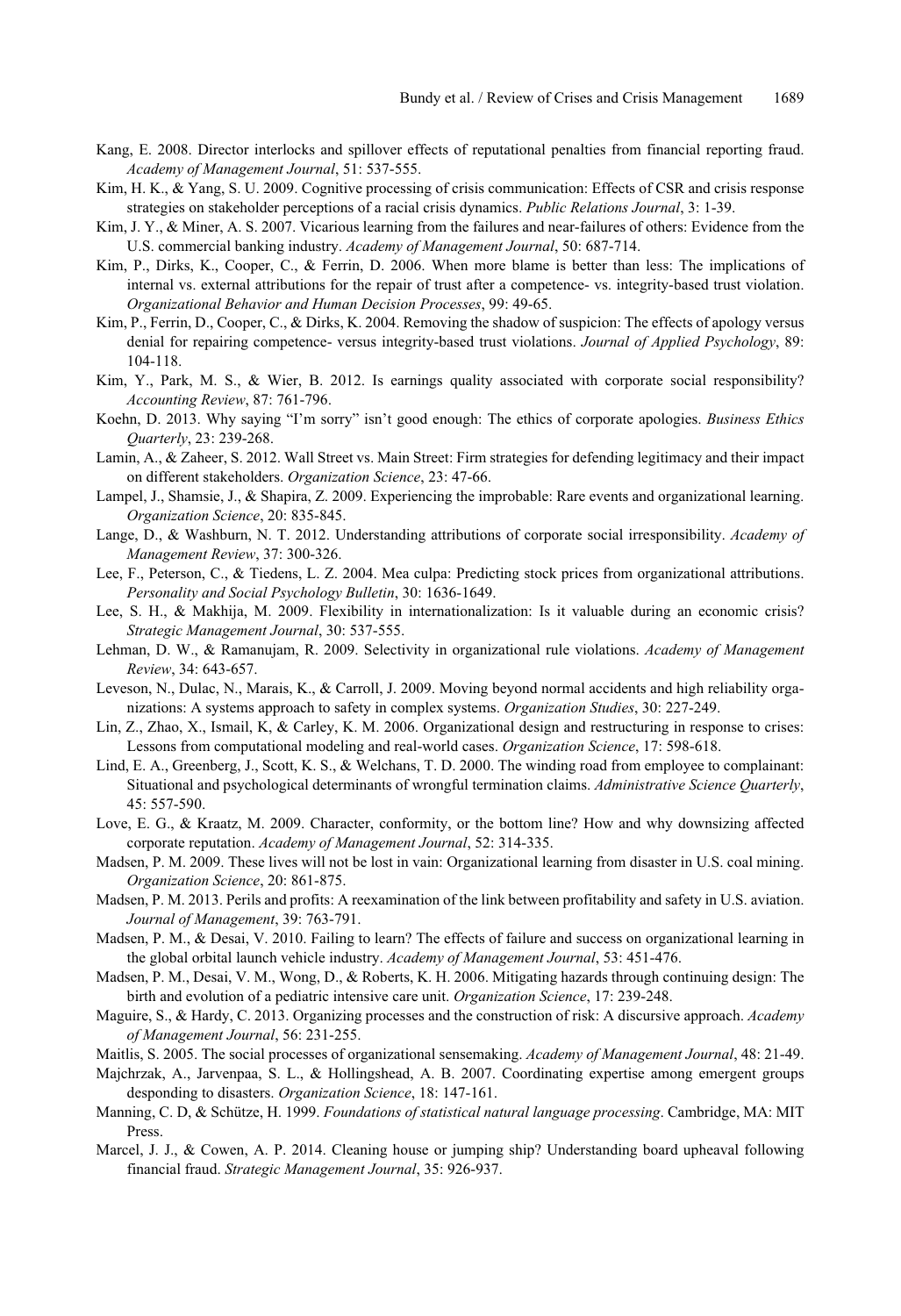- Kang, E. 2008. Director interlocks and spillover effects of reputational penalties from financial reporting fraud. *Academy of Management Journal*, 51: 537-555.
- Kim, H. K., & Yang, S. U. 2009. Cognitive processing of crisis communication: Effects of CSR and crisis response strategies on stakeholder perceptions of a racial crisis dynamics. *Public Relations Journal*, 3: 1-39.
- Kim, J. Y., & Miner, A. S. 2007. Vicarious learning from the failures and near-failures of others: Evidence from the U.S. commercial banking industry. *Academy of Management Journal*, 50: 687-714.
- Kim, P., Dirks, K., Cooper, C., & Ferrin, D. 2006. When more blame is better than less: The implications of internal vs. external attributions for the repair of trust after a competence- vs. integrity-based trust violation. *Organizational Behavior and Human Decision Processes*, 99: 49-65.
- Kim, P., Ferrin, D., Cooper, C., & Dirks, K. 2004. Removing the shadow of suspicion: The effects of apology versus denial for repairing competence- versus integrity-based trust violations. *Journal of Applied Psychology*, 89: 104-118.
- Kim, Y., Park, M. S., & Wier, B. 2012. Is earnings quality associated with corporate social responsibility? *Accounting Review*, 87: 761-796.
- Koehn, D. 2013. Why saying "I'm sorry" isn't good enough: The ethics of corporate apologies. *Business Ethics Quarterly*, 23: 239-268.
- Lamin, A., & Zaheer, S. 2012. Wall Street vs. Main Street: Firm strategies for defending legitimacy and their impact on different stakeholders. *Organization Science*, 23: 47-66.
- Lampel, J., Shamsie, J., & Shapira, Z. 2009. Experiencing the improbable: Rare events and organizational learning. *Organization Science*, 20: 835-845.
- Lange, D., & Washburn, N. T. 2012. Understanding attributions of corporate social irresponsibility. *Academy of Management Review*, 37: 300-326.
- Lee, F., Peterson, C., & Tiedens, L. Z. 2004. Mea culpa: Predicting stock prices from organizational attributions. *Personality and Social Psychology Bulletin*, 30: 1636-1649.
- Lee, S. H., & Makhija, M. 2009. Flexibility in internationalization: Is it valuable during an economic crisis? *Strategic Management Journal*, 30: 537-555.
- Lehman, D. W., & Ramanujam, R. 2009. Selectivity in organizational rule violations. *Academy of Management Review*, 34: 643-657.
- Leveson, N., Dulac, N., Marais, K., & Carroll, J. 2009. Moving beyond normal accidents and high reliability organizations: A systems approach to safety in complex systems. *Organization Studies*, 30: 227-249.
- Lin, Z., Zhao, X., Ismail, K, & Carley, K. M. 2006. Organizational design and restructuring in response to crises: Lessons from computational modeling and real-world cases. *Organization Science*, 17: 598-618.
- Lind, E. A., Greenberg, J., Scott, K. S., & Welchans, T. D. 2000. The winding road from employee to complainant: Situational and psychological determinants of wrongful termination claims. *Administrative Science Quarterly*, 45: 557-590.
- Love, E. G., & Kraatz, M. 2009. Character, conformity, or the bottom line? How and why downsizing affected corporate reputation. *Academy of Management Journal*, 52: 314-335.
- Madsen, P. M. 2009. These lives will not be lost in vain: Organizational learning from disaster in U.S. coal mining. *Organization Science*, 20: 861-875.
- Madsen, P. M. 2013. Perils and profits: A reexamination of the link between profitability and safety in U.S. aviation. *Journal of Management*, 39: 763-791.
- Madsen, P. M., & Desai, V. 2010. Failing to learn? The effects of failure and success on organizational learning in the global orbital launch vehicle industry. *Academy of Management Journal*, 53: 451-476.
- Madsen, P. M., Desai, V. M., Wong, D., & Roberts, K. H. 2006. Mitigating hazards through continuing design: The birth and evolution of a pediatric intensive care unit. *Organization Science*, 17: 239-248.
- Maguire, S., & Hardy, C. 2013. Organizing processes and the construction of risk: A discursive approach. *Academy of Management Journal*, 56: 231-255.
- Maitlis, S. 2005. The social processes of organizational sensemaking. *Academy of Management Journal*, 48: 21-49.
- Majchrzak, A., Jarvenpaa, S. L., & Hollingshead, A. B. 2007. Coordinating expertise among emergent groups desponding to disasters. *Organization Science*, 18: 147-161.
- Manning, C. D, & Schütze, H. 1999. *Foundations of statistical natural language processing*. Cambridge, MA: MIT Press.
- Marcel, J. J., & Cowen, A. P. 2014. Cleaning house or jumping ship? Understanding board upheaval following financial fraud. *Strategic Management Journal*, 35: 926-937.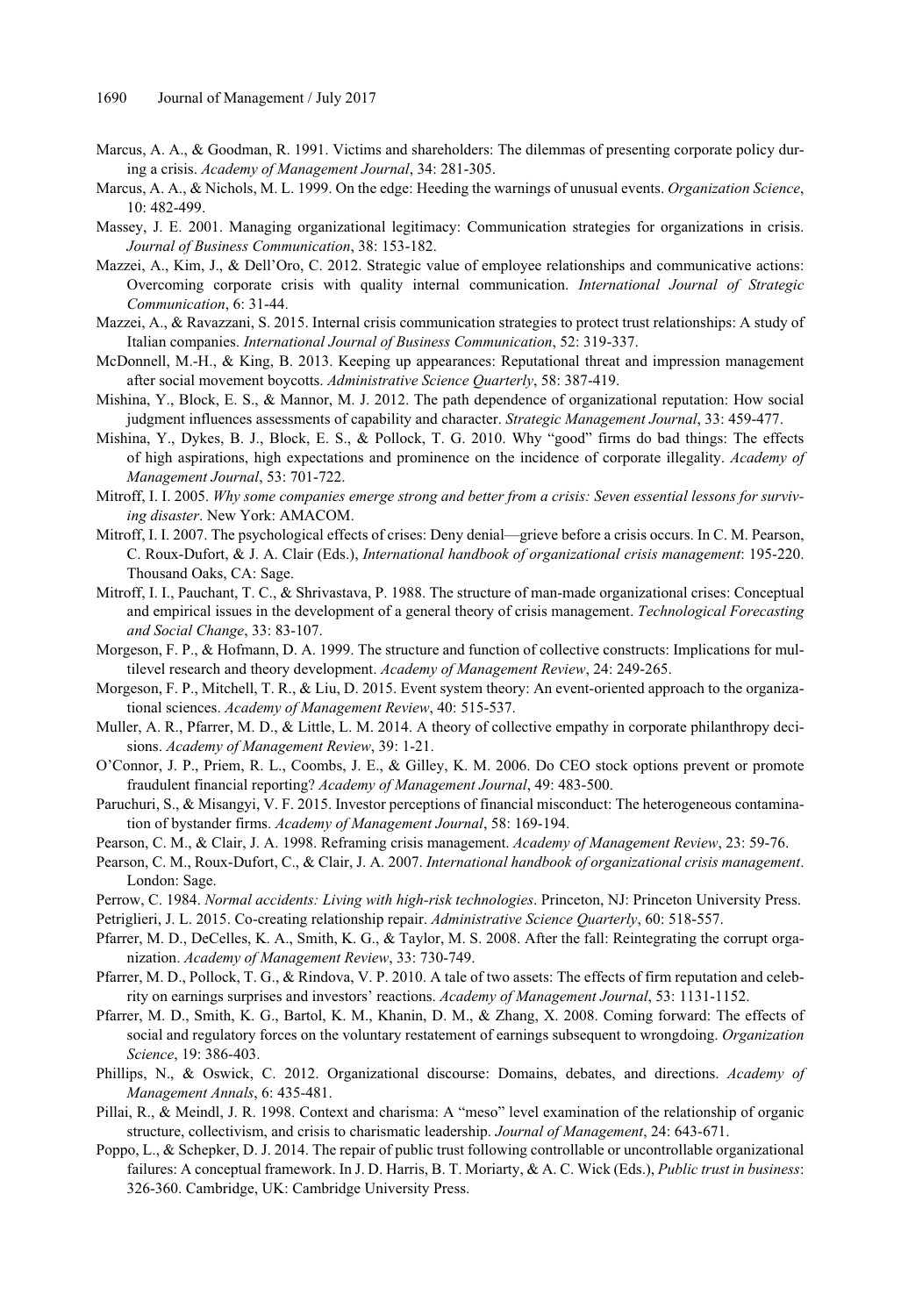- Marcus, A. A., & Goodman, R. 1991. Victims and shareholders: The dilemmas of presenting corporate policy during a crisis. *Academy of Management Journal*, 34: 281-305.
- Marcus, A. A., & Nichols, M. L. 1999. On the edge: Heeding the warnings of unusual events. *Organization Science*, 10: 482-499.
- Massey, J. E. 2001. Managing organizational legitimacy: Communication strategies for organizations in crisis. *Journal of Business Communication*, 38: 153-182.
- Mazzei, A., Kim, J., & Dell'Oro, C. 2012. Strategic value of employee relationships and communicative actions: Overcoming corporate crisis with quality internal communication. *International Journal of Strategic Communication*, 6: 31-44.
- Mazzei, A., & Ravazzani, S. 2015. Internal crisis communication strategies to protect trust relationships: A study of Italian companies. *International Journal of Business Communication*, 52: 319-337.
- McDonnell, M.-H., & King, B. 2013. Keeping up appearances: Reputational threat and impression management after social movement boycotts. *Administrative Science Quarterly*, 58: 387-419.
- Mishina, Y., Block, E. S., & Mannor, M. J. 2012. The path dependence of organizational reputation: How social judgment influences assessments of capability and character. *Strategic Management Journal*, 33: 459-477.
- Mishina, Y., Dykes, B. J., Block, E. S., & Pollock, T. G. 2010. Why "good" firms do bad things: The effects of high aspirations, high expectations and prominence on the incidence of corporate illegality. *Academy of Management Journal*, 53: 701-722.
- Mitroff, I. I. 2005. *Why some companies emerge strong and better from a crisis: Seven essential lessons for surviving disaster*. New York: AMACOM.
- Mitroff, I. I. 2007. The psychological effects of crises: Deny denial—grieve before a crisis occurs. In C. M. Pearson, C. Roux-Dufort, & J. A. Clair (Eds.), *International handbook of organizational crisis management*: 195-220. Thousand Oaks, CA: Sage.
- Mitroff, I. I., Pauchant, T. C., & Shrivastava, P. 1988. The structure of man-made organizational crises: Conceptual and empirical issues in the development of a general theory of crisis management. *Technological Forecasting and Social Change*, 33: 83-107.
- Morgeson, F. P., & Hofmann, D. A. 1999. The structure and function of collective constructs: Implications for multilevel research and theory development. *Academy of Management Review*, 24: 249-265.
- Morgeson, F. P., Mitchell, T. R., & Liu, D. 2015. Event system theory: An event-oriented approach to the organizational sciences. *Academy of Management Review*, 40: 515-537.
- Muller, A. R., Pfarrer, M. D., & Little, L. M. 2014. A theory of collective empathy in corporate philanthropy decisions. *Academy of Management Review*, 39: 1-21.
- O'Connor, J. P., Priem, R. L., Coombs, J. E., & Gilley, K. M. 2006. Do CEO stock options prevent or promote fraudulent financial reporting? *Academy of Management Journal*, 49: 483-500.
- Paruchuri, S., & Misangyi, V. F. 2015. Investor perceptions of financial misconduct: The heterogeneous contamination of bystander firms. *Academy of Management Journal*, 58: 169-194.
- Pearson, C. M., & Clair, J. A. 1998. Reframing crisis management. *Academy of Management Review*, 23: 59-76.
- Pearson, C. M., Roux-Dufort, C., & Clair, J. A. 2007. *International handbook of organizational crisis management*. London: Sage.
- Perrow, C. 1984. *Normal accidents: Living with high-risk technologies*. Princeton, NJ: Princeton University Press.
- Petriglieri, J. L. 2015. Co-creating relationship repair. *Administrative Science Quarterly*, 60: 518-557.
- Pfarrer, M. D., DeCelles, K. A., Smith, K. G., & Taylor, M. S. 2008. After the fall: Reintegrating the corrupt organization. *Academy of Management Review*, 33: 730-749.
- Pfarrer, M. D., Pollock, T. G., & Rindova, V. P. 2010. A tale of two assets: The effects of firm reputation and celebrity on earnings surprises and investors' reactions. *Academy of Management Journal*, 53: 1131-1152.
- Pfarrer, M. D., Smith, K. G., Bartol, K. M., Khanin, D. M., & Zhang, X. 2008. Coming forward: The effects of social and regulatory forces on the voluntary restatement of earnings subsequent to wrongdoing. *Organization Science*, 19: 386-403.
- Phillips, N., & Oswick, C. 2012. Organizational discourse: Domains, debates, and directions. *Academy of Management Annals*, 6: 435-481.
- Pillai, R., & Meindl, J. R. 1998. Context and charisma: A "meso" level examination of the relationship of organic structure, collectivism, and crisis to charismatic leadership. *Journal of Management*, 24: 643-671.
- Poppo, L., & Schepker, D. J. 2014. The repair of public trust following controllable or uncontrollable organizational failures: A conceptual framework. In J. D. Harris, B. T. Moriarty, & A. C. Wick (Eds.), *Public trust in business*: 326-360. Cambridge, UK: Cambridge University Press.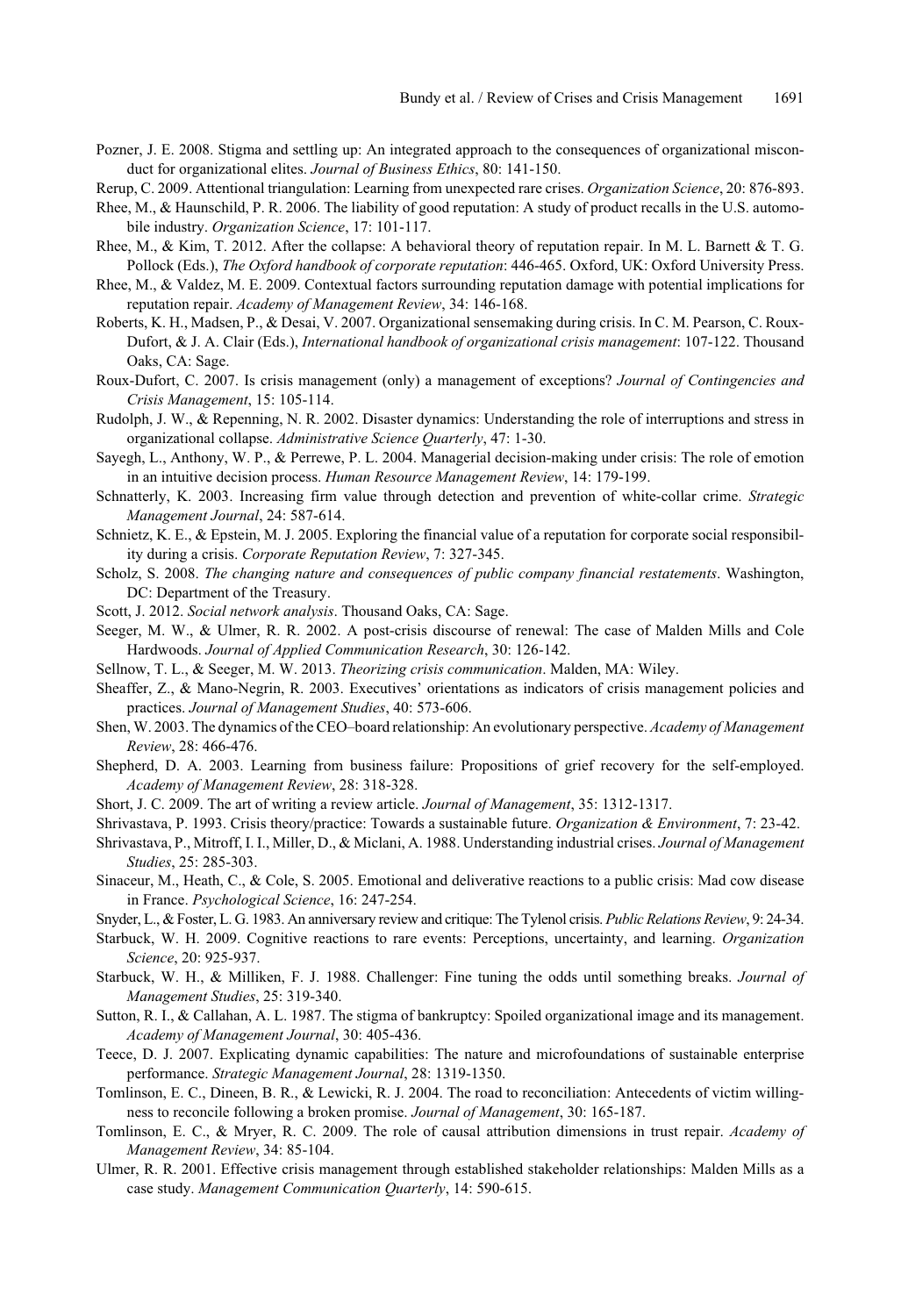- Pozner, J. E. 2008. Stigma and settling up: An integrated approach to the consequences of organizational misconduct for organizational elites. *Journal of Business Ethics*, 80: 141-150.
- Rerup, C. 2009. Attentional triangulation: Learning from unexpected rare crises. *Organization Science*, 20: 876-893.
- Rhee, M., & Haunschild, P. R. 2006. The liability of good reputation: A study of product recalls in the U.S. automobile industry. *Organization Science*, 17: 101-117.
- Rhee, M., & Kim, T. 2012. After the collapse: A behavioral theory of reputation repair. In M. L. Barnett & T. G. Pollock (Eds.), *The Oxford handbook of corporate reputation*: 446-465. Oxford, UK: Oxford University Press.
- Rhee, M., & Valdez, M. E. 2009. Contextual factors surrounding reputation damage with potential implications for reputation repair. *Academy of Management Review*, 34: 146-168.
- Roberts, K. H., Madsen, P., & Desai, V. 2007. Organizational sensemaking during crisis. In C. M. Pearson, C. Roux-Dufort, & J. A. Clair (Eds.), *International handbook of organizational crisis management*: 107-122. Thousand Oaks, CA: Sage.
- Roux-Dufort, C. 2007. Is crisis management (only) a management of exceptions? *Journal of Contingencies and Crisis Management*, 15: 105-114.
- Rudolph, J. W., & Repenning, N. R. 2002. Disaster dynamics: Understanding the role of interruptions and stress in organizational collapse. *Administrative Science Quarterly*, 47: 1-30.
- Sayegh, L., Anthony, W. P., & Perrewe, P. L. 2004. Managerial decision-making under crisis: The role of emotion in an intuitive decision process. *Human Resource Management Review*, 14: 179-199.
- Schnatterly, K. 2003. Increasing firm value through detection and prevention of white-collar crime. *Strategic Management Journal*, 24: 587-614.
- Schnietz, K. E., & Epstein, M. J. 2005. Exploring the financial value of a reputation for corporate social responsibility during a crisis. *Corporate Reputation Review*, 7: 327-345.
- Scholz, S. 2008. *The changing nature and consequences of public company financial restatements*. Washington, DC: Department of the Treasury.
- Scott, J. 2012. *Social network analysis*. Thousand Oaks, CA: Sage.
- Seeger, M. W., & Ulmer, R. R. 2002. A post-crisis discourse of renewal: The case of Malden Mills and Cole Hardwoods. *Journal of Applied Communication Research*, 30: 126-142.
- Sellnow, T. L., & Seeger, M. W. 2013. *Theorizing crisis communication*. Malden, MA: Wiley.
- Sheaffer, Z., & Mano-Negrin, R. 2003. Executives' orientations as indicators of crisis management policies and practices. *Journal of Management Studies*, 40: 573-606.
- Shen, W. 2003. The dynamics of the CEO–board relationship: An evolutionary perspective. *Academy of Management Review*, 28: 466-476.
- Shepherd, D. A. 2003. Learning from business failure: Propositions of grief recovery for the self-employed. *Academy of Management Review*, 28: 318-328.
- Short, J. C. 2009. The art of writing a review article. *Journal of Management*, 35: 1312-1317.
- Shrivastava, P. 1993. Crisis theory/practice: Towards a sustainable future. *Organization & Environment*, 7: 23-42.
- Shrivastava, P., Mitroff, I. I., Miller, D., & Miclani, A. 1988. Understanding industrial crises. *Journal of Management Studies*, 25: 285-303.
- Sinaceur, M., Heath, C., & Cole, S. 2005. Emotional and deliverative reactions to a public crisis: Mad cow disease in France. *Psychological Science*, 16: 247-254.
- Snyder, L., & Foster, L. G. 1983. An anniversary review and critique: The Tylenol crisis. *Public Relations Review*, 9: 24-34.
- Starbuck, W. H. 2009. Cognitive reactions to rare events: Perceptions, uncertainty, and learning. *Organization Science*, 20: 925-937.
- Starbuck, W. H., & Milliken, F. J. 1988. Challenger: Fine tuning the odds until something breaks. *Journal of Management Studies*, 25: 319-340.
- Sutton, R. I., & Callahan, A. L. 1987. The stigma of bankruptcy: Spoiled organizational image and its management. *Academy of Management Journal*, 30: 405-436.
- Teece, D. J. 2007. Explicating dynamic capabilities: The nature and microfoundations of sustainable enterprise performance. *Strategic Management Journal*, 28: 1319-1350.
- Tomlinson, E. C., Dineen, B. R., & Lewicki, R. J. 2004. The road to reconciliation: Antecedents of victim willingness to reconcile following a broken promise. *Journal of Management*, 30: 165-187.
- Tomlinson, E. C., & Mryer, R. C. 2009. The role of causal attribution dimensions in trust repair. *Academy of Management Review*, 34: 85-104.
- Ulmer, R. R. 2001. Effective crisis management through established stakeholder relationships: Malden Mills as a case study. *Management Communication Quarterly*, 14: 590-615.